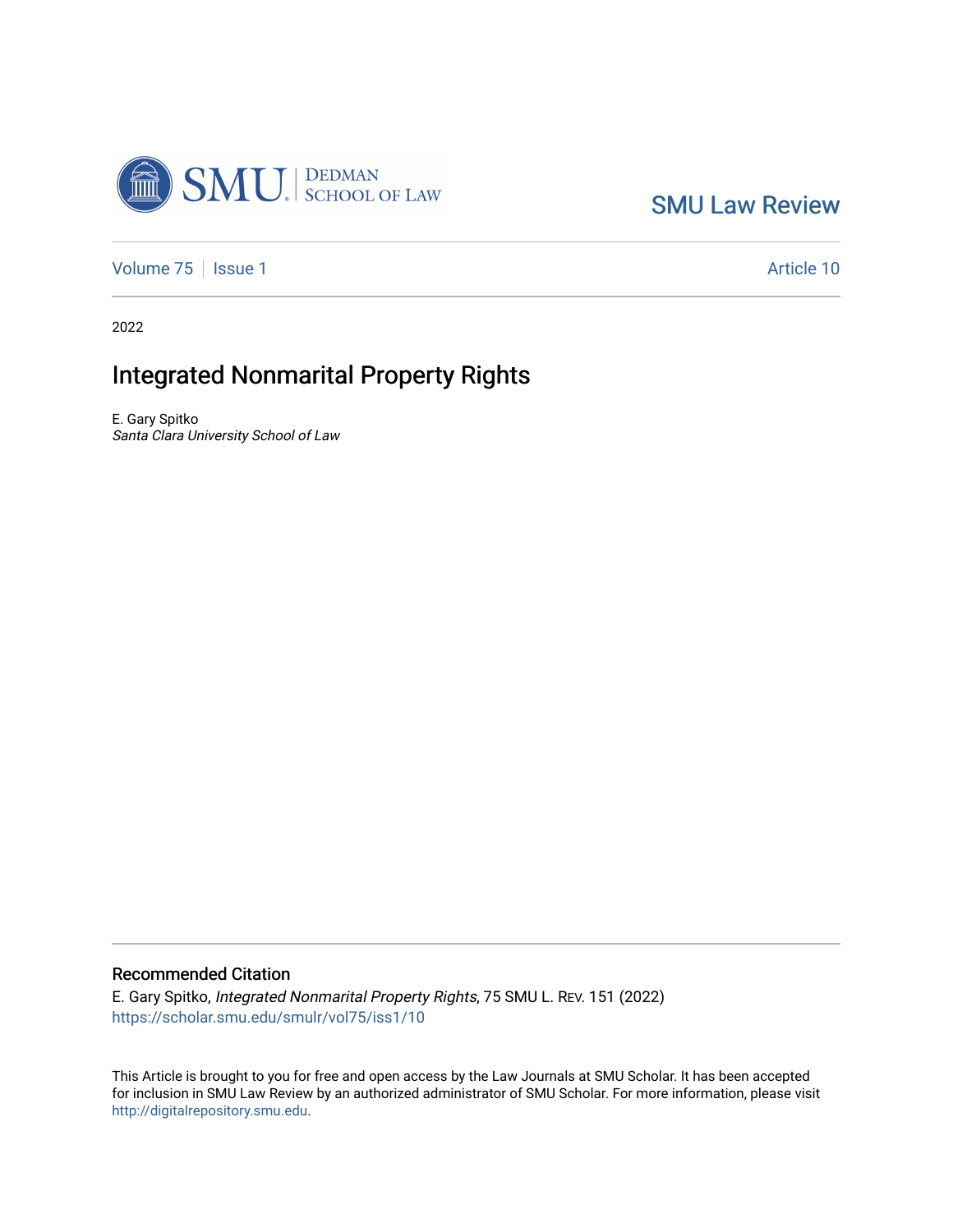

[SMU Law Review](https://scholar.smu.edu/smulr) 

[Volume 75](https://scholar.smu.edu/smulr/vol75) | [Issue 1](https://scholar.smu.edu/smulr/vol75/iss1) Article 10

2022

# Integrated Nonmarital Property Rights

E. Gary Spitko Santa Clara University School of Law

## Recommended Citation

E. Gary Spitko, Integrated Nonmarital Property Rights, 75 SMU L. REV. 151 (2022) [https://scholar.smu.edu/smulr/vol75/iss1/10](https://scholar.smu.edu/smulr/vol75/iss1/10?utm_source=scholar.smu.edu%2Fsmulr%2Fvol75%2Fiss1%2F10&utm_medium=PDF&utm_campaign=PDFCoverPages)

This Article is brought to you for free and open access by the Law Journals at SMU Scholar. It has been accepted for inclusion in SMU Law Review by an authorized administrator of SMU Scholar. For more information, please visit [http://digitalrepository.smu.edu.](http://digitalrepository.smu.edu/)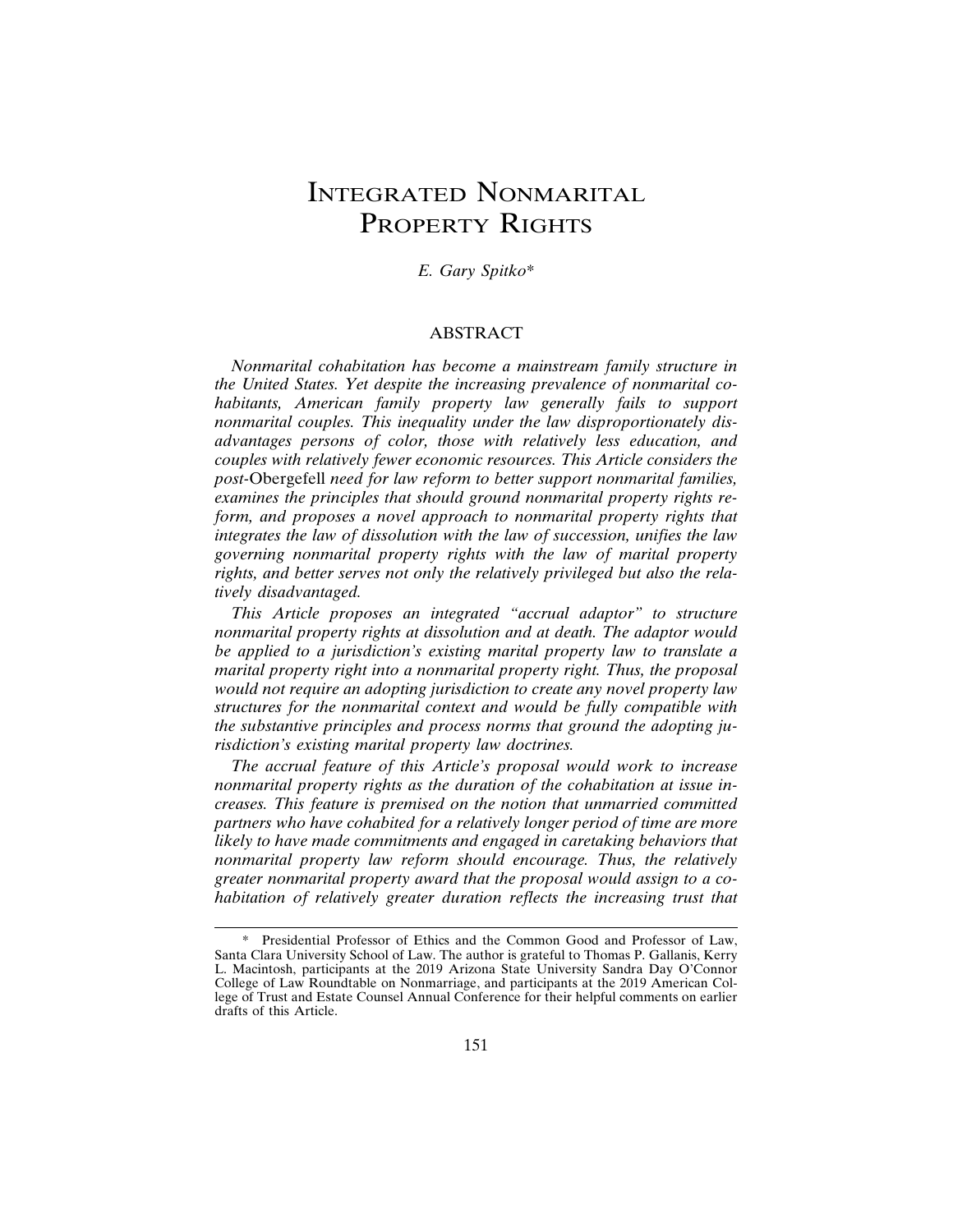# INTEGRATED NONMARITAL PROPERTY RIGHTS

*E. Gary Spitko*\*

## ABSTRACT

*Nonmarital cohabitation has become a mainstream family structure in the United States. Yet despite the increasing prevalence of nonmarital cohabitants, American family property law generally fails to support nonmarital couples. This inequality under the law disproportionately disadvantages persons of color, those with relatively less education, and couples with relatively fewer economic resources. This Article considers the post-*Obergefell *need for law reform to better support nonmarital families, examines the principles that should ground nonmarital property rights reform, and proposes a novel approach to nonmarital property rights that integrates the law of dissolution with the law of succession, unifies the law governing nonmarital property rights with the law of marital property rights, and better serves not only the relatively privileged but also the relatively disadvantaged.*

*This Article proposes an integrated "accrual adaptor" to structure nonmarital property rights at dissolution and at death. The adaptor would be applied to a jurisdiction's existing marital property law to translate a marital property right into a nonmarital property right. Thus, the proposal would not require an adopting jurisdiction to create any novel property law structures for the nonmarital context and would be fully compatible with the substantive principles and process norms that ground the adopting jurisdiction's existing marital property law doctrines.*

*The accrual feature of this Article's proposal would work to increase nonmarital property rights as the duration of the cohabitation at issue increases. This feature is premised on the notion that unmarried committed partners who have cohabited for a relatively longer period of time are more likely to have made commitments and engaged in caretaking behaviors that nonmarital property law reform should encourage. Thus, the relatively greater nonmarital property award that the proposal would assign to a cohabitation of relatively greater duration reflects the increasing trust that*

<sup>\*</sup> Presidential Professor of Ethics and the Common Good and Professor of Law, Santa Clara University School of Law. The author is grateful to Thomas P. Gallanis, Kerry L. Macintosh, participants at the 2019 Arizona State University Sandra Day O'Connor College of Law Roundtable on Nonmarriage, and participants at the 2019 American College of Trust and Estate Counsel Annual Conference for their helpful comments on earlier drafts of this Article.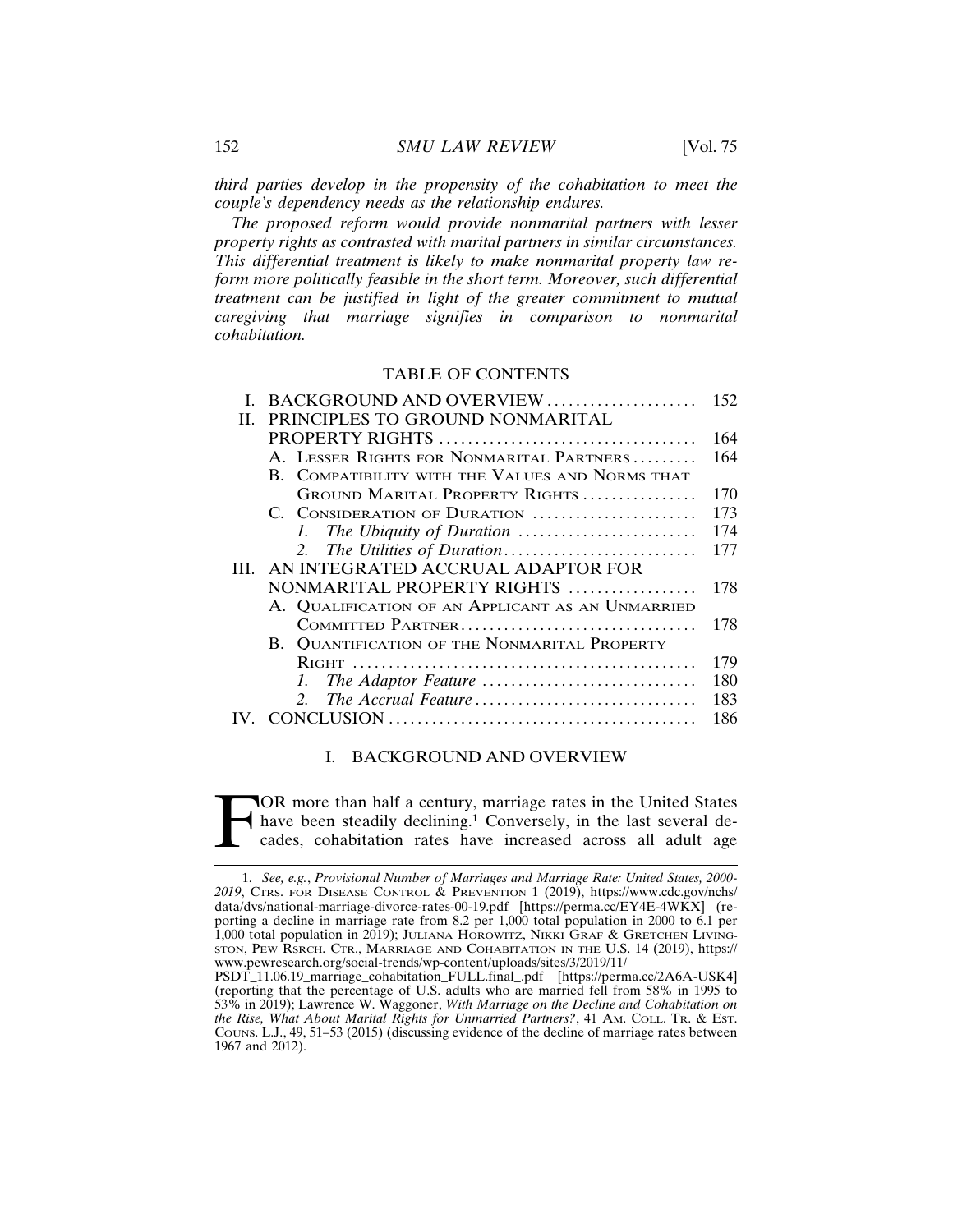*third parties develop in the propensity of the cohabitation to meet the couple's dependency needs as the relationship endures.*

*The proposed reform would provide nonmarital partners with lesser property rights as contrasted with marital partners in similar circumstances. This differential treatment is likely to make nonmarital property law reform more politically feasible in the short term. Moreover, such differential treatment can be justified in light of the greater commitment to mutual caregiving that marriage signifies in comparison to nonmarital cohabitation.*

#### TABLE OF CONTENTS

| I. BACKGROUND AND OVERVIEW                       | 152                 |
|--------------------------------------------------|---------------------|
| PRINCIPLES TO GROUND NONMARITAL<br>$H_{\perp}$   |                     |
|                                                  | 164                 |
| A. LESSER RIGHTS FOR NONMARITAL PARTNERS         | 164                 |
| B. COMPATIBILITY WITH THE VALUES AND NORMS THAT  |                     |
| GROUND MARITAL PROPERTY RIGHTS                   | 170                 |
| C. CONSIDERATION OF DURATION                     | 173                 |
|                                                  | 174                 |
|                                                  | 177                 |
| AN INTEGRATED ACCRUAL ADAPTOR FOR<br>HL.         |                     |
| NONMARITAL PROPERTY RIGHTS                       | 178                 |
| A. QUALIFICATION OF AN APPLICANT AS AN UNMARRIED |                     |
| COMMITTED PARTNER                                | 178                 |
| B. QUANTIFICATION OF THE NONMARITAL PROPERTY     |                     |
|                                                  | 179                 |
|                                                  | 180                 |
| $2^{\circ}$                                      | 183                 |
|                                                  | 186                 |
|                                                  | The Accrual Feature |

#### I. BACKGROUND AND OVERVIEW

FOR more than half a century, marriage rates in the United States have been steadily declining.<sup>1</sup> Conversely, in the last several decades, cohabitation rates have increased across all adult age have been steadily declining.<sup>1</sup> Conversely, in the last several decades, cohabitation rates have increased across all adult age

<sup>1.</sup> *See, e.g.*, *Provisional Number of Marriages and Marriage Rate: United States, 2000- 2019*, CTRS. FOR DISEASE CONTROL & PREVENTION 1 (2019), https://www.cdc.gov/nchs/ data/dvs/national-marriage-divorce-rates-00-19.pdf [https://perma.cc/EY4E-4WKX] (reporting a decline in marriage rate from 8.2 per 1,000 total population in 2000 to 6.1 per 1,000 total population in 2019); JULIANA HOROWITZ, NIKKI GRAF & GRETCHEN LIVING-STON, PEW RSRCH. CTR., MARRIAGE AND COHABITATION IN THE U.S. 14 (2019), https:// www.pewresearch.org/social-trends/wp-content/uploads/sites/3/2019/11/

PSDT\_11.06.19\_marriage\_cohabitation\_FULL.final\_.pdf [https://perma.cc/2A6A-USK4] (reporting that the percentage of U.S. adults who are married fell from 58% in 1995 to 53% in 2019); Lawrence W. Waggoner, *With Marriage on the Decline and Cohabitation on the Rise, What About Marital Rights for Unmarried Partners?*, 41 AM. COLL. TR. & EST. COUNS. L.J., 49, 51–53 (2015) (discussing evidence of the decline of marriage rates between 1967 and 2012).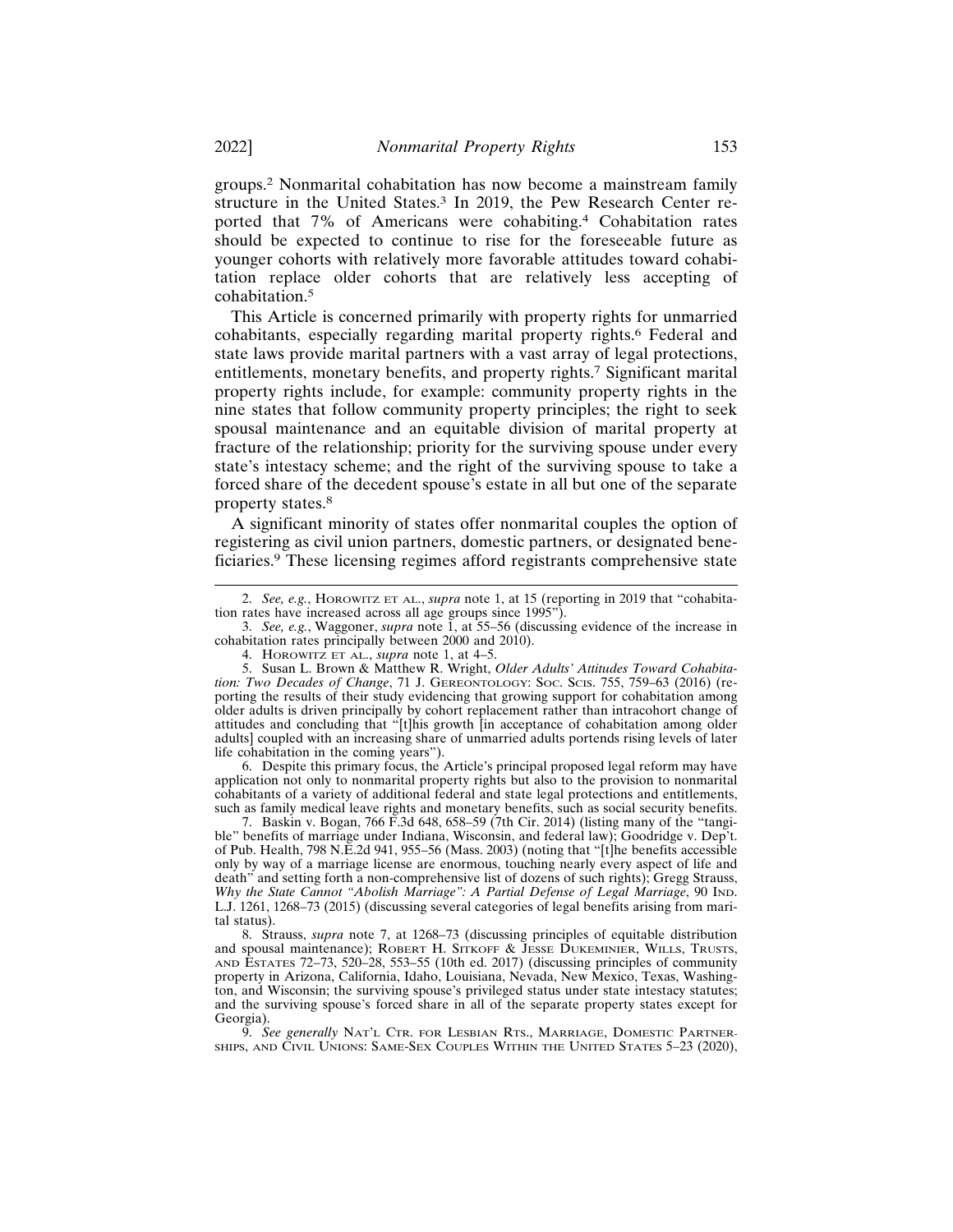groups.2 Nonmarital cohabitation has now become a mainstream family structure in the United States.<sup>3</sup> In 2019, the Pew Research Center reported that 7% of Americans were cohabiting.4 Cohabitation rates should be expected to continue to rise for the foreseeable future as younger cohorts with relatively more favorable attitudes toward cohabitation replace older cohorts that are relatively less accepting of cohabitation.<sup>5</sup>

This Article is concerned primarily with property rights for unmarried cohabitants, especially regarding marital property rights.6 Federal and state laws provide marital partners with a vast array of legal protections, entitlements, monetary benefits, and property rights.7 Significant marital property rights include, for example: community property rights in the nine states that follow community property principles; the right to seek spousal maintenance and an equitable division of marital property at fracture of the relationship; priority for the surviving spouse under every state's intestacy scheme; and the right of the surviving spouse to take a forced share of the decedent spouse's estate in all but one of the separate property states.<sup>8</sup>

A significant minority of states offer nonmarital couples the option of registering as civil union partners, domestic partners, or designated beneficiaries.9 These licensing regimes afford registrants comprehensive state

3. *See, e.g.*, Waggoner, *supra* note 1, at 55–56 (discussing evidence of the increase in cohabitation rates principally between 2000 and 2010).

4. HOROWITZ ET AL., *supra* note 1, at 4–5.

6. Despite this primary focus, the Article's principal proposed legal reform may have application not only to nonmarital property rights but also to the provision to nonmarital cohabitants of a variety of additional federal and state legal protections and entitlements, such as family medical leave rights and monetary benefits, such as social security benefits.

7. Baskin v. Bogan, 766 F.3d 648, 658–59 (7th Cir. 2014) (listing many of the "tangible" benefits of marriage under Indiana, Wisconsin, and federal law); Goodridge v. Dep't. of Pub. Health, 798 N.E.2d 941, 955–56 (Mass. 2003) (noting that "[t]he benefits accessible only by way of a marriage license are enormous, touching nearly every aspect of life and death" and setting forth a non-comprehensive list of dozens of such rights); Gregg Strauss, *Why the State Cannot "Abolish Marriage": A Partial Defense of Legal Marriage*, 90 IND. L.J. 1261, 1268–73 (2015) (discussing several categories of legal benefits arising from marital status).

8. Strauss, *supra* note 7, at 1268–73 (discussing principles of equitable distribution and spousal maintenance); ROBERT H. SITKOFF & JESSE DUKEMINIER, WILLS, TRUSTS, AND ESTATES 72–73, 520–28, 553–55 (10th ed. 2017) (discussing principles of community property in Arizona, California, Idaho, Louisiana, Nevada, New Mexico, Texas, Washington, and Wisconsin; the surviving spouse's privileged status under state intestacy statutes; and the surviving spouse's forced share in all of the separate property states except for Georgia).

9. *See generally* NAT'L CTR. FOR LESBIAN RTS., MARRIAGE, DOMESTIC PARTNER-SHIPS, AND CIVIL UNIONS: SAME-SEX COUPLES WITHIN THE UNITED STATES 5–23 (2020),

<sup>2.</sup> *See, e.g.*, HOROWITZ ET AL., *supra* note 1, at 15 (reporting in 2019 that "cohabitation rates have increased across all age groups since 1995").

<sup>5.</sup> Susan L. Brown & Matthew R. Wright, *Older Adults' Attitudes Toward Cohabitation: Two Decades of Change*, 71 J. GEREONTOLOGY: SOC. SCIS. 755, 759–63 (2016) (reporting the results of their study evidencing that growing support for cohabitation among older adults is driven principally by cohort replacement rather than intracohort change of attitudes and concluding that "[t]his growth [in acceptance of cohabitation among older adults] coupled with an increasing share of unmarried adults portends rising levels of later life cohabitation in the coming years").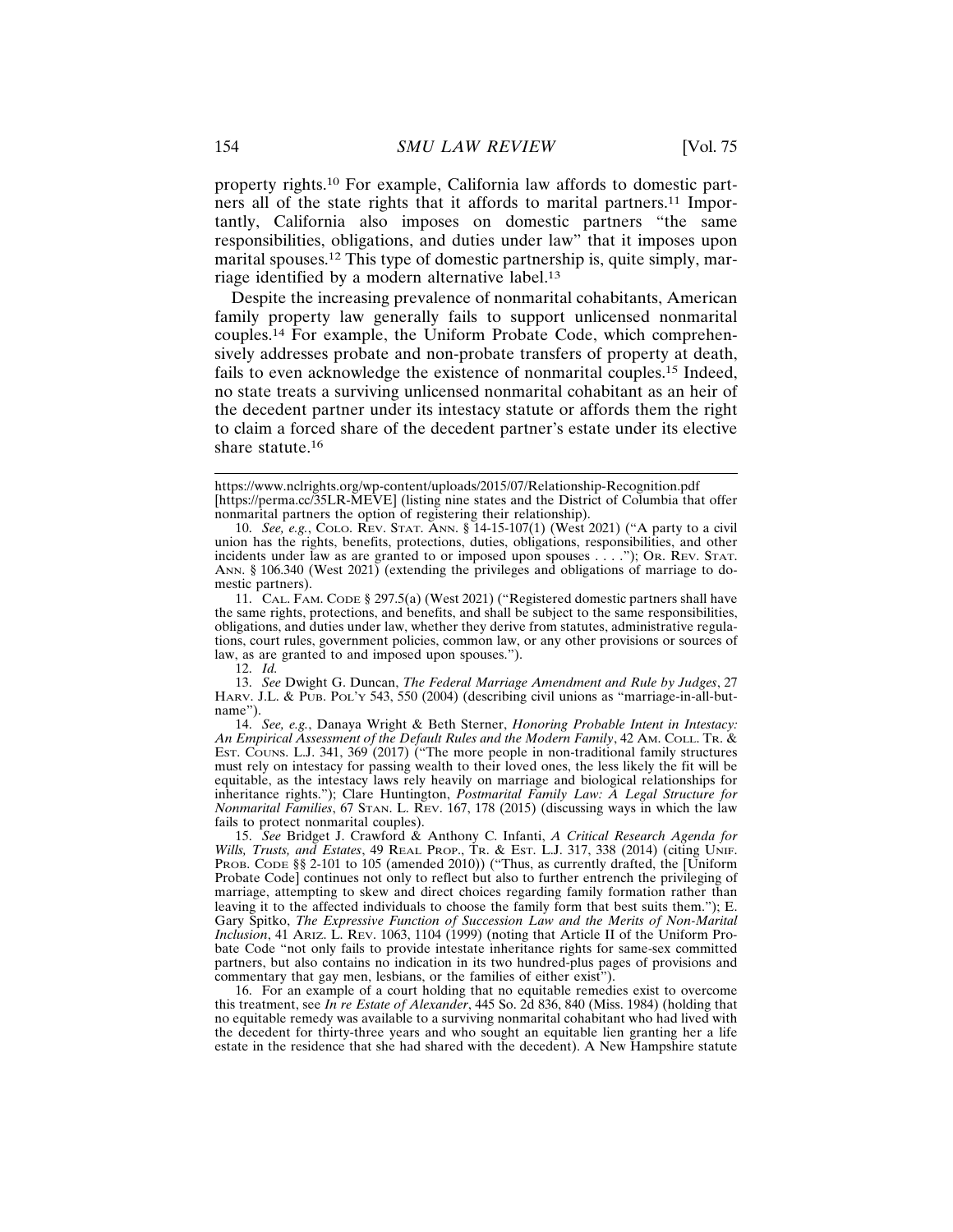property rights.10 For example, California law affords to domestic partners all of the state rights that it affords to marital partners.<sup>11</sup> Importantly, California also imposes on domestic partners "the same responsibilities, obligations, and duties under law" that it imposes upon marital spouses.12 This type of domestic partnership is, quite simply, marriage identified by a modern alternative label.<sup>13</sup>

Despite the increasing prevalence of nonmarital cohabitants, American family property law generally fails to support unlicensed nonmarital couples.14 For example, the Uniform Probate Code, which comprehensively addresses probate and non-probate transfers of property at death, fails to even acknowledge the existence of nonmarital couples.15 Indeed, no state treats a surviving unlicensed nonmarital cohabitant as an heir of the decedent partner under its intestacy statute or affords them the right to claim a forced share of the decedent partner's estate under its elective share statute.<sup>16</sup>

14. *See, e.g.*, Danaya Wright & Beth Sterner, *Honoring Probable Intent in Intestacy: An Empirical Assessment of the Default Rules and the Modern Family*, 42 AM. COLL. TR. & EST. COUNS. L.J. 341, 369 (2017) ("The more people in non-traditional family structures must rely on intestacy for passing wealth to their loved ones, the less likely the fit will be equitable, as the intestacy laws rely heavily on marriage and biological relationships for inheritance rights."); Clare Huntington, *Postmarital Family Law: A Legal Structure for Nonmarital Families*, 67 STAN. L. REV. 167, 178 (2015) (discussing ways in which the law fails to protect nonmarital couples).

15. *See* Bridget J. Crawford & Anthony C. Infanti, *A Critical Research Agenda for Wills, Trusts, and Estates*, 49 REAL PROP., TR. & EST. L.J. 317, 338 (2014) (citing UNIF. PROB. CODE §§ 2-101 to 105 (amended 2010)) ("Thus, as currently drafted, the [Uniform Probate Code] continues not only to reflect but also to further entrench the privileging of marriage, attempting to skew and direct choices regarding family formation rather than leaving it to the affected individuals to choose the family form that best suits them."); E. Gary Spitko, *The Expressive Function of Succession Law and the Merits of Non-Marital Inclusion*, 41 ARIZ. L. REV. 1063, 1104 (1999) (noting that Article II of the Uniform Probate Code "not only fails to provide intestate inheritance rights for same-sex committed partners, but also contains no indication in its two hundred-plus pages of provisions and commentary that gay men, lesbians, or the families of either exist").

16. For an example of a court holding that no equitable remedies exist to overcome this treatment, see *In re Estate of Alexander*, 445 So. 2d 836, 840 (Miss. 1984) (holding that no equitable remedy was available to a surviving nonmarital cohabitant who had lived with the decedent for thirty-three years and who sought an equitable lien granting her a life estate in the residence that she had shared with the decedent). A New Hampshire statute

https://www.nclrights.org/wp-content/uploads/2015/07/Relationship-Recognition.pdf [https://perma.cc/35LR-MEVE] (listing nine states and the District of Columbia that offer nonmarital partners the option of registering their relationship).

<sup>10.</sup> *See, e.g.*, COLO. REV. STAT. ANN. § 14-15-107(1) (West 2021) ("A party to a civil union has the rights, benefits, protections, duties, obligations, responsibilities, and other incidents under law as are granted to or imposed upon spouses . . . ."); OR. REV. STAT. ANN. § 106.340 (West 2021) (extending the privileges and obligations of marriage to domestic partners).

<sup>11.</sup> CAL. FAM. CODE § 297.5(a) (West 2021) ("Registered domestic partners shall have the same rights, protections, and benefits, and shall be subject to the same responsibilities, obligations, and duties under law, whether they derive from statutes, administrative regulations, court rules, government policies, common law, or any other provisions or sources of law, as are granted to and imposed upon spouses.").

<sup>12.</sup> *Id.*

<sup>13.</sup> *See* Dwight G. Duncan, *The Federal Marriage Amendment and Rule by Judges*, 27 HARV. J.L. & PUB. POL'Y 543, 550 (2004) (describing civil unions as "marriage-in-all-butname").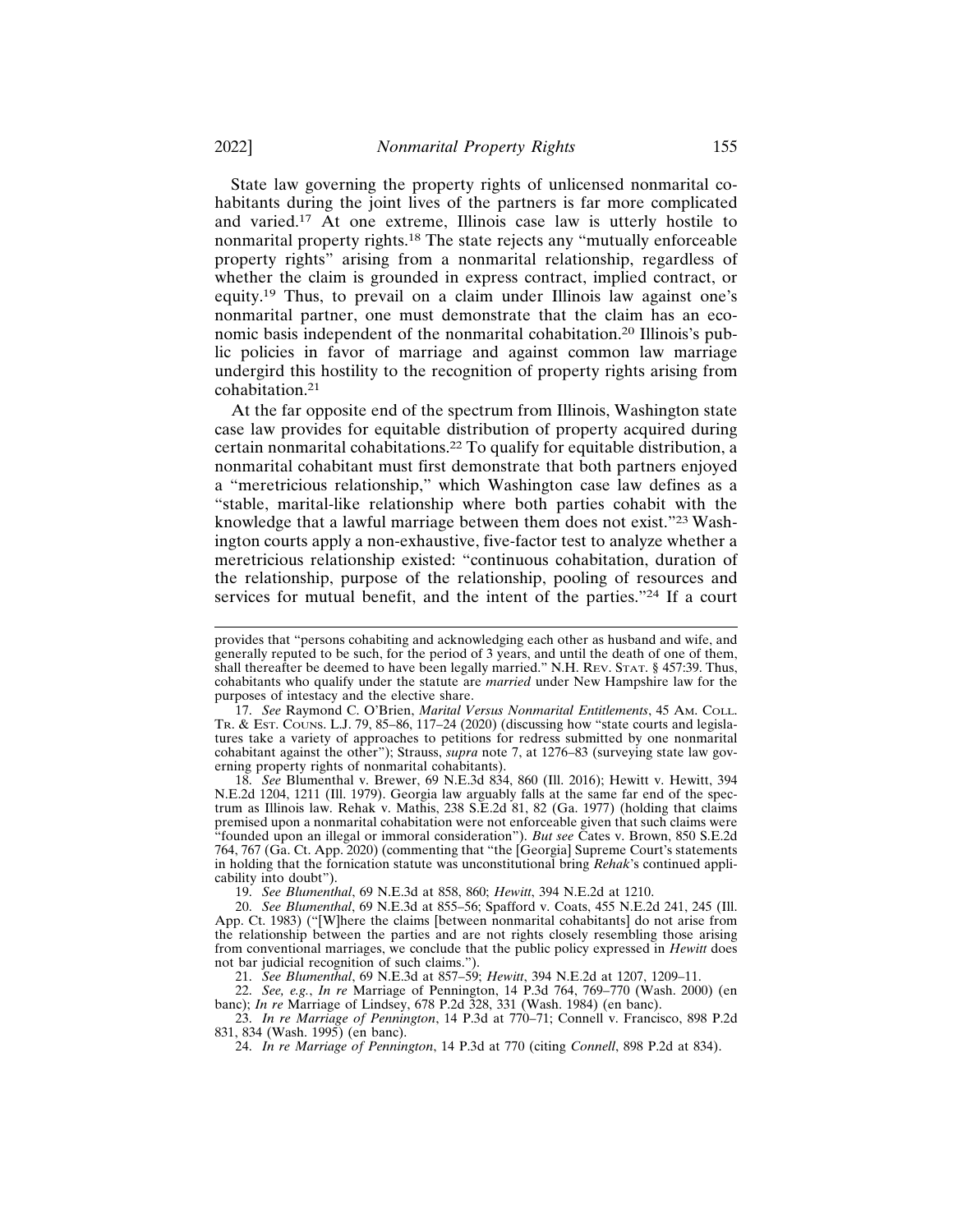State law governing the property rights of unlicensed nonmarital cohabitants during the joint lives of the partners is far more complicated and varied.17 At one extreme, Illinois case law is utterly hostile to nonmarital property rights.18 The state rejects any "mutually enforceable property rights" arising from a nonmarital relationship, regardless of whether the claim is grounded in express contract, implied contract, or equity.19 Thus, to prevail on a claim under Illinois law against one's nonmarital partner, one must demonstrate that the claim has an economic basis independent of the nonmarital cohabitation.20 Illinois's public policies in favor of marriage and against common law marriage undergird this hostility to the recognition of property rights arising from cohabitation.<sup>21</sup>

At the far opposite end of the spectrum from Illinois, Washington state case law provides for equitable distribution of property acquired during certain nonmarital cohabitations.22 To qualify for equitable distribution, a nonmarital cohabitant must first demonstrate that both partners enjoyed a "meretricious relationship," which Washington case law defines as a "stable, marital-like relationship where both parties cohabit with the knowledge that a lawful marriage between them does not exist."23 Washington courts apply a non-exhaustive, five-factor test to analyze whether a meretricious relationship existed: "continuous cohabitation, duration of the relationship, purpose of the relationship, pooling of resources and services for mutual benefit, and the intent of the parties."24 If a court

18. *See* Blumenthal v. Brewer, 69 N.E.3d 834, 860 (Ill. 2016); Hewitt v. Hewitt, 394 N.E.2d 1204, 1211 (Ill. 1979). Georgia law arguably falls at the same far end of the spectrum as Illinois law. Rehak v. Mathis, 238 S.E.2d 81, 82 (Ga. 1977) (holding that claims premised upon a nonmarital cohabitation were not enforceable given that such claims were "founded upon an illegal or immoral consideration"). *But see* Cates v. Brown, 850 S.E.2d 764, 767 (Ga. Ct. App. 2020) (commenting that "the [Georgia] Supreme Court's statements in holding that the fornication statute was unconstitutional bring *Rehak*'s continued applicability into doubt").

19. *See Blumenthal*, 69 N.E.3d at 858, 860; *Hewitt*, 394 N.E.2d at 1210.

20. *See Blumenthal*, 69 N.E.3d at 855–56; Spafford v. Coats, 455 N.E.2d 241, 245 (Ill. App. Ct. 1983) ("[W]here the claims [between nonmarital cohabitants] do not arise from the relationship between the parties and are not rights closely resembling those arising from conventional marriages, we conclude that the public policy expressed in *Hewitt* does not bar judicial recognition of such claims.").

21. *See Blumenthal*, 69 N.E.3d at 857–59; *Hewitt*, 394 N.E.2d at 1207, 1209–11.

22. *See, e.g.*, *In re* Marriage of Pennington, 14 P.3d 764, 769–770 (Wash. 2000) (en

banc); *In re* Marriage of Lindsey, 678 P.2d 328, 331 (Wash. 1984) (en banc). 23. *In re Marriage of Pennington*, 14 P.3d at 770–71; Connell v. Francisco, 898 P.2d 831, 834 (Wash. 1995) (en banc).

24. *In re Marriage of Pennington*, 14 P.3d at 770 (citing *Connell*, 898 P.2d at 834).

provides that "persons cohabiting and acknowledging each other as husband and wife, and generally reputed to be such, for the period of 3 years, and until the death of one of them, shall thereafter be deemed to have been legally married." N.H. REV. STAT. § 457:39. Thus, cohabitants who qualify under the statute are *married* under New Hampshire law for the purposes of intestacy and the elective share.

<sup>17.</sup> *See* Raymond C. O'Brien, *Marital Versus Nonmarital Entitlements*, 45 AM. COLL. TR. & EST. COUNS. L.J. 79, 85–86, 117–24 (2020) (discussing how "state courts and legislatures take a variety of approaches to petitions for redress submitted by one nonmarital cohabitant against the other"); Strauss, *supra* note 7, at 1276–83 (surveying state law governing property rights of nonmarital cohabitants).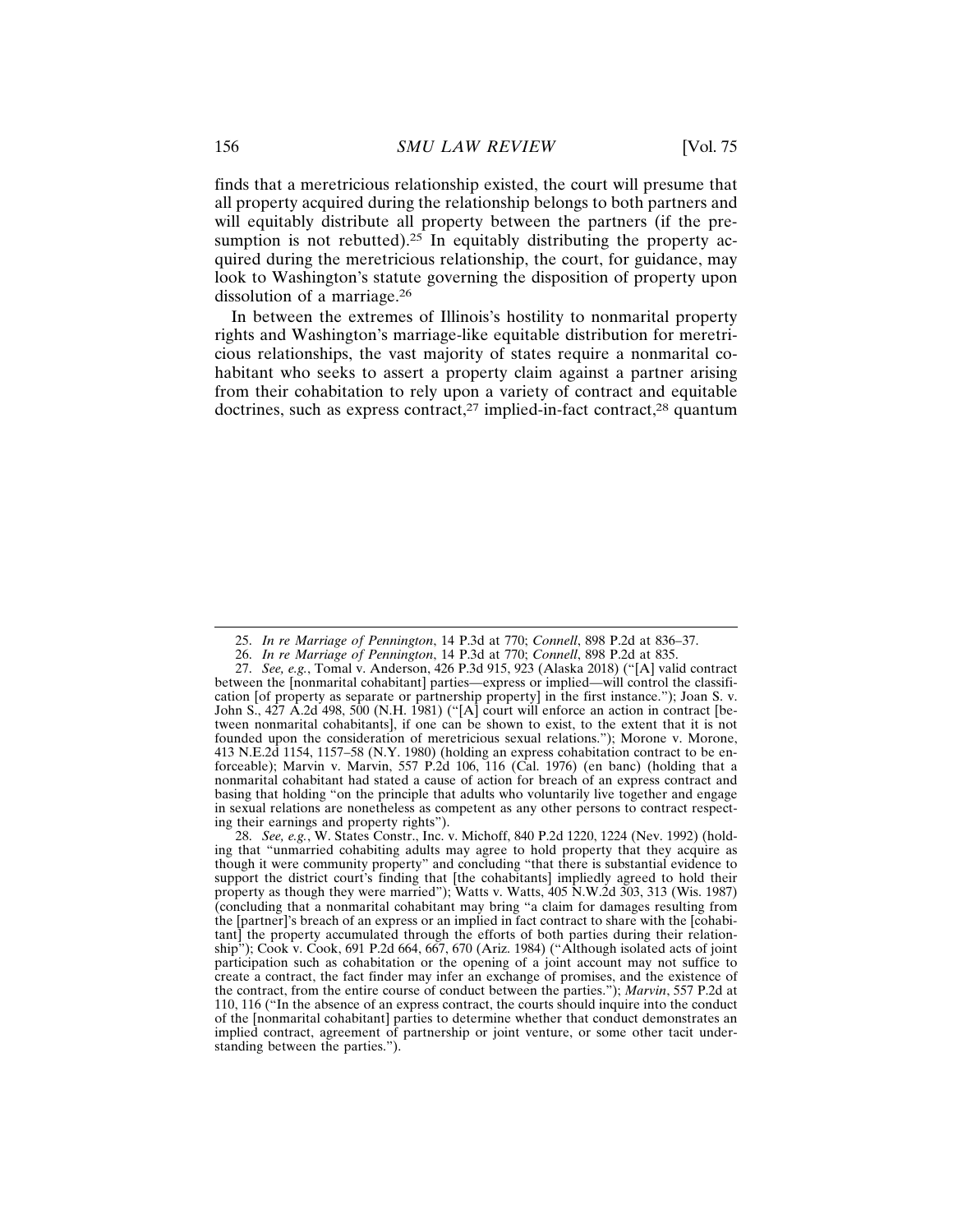finds that a meretricious relationship existed, the court will presume that all property acquired during the relationship belongs to both partners and will equitably distribute all property between the partners (if the presumption is not rebutted).<sup>25</sup> In equitably distributing the property acquired during the meretricious relationship, the court, for guidance, may look to Washington's statute governing the disposition of property upon dissolution of a marriage.<sup>26</sup>

In between the extremes of Illinois's hostility to nonmarital property rights and Washington's marriage-like equitable distribution for meretricious relationships, the vast majority of states require a nonmarital cohabitant who seeks to assert a property claim against a partner arising from their cohabitation to rely upon a variety of contract and equitable doctrines, such as express contract,<sup>27</sup> implied-in-fact contract,<sup>28</sup> quantum

<sup>25.</sup> *In re Marriage of Pennington*, 14 P.3d at 770; *Connell*, 898 P.2d at 836–37.

<sup>26.</sup> *In re Marriage of Pennington*, 14 P.3d at 770; *Connell*, 898 P.2d at 835.

<sup>27.</sup> *See, e.g.*, Tomal v. Anderson, 426 P.3d 915, 923 (Alaska 2018) ("[A] valid contract between the [nonmarital cohabitant] parties—express or implied—will control the classification [of property as separate or partnership property] in the first instance."); Joan S. v. John S.,  $427$  A.2d  $498$ ,  $500$  (N.H. 1981) ("[A] court will enforce an action in contract [between nonmarital cohabitants], if one can be shown to exist, to the extent that it is not founded upon the consideration of meretricious sexual relations."); Morone v. Morone, 413 N.E.2d 1154, 1157–58 (N.Y. 1980) (holding an express cohabitation contract to be enforceable); Marvin v. Marvin, 557 P.2d 106, 116 (Cal. 1976) (en banc) (holding that a nonmarital cohabitant had stated a cause of action for breach of an express contract and basing that holding "on the principle that adults who voluntarily live together and engage in sexual relations are nonetheless as competent as any other persons to contract respecting their earnings and property rights").

<sup>28.</sup> *See, e.g.*, W. States Constr., Inc. v. Michoff, 840 P.2d 1220, 1224 (Nev. 1992) (holding that "unmarried cohabiting adults may agree to hold property that they acquire as though it were community property" and concluding "that there is substantial evidence to support the district court's finding that [the cohabitants] impliedly agreed to hold their property as though they were married"); Watts v. Watts, 405 N.W.2d 303, 313 (Wis. 1987) (concluding that a nonmarital cohabitant may bring "a claim for damages resulting from the [partner]'s breach of an express or an implied in fact contract to share with the [cohabitant] the property accumulated through the efforts of both parties during their relationship"); Cook v. Cook, 691 P.2d 664, 667, 670 (Ariz. 1984) ("Although isolated acts of joint participation such as cohabitation or the opening of a joint account may not suffice to create a contract, the fact finder may infer an exchange of promises, and the existence of the contract, from the entire course of conduct between the parties."); *Marvin*, 557 P.2d at 110, 116 ("In the absence of an express contract, the courts should inquire into the conduct of the [nonmarital cohabitant] parties to determine whether that conduct demonstrates an implied contract, agreement of partnership or joint venture, or some other tacit understanding between the parties.").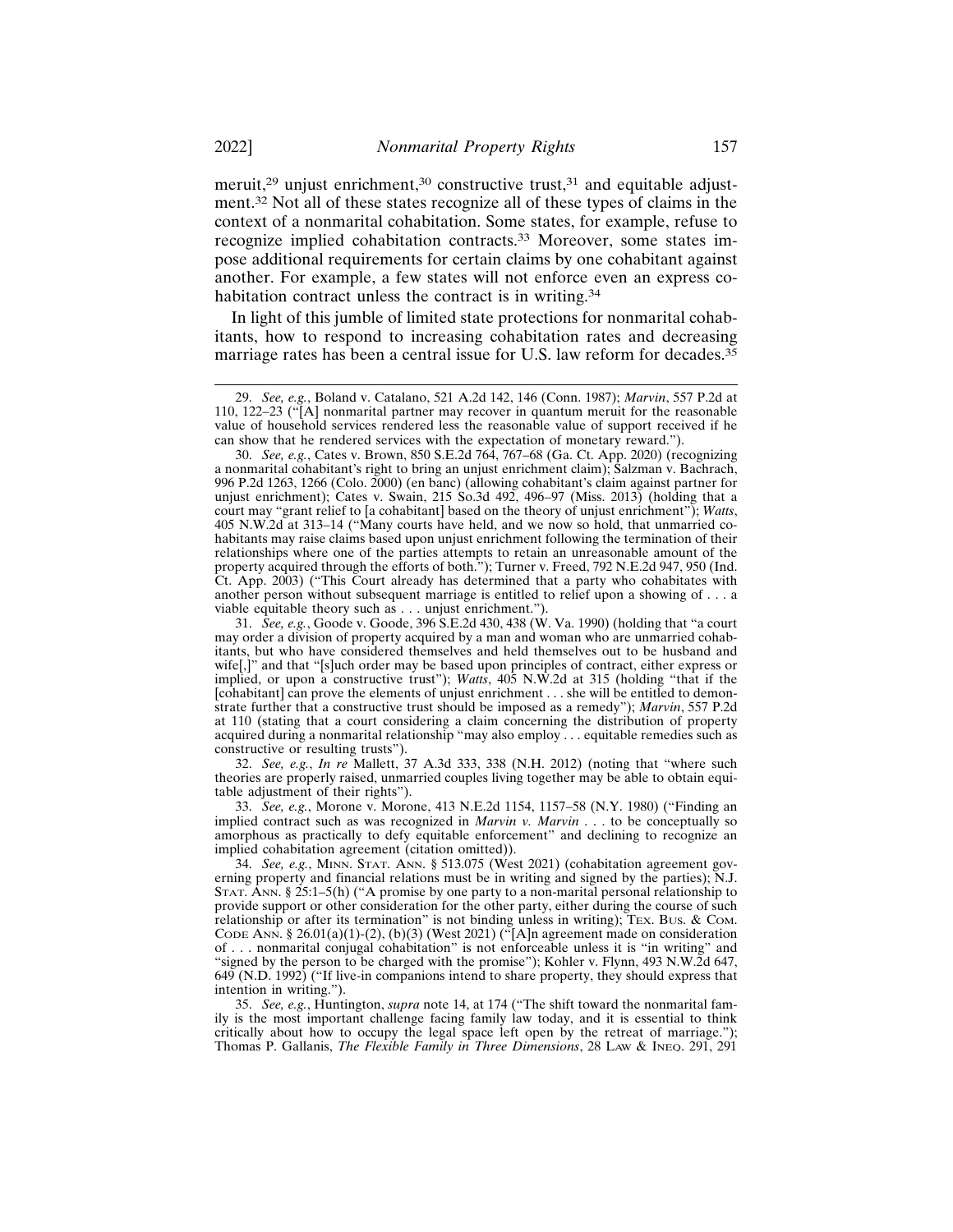meruit,<sup>29</sup> unjust enrichment,<sup>30</sup> constructive trust,<sup>31</sup> and equitable adjustment.32 Not all of these states recognize all of these types of claims in the context of a nonmarital cohabitation. Some states, for example, refuse to recognize implied cohabitation contracts.33 Moreover, some states impose additional requirements for certain claims by one cohabitant against another. For example, a few states will not enforce even an express cohabitation contract unless the contract is in writing.<sup>34</sup>

In light of this jumble of limited state protections for nonmarital cohabitants, how to respond to increasing cohabitation rates and decreasing marriage rates has been a central issue for U.S. law reform for decades.<sup>35</sup>

32. *See, e.g.*, *In re* Mallett, 37 A.3d 333, 338 (N.H. 2012) (noting that "where such theories are properly raised, unmarried couples living together may be able to obtain equitable adjustment of their rights").

33. *See, e.g.*, Morone v. Morone, 413 N.E.2d 1154, 1157–58 (N.Y. 1980) ("Finding an implied contract such as was recognized in *Marvin v. Marvin* . . . to be conceptually so amorphous as practically to defy equitable enforcement" and declining to recognize an implied cohabitation agreement (citation omitted)).

34. *See, e.g.*, MINN. STAT. ANN. § 513.075 (West 2021) (cohabitation agreement governing property and financial relations must be in writing and signed by the parties); N.J. STAT. ANN. § 25:1–5(h) ("A promise by one party to a non-marital personal relationship to provide support or other consideration for the other party, either during the course of such relationship or after its termination" is not binding unless in writing); TEX. BUS. & COM. CODE ANN. § 26.01(a)(1)-(2), (b)(3) (West 2021) ("[A]n agreement made on consideration of . . . nonmarital conjugal cohabitation" is not enforceable unless it is "in writing" and "signed by the person to be charged with the promise"); Kohler v. Flynn, 493 N.W.2d 647, 649 (N.D. 1992) ("If live-in companions intend to share property, they should express that intention in writing.").

35. *See, e.g.*, Huntington, *supra* note 14, at 174 ("The shift toward the nonmarital family is the most important challenge facing family law today, and it is essential to think critically about how to occupy the legal space left open by the retreat of marriage."); Thomas P. Gallanis, *The Flexible Family in Three Dimensions*, 28 LAW & INEQ. 291, 291

<sup>29.</sup> *See, e.g.*, Boland v. Catalano, 521 A.2d 142, 146 (Conn. 1987); *Marvin*, 557 P.2d at 110, 122–23 ("[A] nonmarital partner may recover in quantum meruit for the reasonable value of household services rendered less the reasonable value of support received if he can show that he rendered services with the expectation of monetary reward.").

<sup>30.</sup> *See, e.g.*, Cates v. Brown, 850 S.E.2d 764, 767–68 (Ga. Ct. App. 2020) (recognizing a nonmarital cohabitant's right to bring an unjust enrichment claim); Salzman v. Bachrach, 996 P.2d 1263, 1266 (Colo. 2000) (en banc) (allowing cohabitant's claim against partner for unjust enrichment); Cates v. Swain, 215 So.3d 492, 496–97 (Miss. 2013) (holding that a court may "grant relief to [a cohabitant] based on the theory of unjust enrichment"); *Watts*, 405 N.W.2d at 313–14 ("Many courts have held, and we now so hold, that unmarried cohabitants may raise claims based upon unjust enrichment following the termination of their relationships where one of the parties attempts to retain an unreasonable amount of the property acquired through the efforts of both."); Turner v. Freed, 792 N.E.2d 947, 950 (Ind. Ct. App. 2003) ("This Court already has determined that a party who cohabitates with another person without subsequent marriage is entitled to relief upon a showing of . . . a viable equitable theory such as . . . unjust enrichment.").

<sup>31.</sup> *See, e.g.*, Goode v. Goode, 396 S.E.2d 430, 438 (W. Va. 1990) (holding that "a court may order a division of property acquired by a man and woman who are unmarried cohabitants, but who have considered themselves and held themselves out to be husband and wife[,]" and that "[s]uch order may be based upon principles of contract, either express or implied, or upon a constructive trust"); *Watts*, 405 N.W.2d at 315 (holding "that if the [cohabitant] can prove the elements of unjust enrichment . . . she will be entitled to demonstrate further that a constructive trust should be imposed as a remedy"); *Marvin*, 557 P.2d at 110 (stating that a court considering a claim concerning the distribution of property acquired during a nonmarital relationship "may also employ . . . equitable remedies such as constructive or resulting trusts").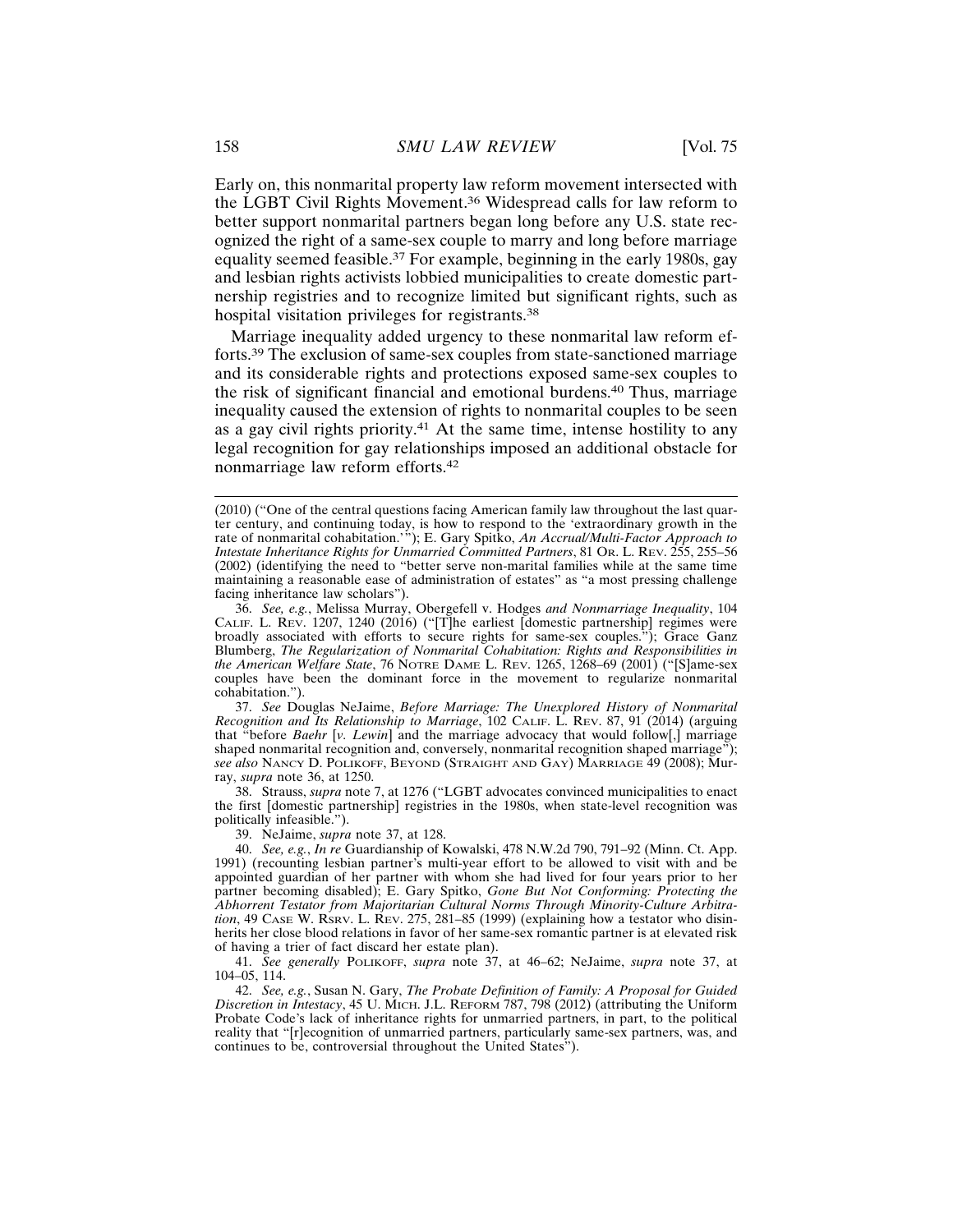Early on, this nonmarital property law reform movement intersected with the LGBT Civil Rights Movement.36 Widespread calls for law reform to better support nonmarital partners began long before any U.S. state recognized the right of a same-sex couple to marry and long before marriage equality seemed feasible.37 For example, beginning in the early 1980s, gay and lesbian rights activists lobbied municipalities to create domestic partnership registries and to recognize limited but significant rights, such as hospital visitation privileges for registrants.<sup>38</sup>

Marriage inequality added urgency to these nonmarital law reform efforts.39 The exclusion of same-sex couples from state-sanctioned marriage and its considerable rights and protections exposed same-sex couples to the risk of significant financial and emotional burdens.40 Thus, marriage inequality caused the extension of rights to nonmarital couples to be seen as a gay civil rights priority.<sup>41</sup> At the same time, intense hostility to any legal recognition for gay relationships imposed an additional obstacle for nonmarriage law reform efforts.<sup>42</sup>

37. *See* Douglas NeJaime, *Before Marriage: The Unexplored History of Nonmarital Recognition and Its Relationship to Marriage*, 102 CALIF. L. REV. 87, 91 (2014) (arguing that "before *Baehr* [*v. Lewin*] and the marriage advocacy that would follow[,] marriage shaped nonmarital recognition and, conversely, nonmarital recognition shaped marriage"); *see also* NANCY D. POLIKOFF, BEYOND (STRAIGHT AND GAY) MARRIAGE 49 (2008); Murray, *supra* note 36, at 1250.

38. Strauss, *supra* note 7, at 1276 ("LGBT advocates convinced municipalities to enact the first [domestic partnership] registries in the 1980s, when state-level recognition was politically infeasible.").

39. NeJaime, *supra* note 37, at 128.

40. *See, e.g.*, *In re* Guardianship of Kowalski, 478 N.W.2d 790, 791–92 (Minn. Ct. App. 1991) (recounting lesbian partner's multi-year effort to be allowed to visit with and be appointed guardian of her partner with whom she had lived for four years prior to her partner becoming disabled); E. Gary Spitko, *Gone But Not Conforming: Protecting the Abhorrent Testator from Majoritarian Cultural Norms Through Minority-Culture Arbitration*, 49 CASE W. RSRV. L. REV. 275, 281–85 (1999) (explaining how a testator who disinherits her close blood relations in favor of her same-sex romantic partner is at elevated risk of having a trier of fact discard her estate plan).

41. *See generally* POLIKOFF, *supra* note 37, at 46–62; NeJaime, *supra* note 37, at 104–05, 114.

42. *See, e.g.*, Susan N. Gary, *The Probate Definition of Family: A Proposal for Guided Discretion in Intestacy*, 45 U. MICH. J.L. REFORM 787, 798 (2012) (attributing the Uniform Probate Code's lack of inheritance rights for unmarried partners, in part, to the political reality that "[r]ecognition of unmarried partners, particularly same-sex partners, was, and continues to be, controversial throughout the United States").

<sup>(2010) (&</sup>quot;One of the central questions facing American family law throughout the last quarter century, and continuing today, is how to respond to the 'extraordinary growth in the rate of nonmarital cohabitation.'"); E. Gary Spitko, *An Accrual/Multi-Factor Approach to Intestate Inheritance Rights for Unmarried Committed Partners*, 81 OR. L. REV. 255, 255–56 (2002) (identifying the need to "better serve non-marital families while at the same time maintaining a reasonable ease of administration of estates" as "a most pressing challenge facing inheritance law scholars").

<sup>36.</sup> *See, e.g.*, Melissa Murray, Obergefell v. Hodges *and Nonmarriage Inequality*, 104 CALIF. L. REV. 1207, 1240 (2016) ("[T]he earliest [domestic partnership] regimes were broadly associated with efforts to secure rights for same-sex couples."); Grace Ganz Blumberg, *The Regularization of Nonmarital Cohabitation: Rights and Responsibilities in the American Welfare State*, 76 NOTRE DAME L. REV. 1265, 1268–69 (2001) ("[S]ame-sex couples have been the dominant force in the movement to regularize nonmarital cohabitation.").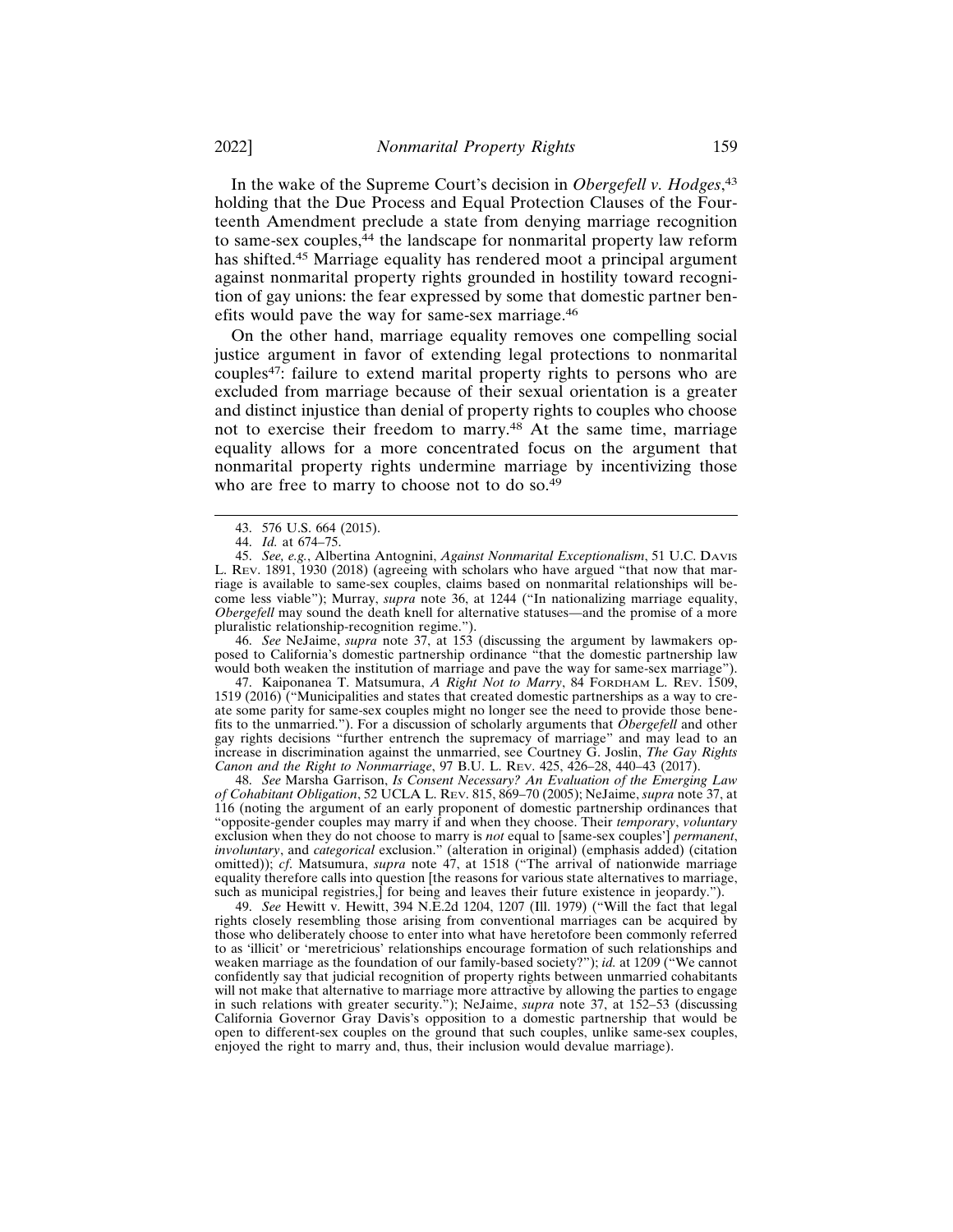In the wake of the Supreme Court's decision in *Obergefell v. Hodges*, 43 holding that the Due Process and Equal Protection Clauses of the Fourteenth Amendment preclude a state from denying marriage recognition to same-sex couples,<sup>44</sup> the landscape for nonmarital property law reform has shifted.45 Marriage equality has rendered moot a principal argument against nonmarital property rights grounded in hostility toward recognition of gay unions: the fear expressed by some that domestic partner benefits would pave the way for same-sex marriage.<sup>46</sup>

On the other hand, marriage equality removes one compelling social justice argument in favor of extending legal protections to nonmarital couples47: failure to extend marital property rights to persons who are excluded from marriage because of their sexual orientation is a greater and distinct injustice than denial of property rights to couples who choose not to exercise their freedom to marry.48 At the same time, marriage equality allows for a more concentrated focus on the argument that nonmarital property rights undermine marriage by incentivizing those who are free to marry to choose not to do so.<sup>49</sup>

46. *See* NeJaime, *supra* note 37, at 153 (discussing the argument by lawmakers opposed to California's domestic partnership ordinance "that the domestic partnership law would both weaken the institution of marriage and pave the way for same-sex marriage").

47. Kaiponanea T. Matsumura, *A Right Not to Marry*, 84 FORDHAM L. REV. 1509, 1519 (2016) ("Municipalities and states that created domestic partnerships as a way to create some parity for same-sex couples might no longer see the need to provide those benefits to the unmarried."). For a discussion of scholarly arguments that *Obergefell* and other gay rights decisions "further entrench the supremacy of marriage" and may lead to an increase in discrimination against the unmarried, see Courtney G. Joslin, *The Gay Rights Canon and the Right to Nonmarriage*, 97 B.U. L. REV. 425, 426–28, 440–43 (2017).

48. *See* Marsha Garrison, *Is Consent Necessary? An Evaluation of the Emerging Law of Cohabitant Obligation*, 52 UCLA L. REV. 815, 869–70 (2005); NeJaime, *supra* note 37, at 116 (noting the argument of an early proponent of domestic partnership ordinances that "opposite-gender couples may marry if and when they choose. Their *temporary*, *voluntary* exclusion when they do not choose to marry is *not* equal to [same-sex couples'] *permanent*, *involuntary*, and *categorical* exclusion." (alteration in original) (emphasis added) (citation omitted)); *cf*. Matsumura, *supra* note 47, at 1518 ("The arrival of nationwide marriage equality therefore calls into question [the reasons for various state alternatives to marriage, such as municipal registries,] for being and leaves their future existence in jeopardy.").

49. *See* Hewitt v. Hewitt, 394 N.E.2d 1204, 1207 (Ill. 1979) ("Will the fact that legal rights closely resembling those arising from conventional marriages can be acquired by those who deliberately choose to enter into what have heretofore been commonly referred to as 'illicit' or 'meretricious' relationships encourage formation of such relationships and weaken marriage as the foundation of our family-based society?"); *id.* at 1209 ("We cannot confidently say that judicial recognition of property rights between unmarried cohabitants will not make that alternative to marriage more attractive by allowing the parties to engage in such relations with greater security."); NeJaime, *supra* note 37, at 152–53 (discussing California Governor Gray Davis's opposition to a domestic partnership that would be open to different-sex couples on the ground that such couples, unlike same-sex couples, enjoyed the right to marry and, thus, their inclusion would devalue marriage).

<sup>43. 576</sup> U.S. 664 (2015).

<sup>44.</sup> *Id.* at 674–75.

<sup>45.</sup> *See, e.g.*, Albertina Antognini, *Against Nonmarital Exceptionalism*, 51 U.C. DAVIS L. REV. 1891, 1930 (2018) (agreeing with scholars who have argued "that now that marriage is available to same-sex couples, claims based on nonmarital relationships will become less viable"); Murray, *supra* note 36, at 1244 ("In nationalizing marriage equality, *Obergefell* may sound the death knell for alternative statuses—and the promise of a more pluralistic relationship-recognition regime.").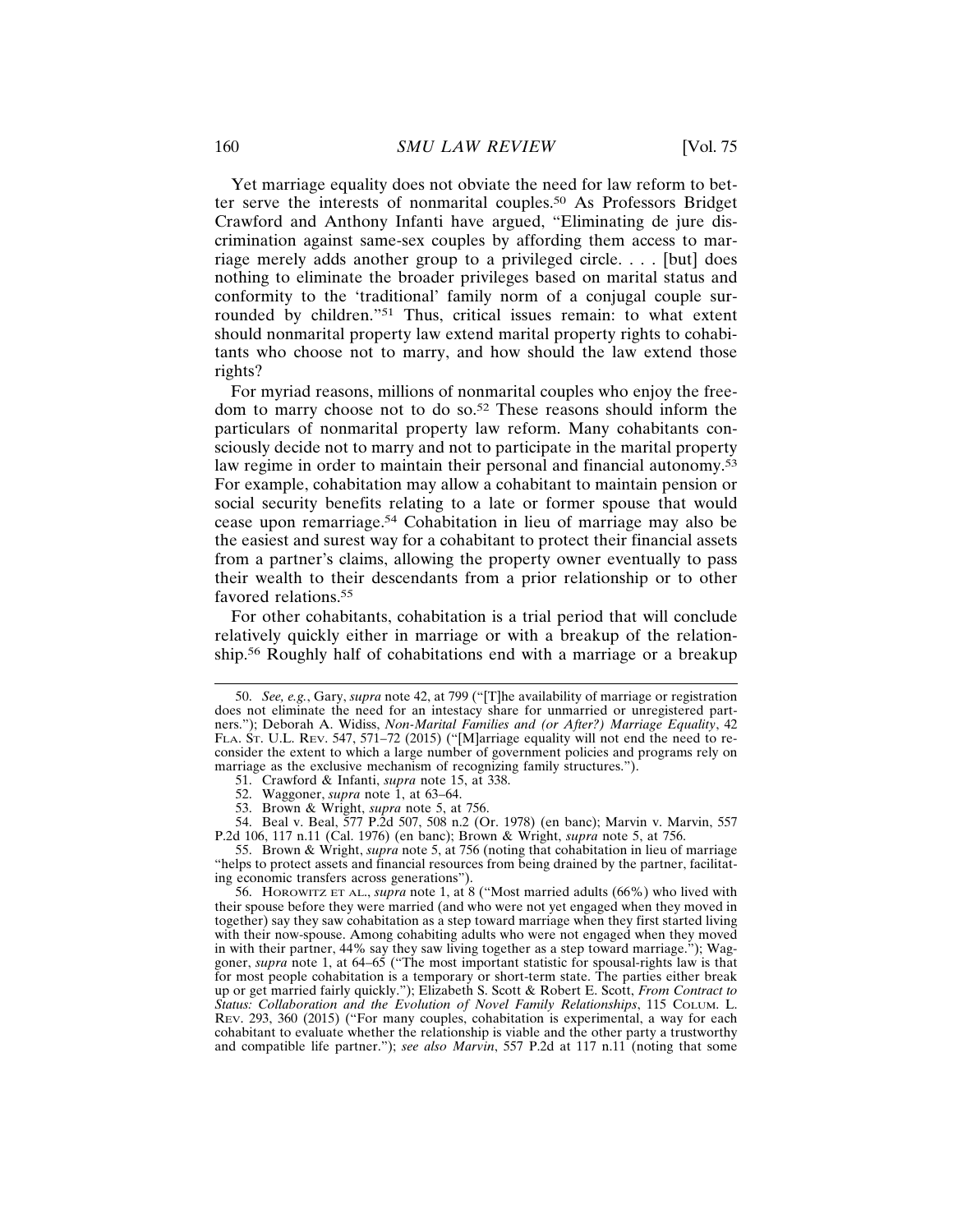Yet marriage equality does not obviate the need for law reform to better serve the interests of nonmarital couples.50 As Professors Bridget Crawford and Anthony Infanti have argued, "Eliminating de jure discrimination against same-sex couples by affording them access to marriage merely adds another group to a privileged circle. . . . [but] does nothing to eliminate the broader privileges based on marital status and conformity to the 'traditional' family norm of a conjugal couple surrounded by children."51 Thus, critical issues remain: to what extent should nonmarital property law extend marital property rights to cohabitants who choose not to marry, and how should the law extend those rights?

For myriad reasons, millions of nonmarital couples who enjoy the freedom to marry choose not to do so.52 These reasons should inform the particulars of nonmarital property law reform. Many cohabitants consciously decide not to marry and not to participate in the marital property law regime in order to maintain their personal and financial autonomy.<sup>53</sup> For example, cohabitation may allow a cohabitant to maintain pension or social security benefits relating to a late or former spouse that would cease upon remarriage.54 Cohabitation in lieu of marriage may also be the easiest and surest way for a cohabitant to protect their financial assets from a partner's claims, allowing the property owner eventually to pass their wealth to their descendants from a prior relationship or to other favored relations.<sup>55</sup>

For other cohabitants, cohabitation is a trial period that will conclude relatively quickly either in marriage or with a breakup of the relationship.56 Roughly half of cohabitations end with a marriage or a breakup

55. Brown & Wright, *supra* note 5, at 756 (noting that cohabitation in lieu of marriage "helps to protect assets and financial resources from being drained by the partner, facilitating economic transfers across generations").

56. HOROWITZ ET AL., *supra* note 1, at 8 ("Most married adults (66%) who lived with their spouse before they were married (and who were not yet engaged when they moved in together) say they saw cohabitation as a step toward marriage when they first started living with their now-spouse. Among cohabiting adults who were not engaged when they moved in with their partner, 44% say they saw living together as a step toward marriage."); Waggoner, *supra* note 1, at 64–65 ("The most important statistic for spousal-rights law is that for most people cohabitation is a temporary or short-term state. The parties either break up or get married fairly quickly."); Elizabeth S. Scott & Robert E. Scott, *From Contract to Status: Collaboration and the Evolution of Novel Family Relationships*, 115 COLUM. L. REV. 293, 360 (2015) ("For many couples, cohabitation is experimental, a way for each cohabitant to evaluate whether the relationship is viable and the other party a trustworthy and compatible life partner."); *see also Marvin*, 557 P.2d at 117 n.11 (noting that some

<sup>50.</sup> *See, e.g.*, Gary, *supra* note 42, at 799 ("[T]he availability of marriage or registration does not eliminate the need for an intestacy share for unmarried or unregistered partners."); Deborah A. Widiss, *Non-Marital Families and (or After?) Marriage Equality*, 42 FLA. ST. U.L. REV. 547, 571–72 (2015) ("[M]arriage equality will not end the need to reconsider the extent to which a large number of government policies and programs rely on marriage as the exclusive mechanism of recognizing family structures.").

<sup>51.</sup> Crawford & Infanti, *supra* note 15, at 338.

<sup>52.</sup> Waggoner, *supra* note 1, at 63–64.

<sup>53.</sup> Brown & Wright, *supra* note 5, at 756.

<sup>54.</sup> Beal v. Beal, 577 P.2d 507, 508 n.2 (Or. 1978) (en banc); Marvin v. Marvin, 557 P.2d 106, 117 n.11 (Cal. 1976) (en banc); Brown & Wright, *supra* note 5, at 756.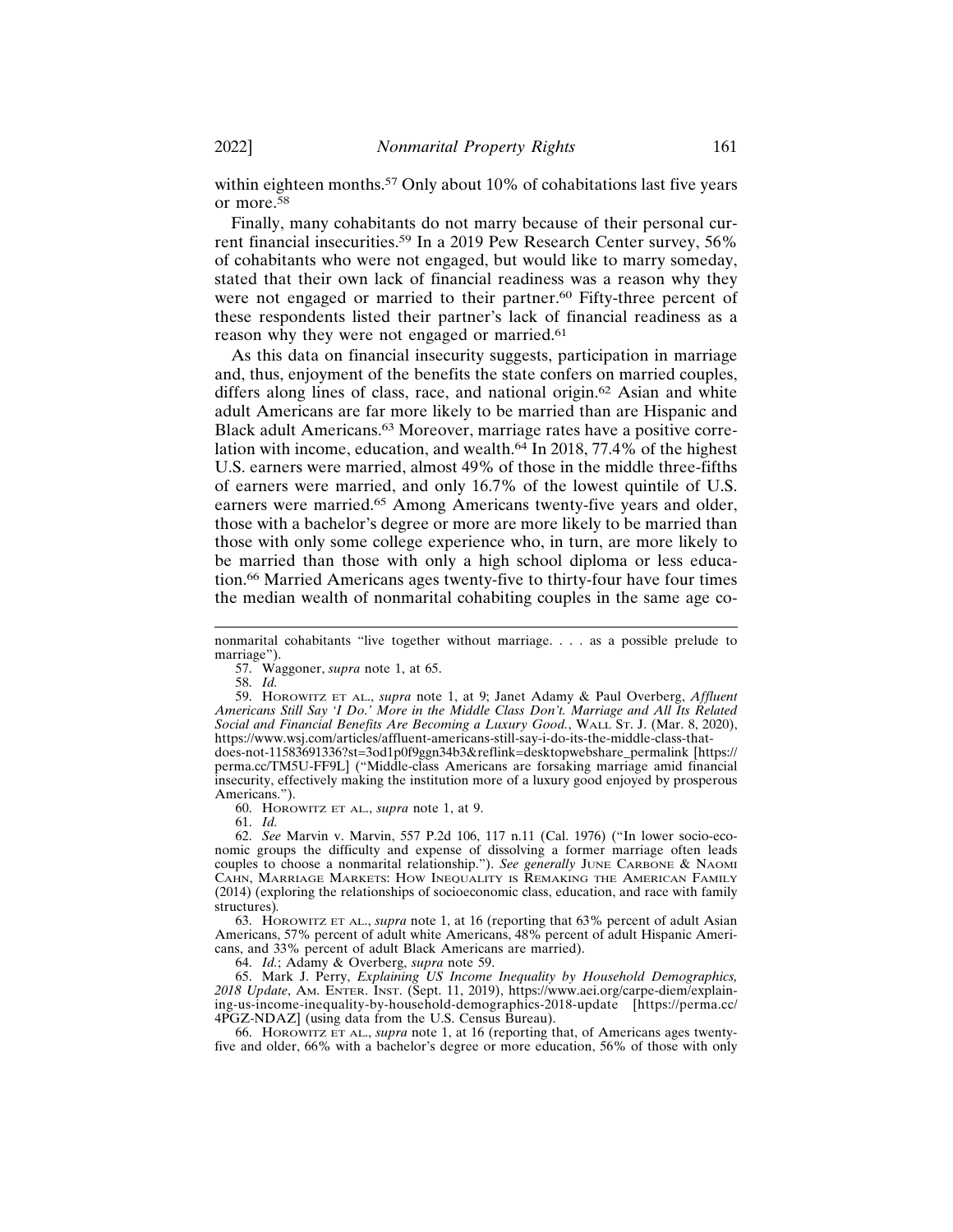within eighteen months.<sup>57</sup> Only about 10% of cohabitations last five years or more.<sup>58</sup>

Finally, many cohabitants do not marry because of their personal current financial insecurities.59 In a 2019 Pew Research Center survey, 56% of cohabitants who were not engaged, but would like to marry someday, stated that their own lack of financial readiness was a reason why they were not engaged or married to their partner.<sup>60</sup> Fifty-three percent of these respondents listed their partner's lack of financial readiness as a reason why they were not engaged or married.<sup>61</sup>

As this data on financial insecurity suggests, participation in marriage and, thus, enjoyment of the benefits the state confers on married couples, differs along lines of class, race, and national origin.62 Asian and white adult Americans are far more likely to be married than are Hispanic and Black adult Americans.63 Moreover, marriage rates have a positive correlation with income, education, and wealth.64 In 2018, 77.4% of the highest U.S. earners were married, almost 49% of those in the middle three-fifths of earners were married, and only 16.7% of the lowest quintile of U.S. earners were married.65 Among Americans twenty-five years and older, those with a bachelor's degree or more are more likely to be married than those with only some college experience who, in turn, are more likely to be married than those with only a high school diploma or less education.66 Married Americans ages twenty-five to thirty-four have four times the median wealth of nonmarital cohabiting couples in the same age co-

57. Waggoner, *supra* note 1, at 65.

58. *Id.*

59. HOROWITZ ET AL., *supra* note 1, at 9; Janet Adamy & Paul Overberg, *Affluent Americans Still Say 'I Do.' More in the Middle Class Don't. Marriage and All Its Related Social and Financial Benefits Are Becoming a Luxury Good.*, WALL ST. J. (Mar. 8, 2020), https://www.wsj.com/articles/affluent-americans-still-say-i-do-its-the-middle-class-thatdoes-not-11583691336?st=3od1p0f9ggn34b3&reflink=desktopwebshare\_permalink [https://

perma.cc/TM5U-FF9L] ("Middle-class Americans are forsaking marriage amid financial insecurity, effectively making the institution more of a luxury good enjoyed by prosperous Americans.").

60. HOROWITZ ET AL., *supra* note 1, at 9.

61. *Id.*

62. *See* Marvin v. Marvin, 557 P.2d 106, 117 n.11 (Cal. 1976) ("In lower socio-economic groups the difficulty and expense of dissolving a former marriage often leads couples to choose a nonmarital relationship."). *See generally* JUNE CARBONE & NAOMI CAHN, MARRIAGE MARKETS: HOW INEQUALITY IS REMAKING THE AMERICAN FAMILY (2014) (exploring the relationships of socioeconomic class, education, and race with family structures)*.*

63. HOROWITZ ET AL., *supra* note 1, at 16 (reporting that 63% percent of adult Asian Americans, 57% percent of adult white Americans, 48% percent of adult Hispanic Americans, and 33% percent of adult Black Americans are married).

64. *Id.*; Adamy & Overberg, *supra* note 59.

65. Mark J. Perry, *Explaining US Income Inequality by Household Demographics, 2018 Update*, AM. ENTER. INST. (Sept. 11, 2019), https://www.aei.org/carpe-diem/explaining-us-income-inequality-by-household-demographics-2018-update [https://perma.cc/ 4PGZ-NDAZ] (using data from the U.S. Census Bureau).

66. HOROWITZ ET AL., *supra* note 1, at 16 (reporting that, of Americans ages twentyfive and older, 66% with a bachelor's degree or more education, 56% of those with only

nonmarital cohabitants "live together without marriage. . . . as a possible prelude to marriage").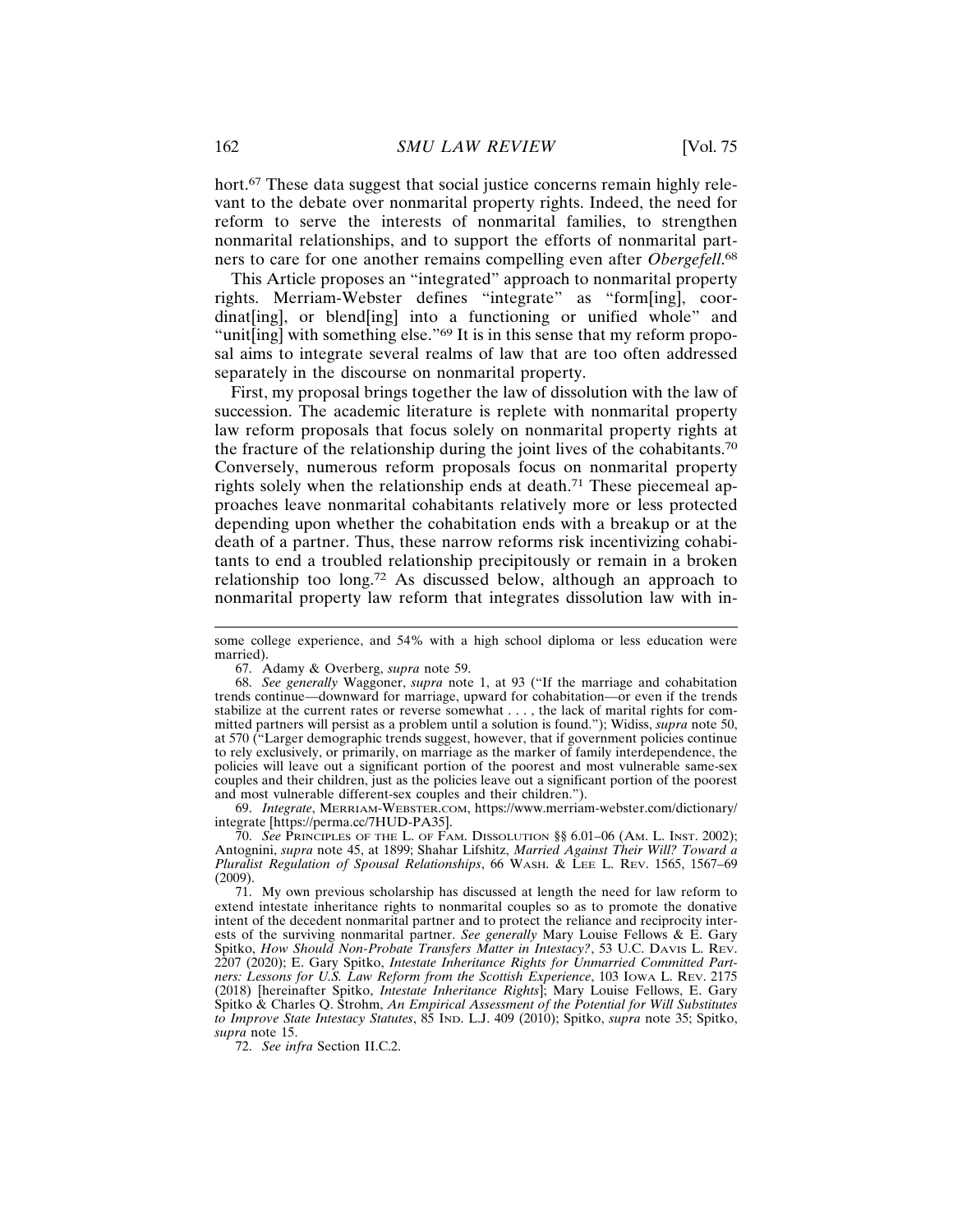hort.<sup>67</sup> These data suggest that social justice concerns remain highly relevant to the debate over nonmarital property rights. Indeed, the need for reform to serve the interests of nonmarital families, to strengthen nonmarital relationships, and to support the efforts of nonmarital partners to care for one another remains compelling even after *Obergefell*. 68

This Article proposes an "integrated" approach to nonmarital property rights. Merriam-Webster defines "integrate" as "form[ing], coordinat[ing], or blend[ing] into a functioning or unified whole" and "unit[ing] with something else."<sup>69</sup> It is in this sense that my reform proposal aims to integrate several realms of law that are too often addressed separately in the discourse on nonmarital property.

First, my proposal brings together the law of dissolution with the law of succession. The academic literature is replete with nonmarital property law reform proposals that focus solely on nonmarital property rights at the fracture of the relationship during the joint lives of the cohabitants.<sup>70</sup> Conversely, numerous reform proposals focus on nonmarital property rights solely when the relationship ends at death.<sup>71</sup> These piecemeal approaches leave nonmarital cohabitants relatively more or less protected depending upon whether the cohabitation ends with a breakup or at the death of a partner. Thus, these narrow reforms risk incentivizing cohabitants to end a troubled relationship precipitously or remain in a broken relationship too long.72 As discussed below, although an approach to nonmarital property law reform that integrates dissolution law with in-

69. *Integrate*, MERRIAM-WEBSTER.COM, https://www.merriam-webster.com/dictionary/ integrate [https://perma.cc/7HUD-PA35].

70. *See* PRINCIPLES OF THE L. OF FAM. DISSOLUTION §§ 6.01–06 (AM. L. INST. 2002); Antognini, *supra* note 45, at 1899; Shahar Lifshitz, *Married Against Their Will? Toward a Pluralist Regulation of Spousal Relationships*, 66 WASH. & LEE L. REV. 1565, 1567–69 (2009).

71. My own previous scholarship has discussed at length the need for law reform to extend intestate inheritance rights to nonmarital couples so as to promote the donative intent of the decedent nonmarital partner and to protect the reliance and reciprocity interests of the surviving nonmarital partner. *See generally* Mary Louise Fellows & E. Gary Spitko, *How Should Non-Probate Transfers Matter in Intestacy?*, 53 U.C. DAVIS L. REV. 2207 (2020); E. Gary Spitko, *Intestate Inheritance Rights for Unmarried Committed Partners: Lessons for U.S. Law Reform from the Scottish Experience*, 103 IOWA L. REV. 2175 (2018) [hereinafter Spitko, *Intestate Inheritance Rights*]; Mary Louise Fellows, E. Gary Spitko & Charles Q. Strohm, *An Empirical Assessment of the Potential for Will Substitutes to Improve State Intestacy Statutes*, 85 IND. L.J. 409 (2010); Spitko, *supra* note 35; Spitko, *supra* note 15.

72. *See infra* Section II.C.2.

some college experience, and 54% with a high school diploma or less education were married).

<sup>67.</sup> Adamy & Overberg, *supra* note 59.

<sup>68.</sup> *See generally* Waggoner, *supra* note 1, at 93 ("If the marriage and cohabitation trends continue—downward for marriage, upward for cohabitation—or even if the trends stabilize at the current rates or reverse somewhat . . . , the lack of marital rights for committed partners will persist as a problem until a solution is found."); Widiss, *supra* note 50, at 570 ("Larger demographic trends suggest, however, that if government policies continue to rely exclusively, or primarily, on marriage as the marker of family interdependence, the policies will leave out a significant portion of the poorest and most vulnerable same-sex couples and their children, just as the policies leave out a significant portion of the poorest and most vulnerable different-sex couples and their children.").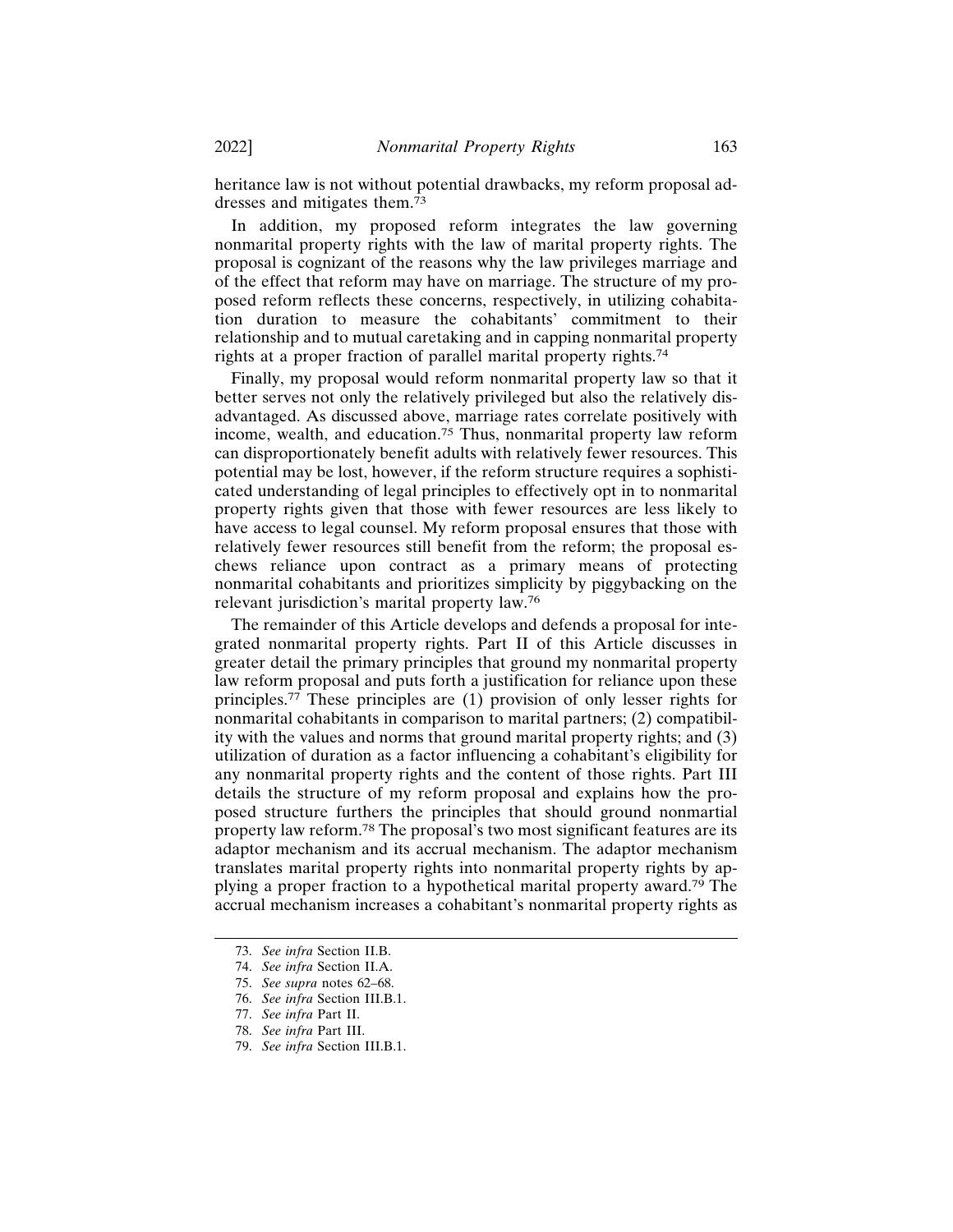heritance law is not without potential drawbacks, my reform proposal addresses and mitigates them.<sup>73</sup>

In addition, my proposed reform integrates the law governing nonmarital property rights with the law of marital property rights. The proposal is cognizant of the reasons why the law privileges marriage and of the effect that reform may have on marriage. The structure of my proposed reform reflects these concerns, respectively, in utilizing cohabitation duration to measure the cohabitants' commitment to their relationship and to mutual caretaking and in capping nonmarital property rights at a proper fraction of parallel marital property rights.<sup>74</sup>

Finally, my proposal would reform nonmarital property law so that it better serves not only the relatively privileged but also the relatively disadvantaged. As discussed above, marriage rates correlate positively with income, wealth, and education.75 Thus, nonmarital property law reform can disproportionately benefit adults with relatively fewer resources. This potential may be lost, however, if the reform structure requires a sophisticated understanding of legal principles to effectively opt in to nonmarital property rights given that those with fewer resources are less likely to have access to legal counsel. My reform proposal ensures that those with relatively fewer resources still benefit from the reform; the proposal eschews reliance upon contract as a primary means of protecting nonmarital cohabitants and prioritizes simplicity by piggybacking on the relevant jurisdiction's marital property law.<sup>76</sup>

The remainder of this Article develops and defends a proposal for integrated nonmarital property rights. Part II of this Article discusses in greater detail the primary principles that ground my nonmarital property law reform proposal and puts forth a justification for reliance upon these principles.77 These principles are (1) provision of only lesser rights for nonmarital cohabitants in comparison to marital partners; (2) compatibility with the values and norms that ground marital property rights; and (3) utilization of duration as a factor influencing a cohabitant's eligibility for any nonmarital property rights and the content of those rights. Part III details the structure of my reform proposal and explains how the proposed structure furthers the principles that should ground nonmartial property law reform.78 The proposal's two most significant features are its adaptor mechanism and its accrual mechanism. The adaptor mechanism translates marital property rights into nonmarital property rights by applying a proper fraction to a hypothetical marital property award.79 The accrual mechanism increases a cohabitant's nonmarital property rights as

<sup>73.</sup> *See infra* Section II.B.

<sup>74.</sup> *See infra* Section II.A.

<sup>75.</sup> *See supra* notes 62–68.

<sup>76.</sup> *See infra* Section III.B.1.

<sup>77.</sup> *See infra* Part II.

<sup>78.</sup> *See infra* Part III.

<sup>79.</sup> *See infra* Section III.B.1.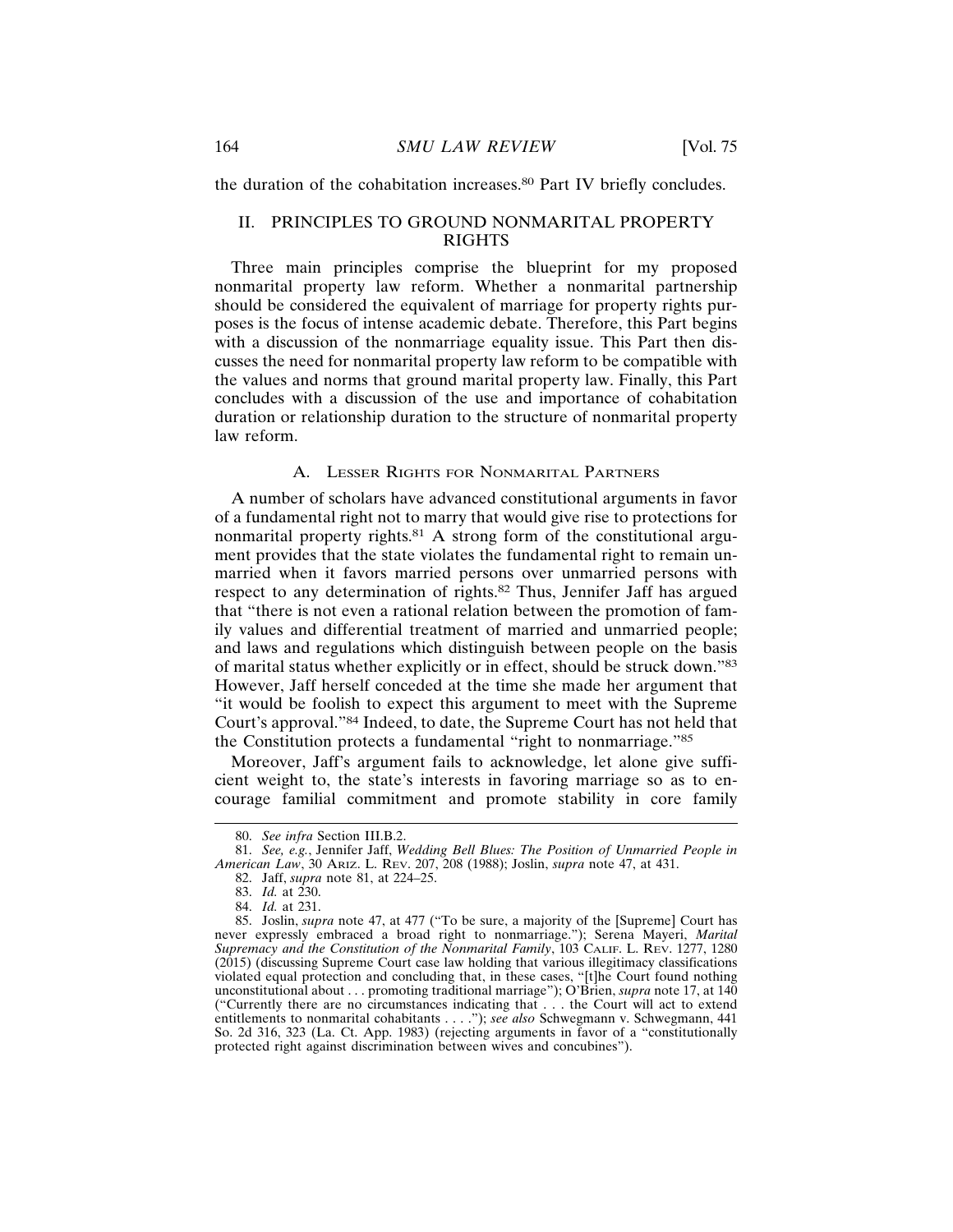the duration of the cohabitation increases.80 Part IV briefly concludes.

## II. PRINCIPLES TO GROUND NONMARITAL PROPERTY RIGHTS

Three main principles comprise the blueprint for my proposed nonmarital property law reform. Whether a nonmarital partnership should be considered the equivalent of marriage for property rights purposes is the focus of intense academic debate. Therefore, this Part begins with a discussion of the nonmarriage equality issue. This Part then discusses the need for nonmarital property law reform to be compatible with the values and norms that ground marital property law. Finally, this Part concludes with a discussion of the use and importance of cohabitation duration or relationship duration to the structure of nonmarital property law reform.

### A. LESSER RIGHTS FOR NONMARITAL PARTNERS

A number of scholars have advanced constitutional arguments in favor of a fundamental right not to marry that would give rise to protections for nonmarital property rights.81 A strong form of the constitutional argument provides that the state violates the fundamental right to remain unmarried when it favors married persons over unmarried persons with respect to any determination of rights.82 Thus, Jennifer Jaff has argued that "there is not even a rational relation between the promotion of family values and differential treatment of married and unmarried people; and laws and regulations which distinguish between people on the basis of marital status whether explicitly or in effect, should be struck down."<sup>83</sup> However, Jaff herself conceded at the time she made her argument that "it would be foolish to expect this argument to meet with the Supreme Court's approval."84 Indeed, to date, the Supreme Court has not held that the Constitution protects a fundamental "right to nonmarriage."<sup>85</sup>

Moreover, Jaff's argument fails to acknowledge, let alone give sufficient weight to, the state's interests in favoring marriage so as to encourage familial commitment and promote stability in core family

<sup>80.</sup> *See infra* Section III.B.2.

<sup>81.</sup> *See, e.g.*, Jennifer Jaff, *Wedding Bell Blues: The Position of Unmarried People in American Law*, 30 ARIZ. L. REV. 207, 208 (1988); Joslin, *supra* note 47, at 431.

<sup>82.</sup> Jaff, *supra* note 81, at 224–25.

<sup>83.</sup> *Id.* at 230.

<sup>84.</sup> *Id.* at 231.

<sup>85.</sup> Joslin, *supra* note 47, at 477 ("To be sure, a majority of the [Supreme] Court has never expressly embraced a broad right to nonmarriage."); Serena Mayeri, *Marital Supremacy and the Constitution of the Nonmarital Family*, 103 CALIF. L. REV. 1277, 1280 (2015) (discussing Supreme Court case law holding that various illegitimacy classifications violated equal protection and concluding that, in these cases, "[t]he Court found nothing unconstitutional about . . . promoting traditional marriage"); O'Brien, *supra* note 17, at 140 ("Currently there are no circumstances indicating that . . . the Court will act to extend entitlements to nonmarital cohabitants . . . ."); *see also* Schwegmann v. Schwegmann, 441 So. 2d 316, 323 (La. Ct. App. 1983) (rejecting arguments in favor of a "constitutionally protected right against discrimination between wives and concubines").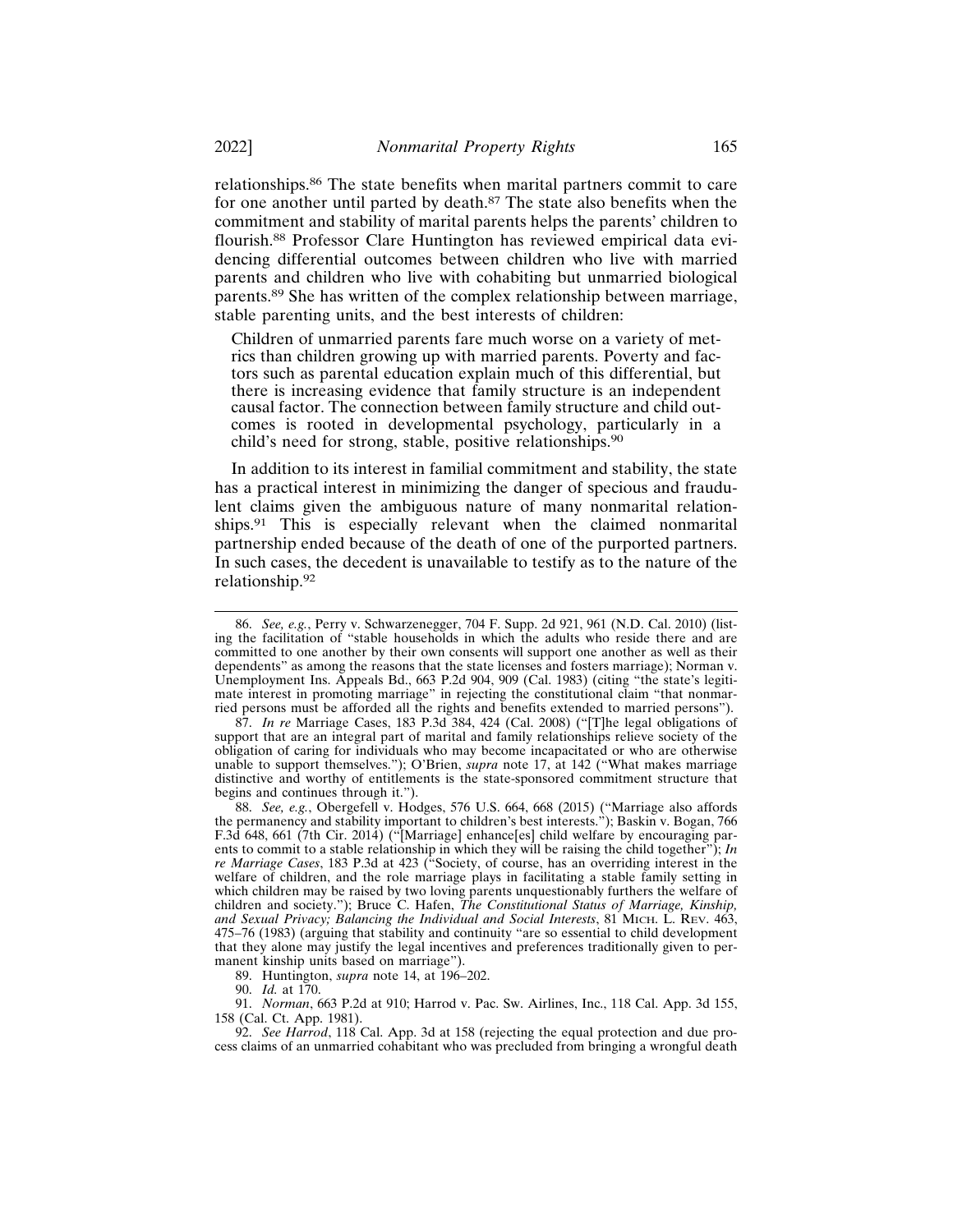relationships.86 The state benefits when marital partners commit to care for one another until parted by death.<sup>87</sup> The state also benefits when the commitment and stability of marital parents helps the parents' children to flourish.88 Professor Clare Huntington has reviewed empirical data evidencing differential outcomes between children who live with married parents and children who live with cohabiting but unmarried biological parents.89 She has written of the complex relationship between marriage, stable parenting units, and the best interests of children:

Children of unmarried parents fare much worse on a variety of metrics than children growing up with married parents. Poverty and factors such as parental education explain much of this differential, but there is increasing evidence that family structure is an independent causal factor. The connection between family structure and child outcomes is rooted in developmental psychology, particularly in a child's need for strong, stable, positive relationships.<sup>90</sup>

In addition to its interest in familial commitment and stability, the state has a practical interest in minimizing the danger of specious and fraudulent claims given the ambiguous nature of many nonmarital relationships.91 This is especially relevant when the claimed nonmarital partnership ended because of the death of one of the purported partners. In such cases, the decedent is unavailable to testify as to the nature of the relationship.<sup>92</sup>

89. Huntington, *supra* note 14, at 196–202.

<sup>86.</sup> *See, e.g.*, Perry v. Schwarzenegger, 704 F. Supp. 2d 921, 961 (N.D. Cal. 2010) (listing the facilitation of "stable households in which the adults who reside there and are committed to one another by their own consents will support one another as well as their dependents" as among the reasons that the state licenses and fosters marriage); Norman v. Unemployment Ins. Appeals Bd., 663 P.2d 904, 909 (Cal. 1983) (citing "the state's legitimate interest in promoting marriage" in rejecting the constitutional claim "that nonmarried persons must be afforded all the rights and benefits extended to married persons").

<sup>87.</sup> *In re* Marriage Cases, 183 P.3d 384, 424 (Cal. 2008) ("[T]he legal obligations of support that are an integral part of marital and family relationships relieve society of the obligation of caring for individuals who may become incapacitated or who are otherwise unable to support themselves."); O'Brien, *supra* note 17, at 142 ("What makes marriage distinctive and worthy of entitlements is the state-sponsored commitment structure that begins and continues through it.").

<sup>88.</sup> *See, e.g.*, Obergefell v. Hodges, 576 U.S. 664, 668 (2015) ("Marriage also affords the permanency and stability important to children's best interests."); Baskin v. Bogan, 766 F.3d 648, 661 (7th Cir. 2014) ("[Marriage] enhance[es] child welfare by encouraging parents to commit to a stable relationship in which they will be raising the child together"); *In re Marriage Cases*, 183 P.3d at 423 ("Society, of course, has an overriding interest in the welfare of children, and the role marriage plays in facilitating a stable family setting in which children may be raised by two loving parents unquestionably furthers the welfare of children and society."); Bruce C. Hafen, *The Constitutional Status of Marriage, Kinship, and Sexual Privacy; Balancing the Individual and Social Interests*, 81 MICH. L. REV. 463, 475–76 (1983) (arguing that stability and continuity "are so essential to child development that they alone may justify the legal incentives and preferences traditionally given to permanent kinship units based on marriage").

<sup>90.</sup> *Id.* at 170.

<sup>91.</sup> *Norman*, 663 P.2d at 910; Harrod v. Pac. Sw. Airlines, Inc., 118 Cal. App. 3d 155, 158 (Cal. Ct. App. 1981).

<sup>92.</sup> *See Harrod*, 118 Cal. App. 3d at 158 (rejecting the equal protection and due process claims of an unmarried cohabitant who was precluded from bringing a wrongful death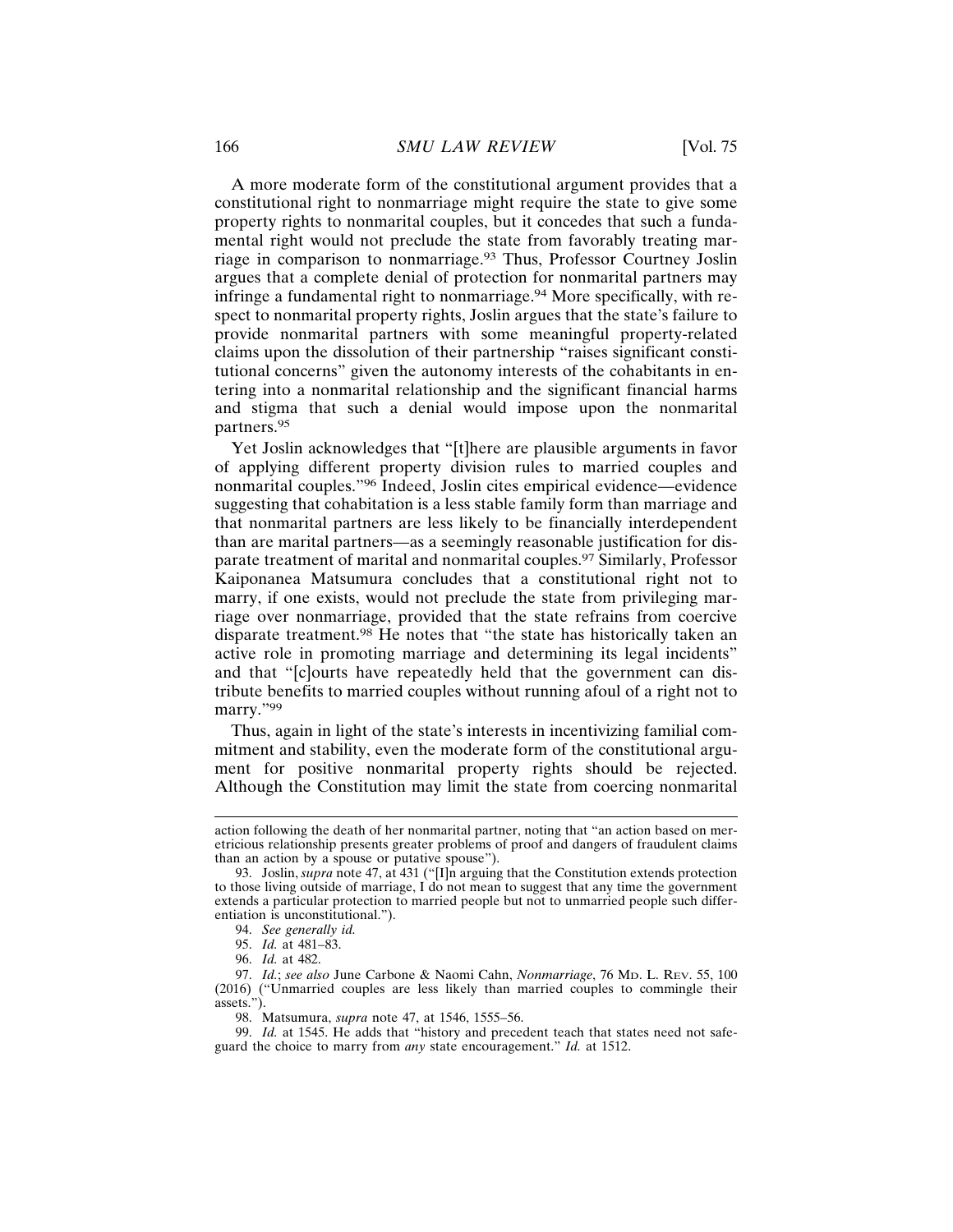A more moderate form of the constitutional argument provides that a constitutional right to nonmarriage might require the state to give some property rights to nonmarital couples, but it concedes that such a fundamental right would not preclude the state from favorably treating marriage in comparison to nonmarriage.93 Thus, Professor Courtney Joslin argues that a complete denial of protection for nonmarital partners may infringe a fundamental right to nonmarriage.<sup>94</sup> More specifically, with respect to nonmarital property rights, Joslin argues that the state's failure to provide nonmarital partners with some meaningful property-related claims upon the dissolution of their partnership "raises significant constitutional concerns" given the autonomy interests of the cohabitants in entering into a nonmarital relationship and the significant financial harms and stigma that such a denial would impose upon the nonmarital partners.<sup>95</sup>

Yet Joslin acknowledges that "[t]here are plausible arguments in favor of applying different property division rules to married couples and nonmarital couples."96 Indeed, Joslin cites empirical evidence—evidence suggesting that cohabitation is a less stable family form than marriage and that nonmarital partners are less likely to be financially interdependent than are marital partners—as a seemingly reasonable justification for disparate treatment of marital and nonmarital couples.97 Similarly, Professor Kaiponanea Matsumura concludes that a constitutional right not to marry, if one exists, would not preclude the state from privileging marriage over nonmarriage, provided that the state refrains from coercive disparate treatment.98 He notes that "the state has historically taken an active role in promoting marriage and determining its legal incidents" and that "[c]ourts have repeatedly held that the government can distribute benefits to married couples without running afoul of a right not to marry."99

Thus, again in light of the state's interests in incentivizing familial commitment and stability, even the moderate form of the constitutional argument for positive nonmarital property rights should be rejected. Although the Constitution may limit the state from coercing nonmarital

action following the death of her nonmarital partner, noting that "an action based on meretricious relationship presents greater problems of proof and dangers of fraudulent claims than an action by a spouse or putative spouse").

<sup>93.</sup> Joslin, *supra* note 47, at 431 ("[I]n arguing that the Constitution extends protection to those living outside of marriage, I do not mean to suggest that any time the government extends a particular protection to married people but not to unmarried people such differentiation is unconstitutional.").

<sup>94.</sup> *See generally id.*

<sup>95.</sup> *Id.* at 481–83.

<sup>96.</sup> *Id.* at 482.

<sup>97.</sup> *Id.*; *see also* June Carbone & Naomi Cahn, *Nonmarriage*, 76 MD. L. REV. 55, 100 (2016) ("Unmarried couples are less likely than married couples to commingle their assets.").

<sup>98.</sup> Matsumura, *supra* note 47, at 1546, 1555–56.

<sup>99.</sup> *Id.* at 1545. He adds that "history and precedent teach that states need not safeguard the choice to marry from *any* state encouragement." *Id.* at 1512.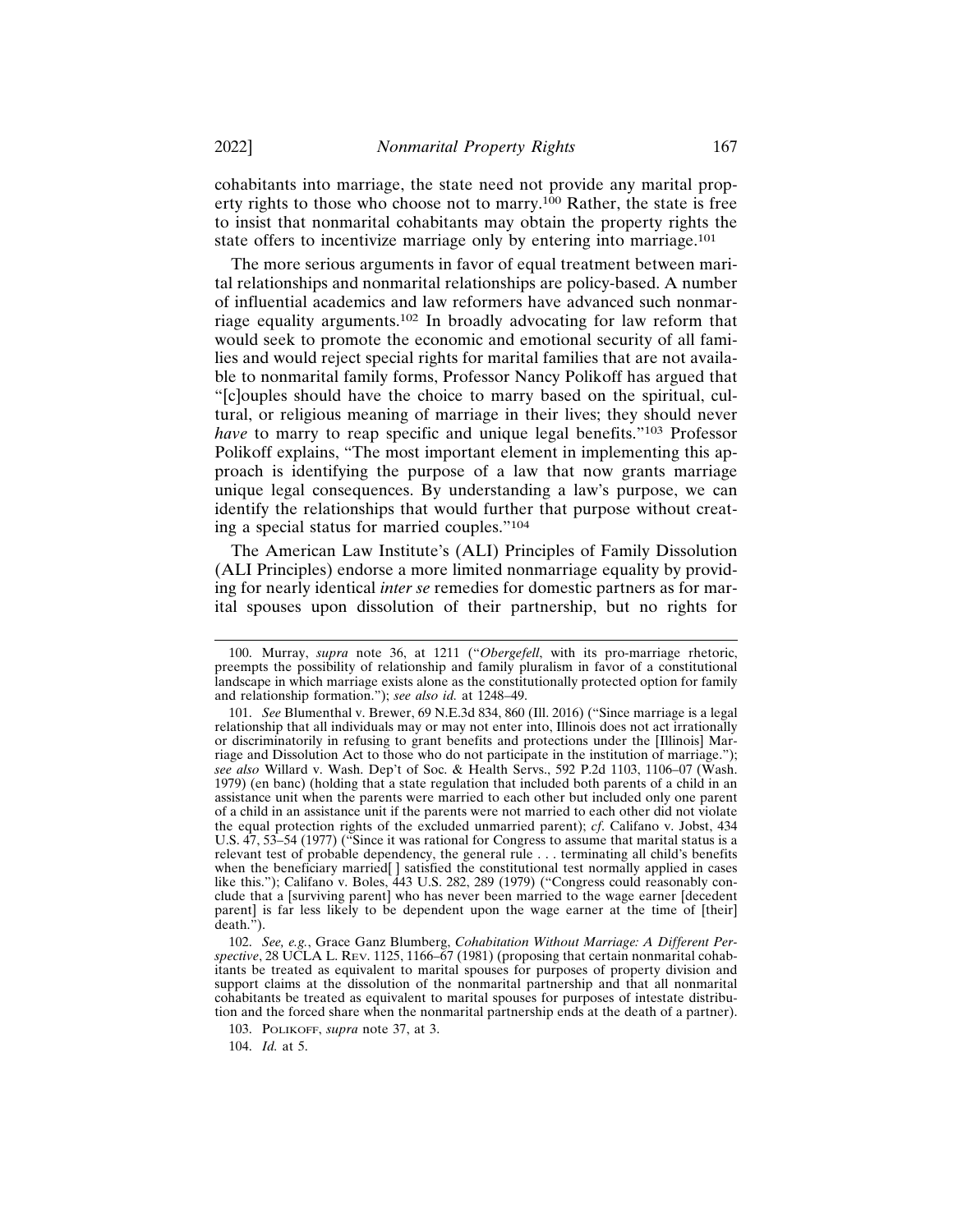cohabitants into marriage, the state need not provide any marital property rights to those who choose not to marry.<sup>100</sup> Rather, the state is free to insist that nonmarital cohabitants may obtain the property rights the state offers to incentivize marriage only by entering into marriage.<sup>101</sup>

The more serious arguments in favor of equal treatment between marital relationships and nonmarital relationships are policy-based. A number of influential academics and law reformers have advanced such nonmarriage equality arguments.102 In broadly advocating for law reform that would seek to promote the economic and emotional security of all families and would reject special rights for marital families that are not available to nonmarital family forms, Professor Nancy Polikoff has argued that "[c]ouples should have the choice to marry based on the spiritual, cultural, or religious meaning of marriage in their lives; they should never *have* to marry to reap specific and unique legal benefits."<sup>103</sup> Professor Polikoff explains, "The most important element in implementing this approach is identifying the purpose of a law that now grants marriage unique legal consequences. By understanding a law's purpose, we can identify the relationships that would further that purpose without creating a special status for married couples."<sup>104</sup>

The American Law Institute's (ALI) Principles of Family Dissolution (ALI Principles) endorse a more limited nonmarriage equality by providing for nearly identical *inter se* remedies for domestic partners as for marital spouses upon dissolution of their partnership, but no rights for

104. *Id.* at 5.

<sup>100.</sup> Murray, *supra* note 36, at 1211 ("*Obergefell*, with its pro-marriage rhetoric, preempts the possibility of relationship and family pluralism in favor of a constitutional landscape in which marriage exists alone as the constitutionally protected option for family and relationship formation."); *see also id.* at 1248–49.

<sup>101.</sup> *See* Blumenthal v. Brewer, 69 N.E.3d 834, 860 (Ill. 2016) ("Since marriage is a legal relationship that all individuals may or may not enter into, Illinois does not act irrationally or discriminatorily in refusing to grant benefits and protections under the [Illinois] Marriage and Dissolution Act to those who do not participate in the institution of marriage."); *see also* Willard v. Wash. Dep't of Soc. & Health Servs., 592 P.2d 1103, 1106–07 (Wash. 1979) (en banc) (holding that a state regulation that included both parents of a child in an assistance unit when the parents were married to each other but included only one parent of a child in an assistance unit if the parents were not married to each other did not violate the equal protection rights of the excluded unmarried parent); *cf*. Califano v. Jobst, 434 U.S. 47, 53–54 (1977) ("Since it was rational for Congress to assume that marital status is a relevant test of probable dependency, the general rule . . . terminating all child's benefits when the beneficiary married[ ] satisfied the constitutional test normally applied in cases like this."); Califano v. Boles, 443 U.S. 282, 289 (1979) ("Congress could reasonably conclude that a [surviving parent] who has never been married to the wage earner [decedent parent] is far less likely to be dependent upon the wage earner at the time of [their]  $\text{death.}$ ").

<sup>102.</sup> *See, e.g.*, Grace Ganz Blumberg, *Cohabitation Without Marriage: A Different Perspective*, 28 UCLA L. REV. 1125, 1166–67 (1981) (proposing that certain nonmarital cohabitants be treated as equivalent to marital spouses for purposes of property division and support claims at the dissolution of the nonmarital partnership and that all nonmarital cohabitants be treated as equivalent to marital spouses for purposes of intestate distribution and the forced share when the nonmarital partnership ends at the death of a partner).

<sup>103.</sup> POLIKOFF, *supra* note 37, at 3.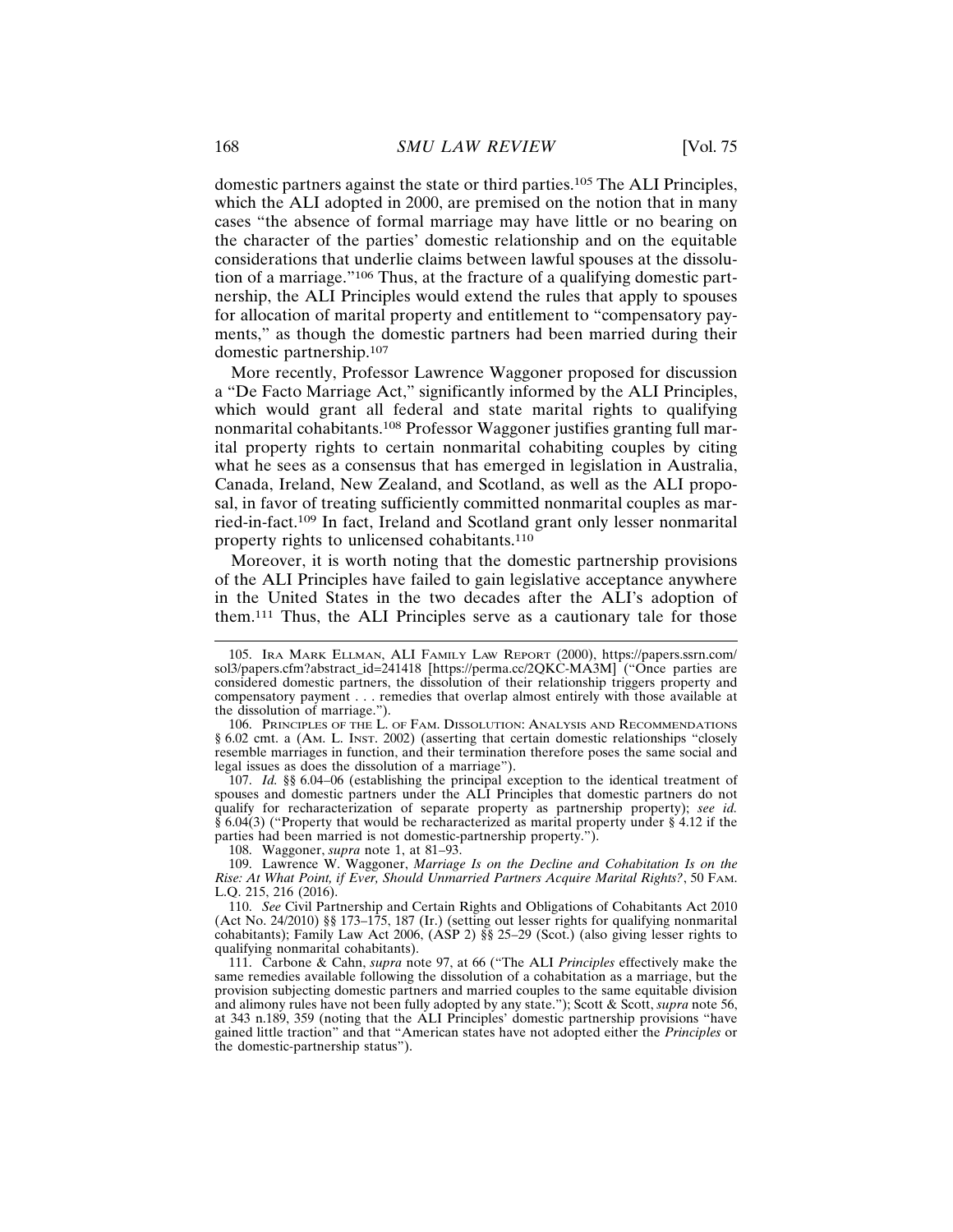domestic partners against the state or third parties.105 The ALI Principles, which the ALI adopted in 2000, are premised on the notion that in many cases "the absence of formal marriage may have little or no bearing on the character of the parties' domestic relationship and on the equitable considerations that underlie claims between lawful spouses at the dissolution of a marriage."106 Thus, at the fracture of a qualifying domestic partnership, the ALI Principles would extend the rules that apply to spouses for allocation of marital property and entitlement to "compensatory payments," as though the domestic partners had been married during their domestic partnership.<sup>107</sup>

More recently, Professor Lawrence Waggoner proposed for discussion a "De Facto Marriage Act," significantly informed by the ALI Principles, which would grant all federal and state marital rights to qualifying nonmarital cohabitants.108 Professor Waggoner justifies granting full marital property rights to certain nonmarital cohabiting couples by citing what he sees as a consensus that has emerged in legislation in Australia, Canada, Ireland, New Zealand, and Scotland, as well as the ALI proposal, in favor of treating sufficiently committed nonmarital couples as married-in-fact.109 In fact, Ireland and Scotland grant only lesser nonmarital property rights to unlicensed cohabitants.<sup>110</sup>

Moreover, it is worth noting that the domestic partnership provisions of the ALI Principles have failed to gain legislative acceptance anywhere in the United States in the two decades after the ALI's adoption of them.111 Thus, the ALI Principles serve as a cautionary tale for those

107. *Id.* §§ 6.04–06 (establishing the principal exception to the identical treatment of spouses and domestic partners under the ALI Principles that domestic partners do not qualify for recharacterization of separate property as partnership property); *see id.*  $\S$  6.04(3) ("Property that would be recharacterized as marital property under  $\S$  4.12 if the parties had been married is not domestic-partnership property.").

108. Waggoner, *supra* note 1, at 81–93.

109. Lawrence W. Waggoner, *Marriage Is on the Decline and Cohabitation Is on the Rise: At What Point, if Ever, Should Unmarried Partners Acquire Marital Rights?*, 50 FAM. L.Q. 215, 216 (2016).

111. Carbone & Cahn, *supra* note 97, at 66 ("The ALI *Principles* effectively make the same remedies available following the dissolution of a cohabitation as a marriage, but the provision subjecting domestic partners and married couples to the same equitable division and alimony rules have not been fully adopted by any state."); Scott & Scott, *supra* note 56, at 343 n.189, 359 (noting that the ALI Principles' domestic partnership provisions "have gained little traction" and that "American states have not adopted either the *Principles* or the domestic-partnership status").

<sup>105.</sup> IRA MARK ELLMAN, ALI FAMILY LAW REPORT (2000), https://papers.ssrn.com/ sol3/papers.cfm?abstract\_id=241418 [https://perma.cc/2QKC-MA3M] ("Once parties are considered domestic partners, the dissolution of their relationship triggers property and compensatory payment . . . remedies that overlap almost entirely with those available at the dissolution of marriage.").

<sup>106.</sup> PRINCIPLES OF THE L. OF FAM. DISSOLUTION: ANALYSIS AND RECOMMENDATIONS § 6.02 cmt. a (AM. L. INST. 2002) (asserting that certain domestic relationships "closely resemble marriages in function, and their termination therefore poses the same social and legal issues as does the dissolution of a marriage").

<sup>110.</sup> *See* Civil Partnership and Certain Rights and Obligations of Cohabitants Act 2010 (Act No. 24/2010) §§ 173–175, 187 (Ir.) (setting out lesser rights for qualifying nonmarital cohabitants); Family Law Act 2006, (ASP 2) §§ 25–29 (Scot.) (also giving lesser rights to qualifying nonmarital cohabitants).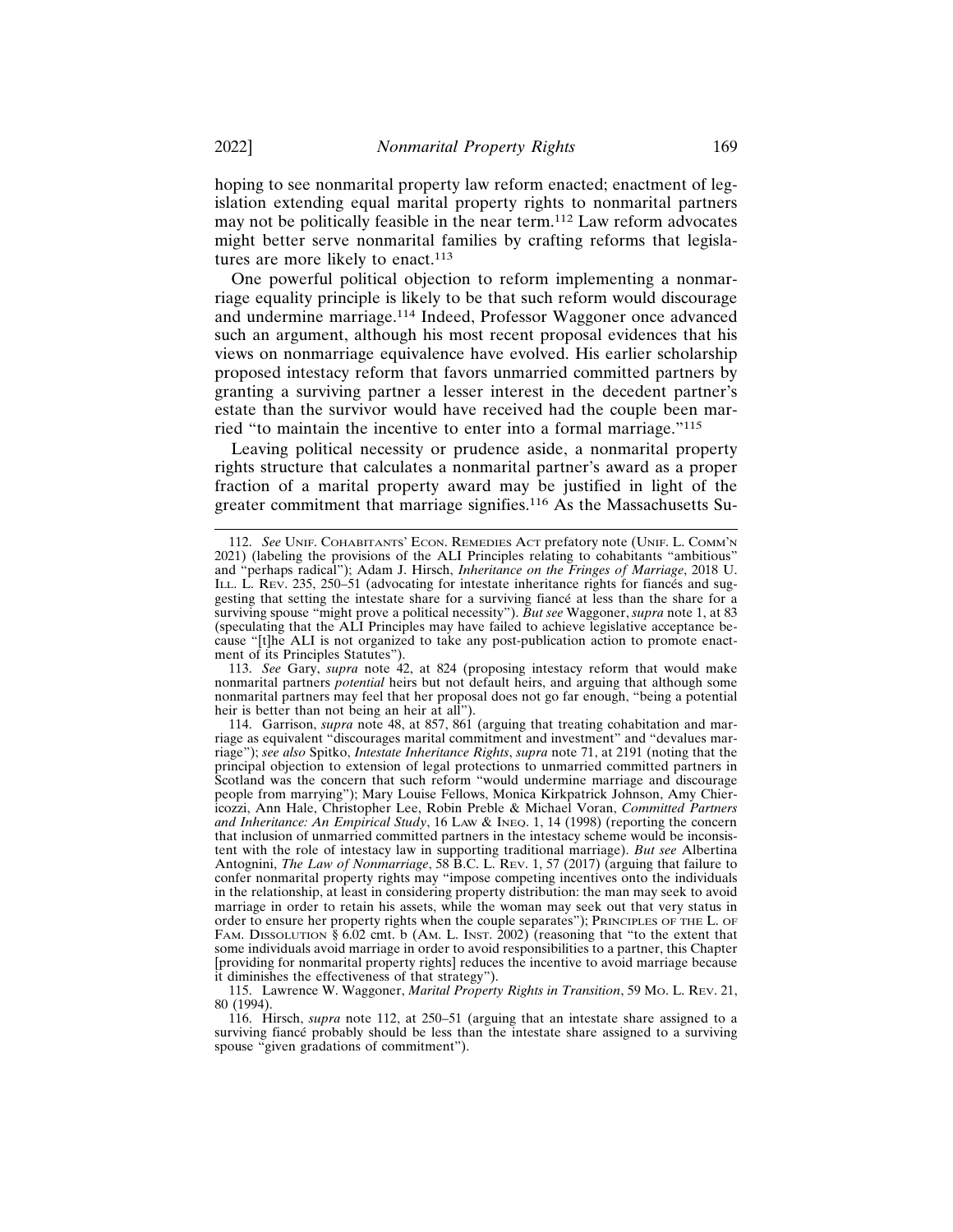hoping to see nonmarital property law reform enacted; enactment of legislation extending equal marital property rights to nonmarital partners may not be politically feasible in the near term.112 Law reform advocates might better serve nonmarital families by crafting reforms that legislatures are more likely to enact.<sup>113</sup>

One powerful political objection to reform implementing a nonmarriage equality principle is likely to be that such reform would discourage and undermine marriage.114 Indeed, Professor Waggoner once advanced such an argument, although his most recent proposal evidences that his views on nonmarriage equivalence have evolved. His earlier scholarship proposed intestacy reform that favors unmarried committed partners by granting a surviving partner a lesser interest in the decedent partner's estate than the survivor would have received had the couple been married "to maintain the incentive to enter into a formal marriage."<sup>115</sup>

Leaving political necessity or prudence aside, a nonmarital property rights structure that calculates a nonmarital partner's award as a proper fraction of a marital property award may be justified in light of the greater commitment that marriage signifies.116 As the Massachusetts Su-

<sup>112.</sup> *See* UNIF. COHABITANTS' ECON. REMEDIES ACT prefatory note (UNIF. L. COMM'N 2021) (labeling the provisions of the ALI Principles relating to cohabitants "ambitious" and "perhaps radical"); Adam J. Hirsch, *Inheritance on the Fringes of Marriage*, 2018 U. ILL. L. REV. 235, 250–51 (advocating for intestate inheritance rights for fiances and suggesting that setting the intestate share for a surviving fiance at less than the share for a surviving spouse "might prove a political necessity"). *But see* Waggoner, *supra* note 1, at 83 (speculating that the ALI Principles may have failed to achieve legislative acceptance because "[t]he ALI is not organized to take any post-publication action to promote enactment of its Principles Statutes").

<sup>113.</sup> *See* Gary, *supra* note 42, at 824 (proposing intestacy reform that would make nonmarital partners *potential* heirs but not default heirs, and arguing that although some nonmarital partners may feel that her proposal does not go far enough, "being a potential heir is better than not being an heir at all").

<sup>114.</sup> Garrison, *supra* note 48, at 857, 861 (arguing that treating cohabitation and marriage as equivalent "discourages marital commitment and investment" and "devalues marriage"); *see also* Spitko, *Intestate Inheritance Rights*, *supra* note 71, at 2191 (noting that the principal objection to extension of legal protections to unmarried committed partners in Scotland was the concern that such reform "would undermine marriage and discourage people from marrying"); Mary Louise Fellows, Monica Kirkpatrick Johnson, Amy Chiericozzi, Ann Hale, Christopher Lee, Robin Preble & Michael Voran, *Committed Partners and Inheritance: An Empirical Study*, 16 LAW & INEQ. 1, 14 (1998) (reporting the concern that inclusion of unmarried committed partners in the intestacy scheme would be inconsistent with the role of intestacy law in supporting traditional marriage). *But see* Albertina Antognini, *The Law of Nonmarriage*, 58 B.C. L. REV. 1, 57 (2017) (arguing that failure to confer nonmarital property rights may "impose competing incentives onto the individuals in the relationship, at least in considering property distribution: the man may seek to avoid marriage in order to retain his assets, while the woman may seek out that very status in order to ensure her property rights when the couple separates"); PRINCIPLES OF THE L. OF FAM. DISSOLUTION § 6.02 cmt. b (AM. L. INST. 2002) (reasoning that "to the extent that some individuals avoid marriage in order to avoid responsibilities to a partner, this Chapter [providing for nonmarital property rights] reduces the incentive to avoid marriage because it diminishes the effectiveness of that strategy").

<sup>115.</sup> Lawrence W. Waggoner, *Marital Property Rights in Transition*, 59 MO. L. REV. 21, 80 (1994).

<sup>116.</sup> Hirsch, *supra* note 112, at 250–51 (arguing that an intestate share assigned to a surviving fiance probably should be less than the intestate share assigned to a surviving spouse "given gradations of commitment").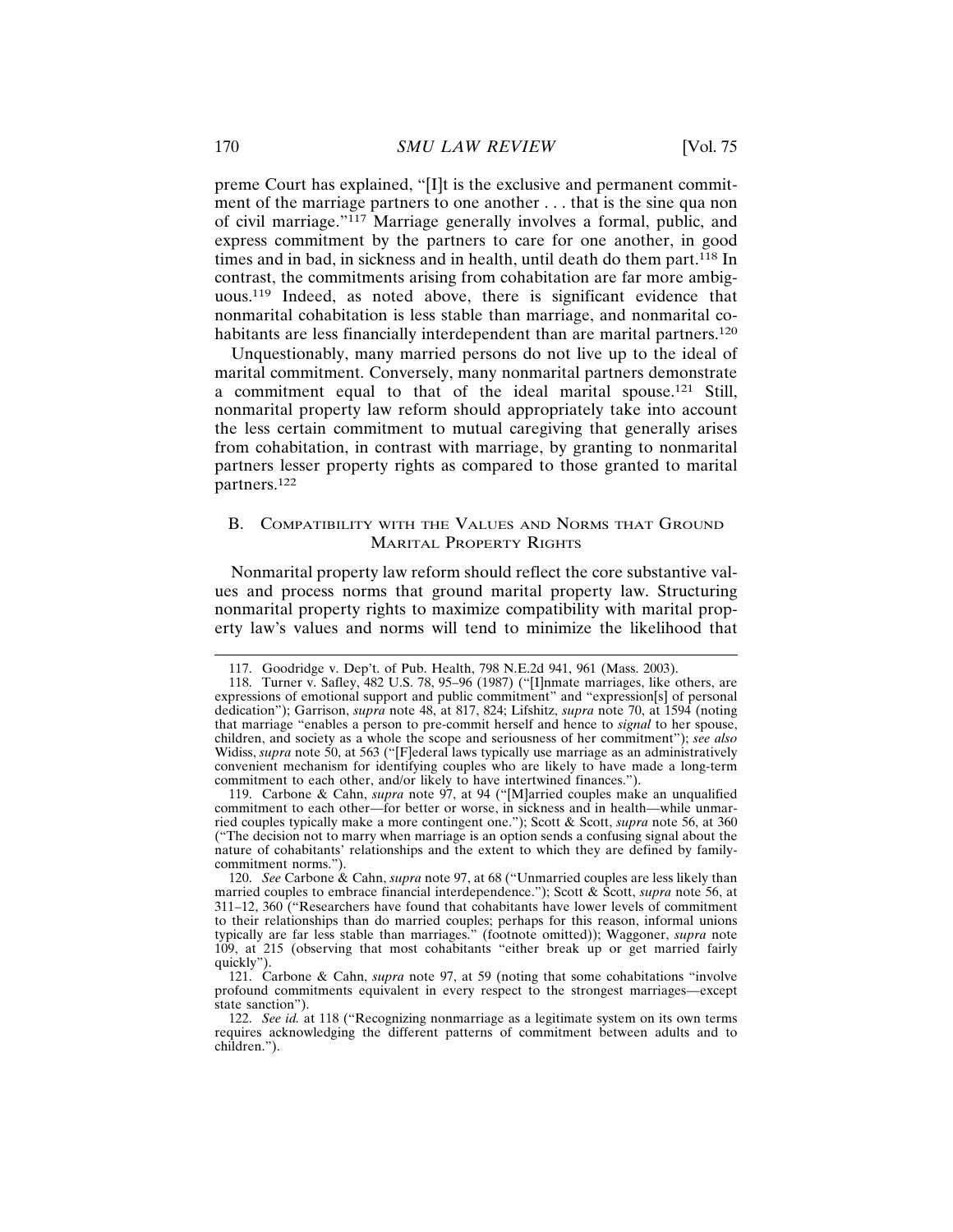preme Court has explained, "[I]t is the exclusive and permanent commitment of the marriage partners to one another . . . that is the sine qua non of civil marriage."117 Marriage generally involves a formal, public, and express commitment by the partners to care for one another, in good times and in bad, in sickness and in health, until death do them part.<sup>118</sup> In contrast, the commitments arising from cohabitation are far more ambiguous.119 Indeed, as noted above, there is significant evidence that nonmarital cohabitation is less stable than marriage, and nonmarital cohabitants are less financially interdependent than are marital partners.<sup>120</sup>

Unquestionably, many married persons do not live up to the ideal of marital commitment. Conversely, many nonmarital partners demonstrate a commitment equal to that of the ideal marital spouse.121 Still, nonmarital property law reform should appropriately take into account the less certain commitment to mutual caregiving that generally arises from cohabitation, in contrast with marriage, by granting to nonmarital partners lesser property rights as compared to those granted to marital partners.<sup>122</sup>

## B. COMPATIBILITY WITH THE VALUES AND NORMS THAT GROUND MARITAL PROPERTY RIGHTS

Nonmarital property law reform should reflect the core substantive values and process norms that ground marital property law. Structuring nonmarital property rights to maximize compatibility with marital property law's values and norms will tend to minimize the likelihood that

<sup>117.</sup> Goodridge v. Dep't. of Pub. Health, 798 N.E.2d 941, 961 (Mass. 2003).

<sup>118.</sup> Turner v. Safley, 482 U.S. 78, 95–96 (1987) ("[I]nmate marriages, like others, are expressions of emotional support and public commitment" and "expression[s] of personal dedication"); Garrison, *supra* note 48, at 817, 824; Lifshitz, *supra* note 70, at 1594 (noting that marriage "enables a person to pre-commit herself and hence to *signal* to her spouse, children, and society as a whole the scope and seriousness of her commitment"); *see also* Widiss, *supra* note 50, at 563 ("[F]ederal laws typically use marriage as an administratively convenient mechanism for identifying couples who are likely to have made a long-term commitment to each other, and/or likely to have intertwined finances.").

<sup>119.</sup> Carbone & Cahn, *supra* note 97, at 94 ("[M]arried couples make an unqualified commitment to each other—for better or worse, in sickness and in health—while unmarried couples typically make a more contingent one."); Scott & Scott, *supra* note 56, at 360 ("The decision not to marry when marriage is an option sends a confusing signal about the nature of cohabitants' relationships and the extent to which they are defined by familycommitment norms.").

<sup>120.</sup> *See* Carbone & Cahn, *supra* note 97, at 68 ("Unmarried couples are less likely than married couples to embrace financial interdependence."); Scott & Scott, *supra* note 56, at 311–12, 360 ("Researchers have found that cohabitants have lower levels of commitment to their relationships than do married couples; perhaps for this reason, informal unions typically are far less stable than marriages." (footnote omitted)); Waggoner, *supra* note 109, at 215 (observing that most cohabitants "either break up or get married fairly quickly").

<sup>121.</sup> Carbone & Cahn, *supra* note 97, at 59 (noting that some cohabitations "involve profound commitments equivalent in every respect to the strongest marriages—except state sanction").

<sup>122.</sup> *See id.* at 118 ("Recognizing nonmarriage as a legitimate system on its own terms requires acknowledging the different patterns of commitment between adults and to children.").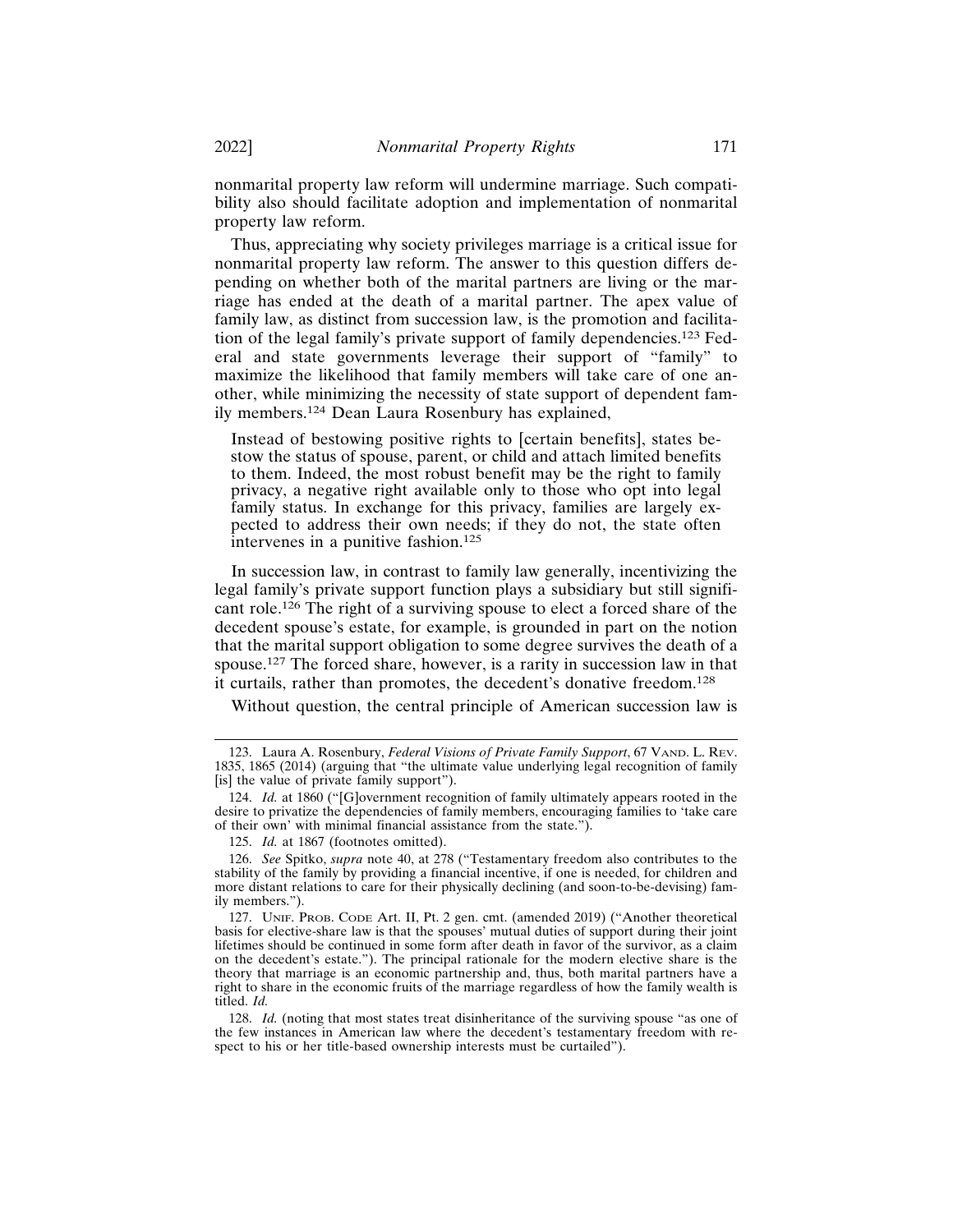nonmarital property law reform will undermine marriage. Such compatibility also should facilitate adoption and implementation of nonmarital property law reform.

Thus, appreciating why society privileges marriage is a critical issue for nonmarital property law reform. The answer to this question differs depending on whether both of the marital partners are living or the marriage has ended at the death of a marital partner. The apex value of family law, as distinct from succession law, is the promotion and facilitation of the legal family's private support of family dependencies.123 Federal and state governments leverage their support of "family" to maximize the likelihood that family members will take care of one another, while minimizing the necessity of state support of dependent family members.124 Dean Laura Rosenbury has explained,

Instead of bestowing positive rights to [certain benefits], states bestow the status of spouse, parent, or child and attach limited benefits to them. Indeed, the most robust benefit may be the right to family privacy, a negative right available only to those who opt into legal family status. In exchange for this privacy, families are largely expected to address their own needs; if they do not, the state often intervenes in a punitive fashion.<sup>125</sup>

In succession law, in contrast to family law generally, incentivizing the legal family's private support function plays a subsidiary but still significant role.126 The right of a surviving spouse to elect a forced share of the decedent spouse's estate, for example, is grounded in part on the notion that the marital support obligation to some degree survives the death of a spouse.127 The forced share, however, is a rarity in succession law in that it curtails, rather than promotes, the decedent's donative freedom.<sup>128</sup>

Without question, the central principle of American succession law is

<sup>123.</sup> Laura A. Rosenbury, *Federal Visions of Private Family Support*, 67 VAND. L. REV. 1835, 1865 (2014) (arguing that "the ultimate value underlying legal recognition of family [is] the value of private family support").

<sup>124.</sup> *Id.* at 1860 ("[G]overnment recognition of family ultimately appears rooted in the desire to privatize the dependencies of family members, encouraging families to 'take care of their own' with minimal financial assistance from the state.").

<sup>125.</sup> *Id.* at 1867 (footnotes omitted).

<sup>126.</sup> *See* Spitko, *supra* note 40, at 278 ("Testamentary freedom also contributes to the stability of the family by providing a financial incentive, if one is needed, for children and more distant relations to care for their physically declining (and soon-to-be-devising) family members.").

<sup>127.</sup> UNIF. PROB. CODE Art. II, Pt. 2 gen. cmt. (amended 2019) ("Another theoretical basis for elective-share law is that the spouses' mutual duties of support during their joint lifetimes should be continued in some form after death in favor of the survivor, as a claim on the decedent's estate."). The principal rationale for the modern elective share is the theory that marriage is an economic partnership and, thus, both marital partners have a right to share in the economic fruits of the marriage regardless of how the family wealth is titled. *Id.*

<sup>128.</sup> *Id.* (noting that most states treat disinheritance of the surviving spouse "as one of the few instances in American law where the decedent's testamentary freedom with respect to his or her title-based ownership interests must be curtailed").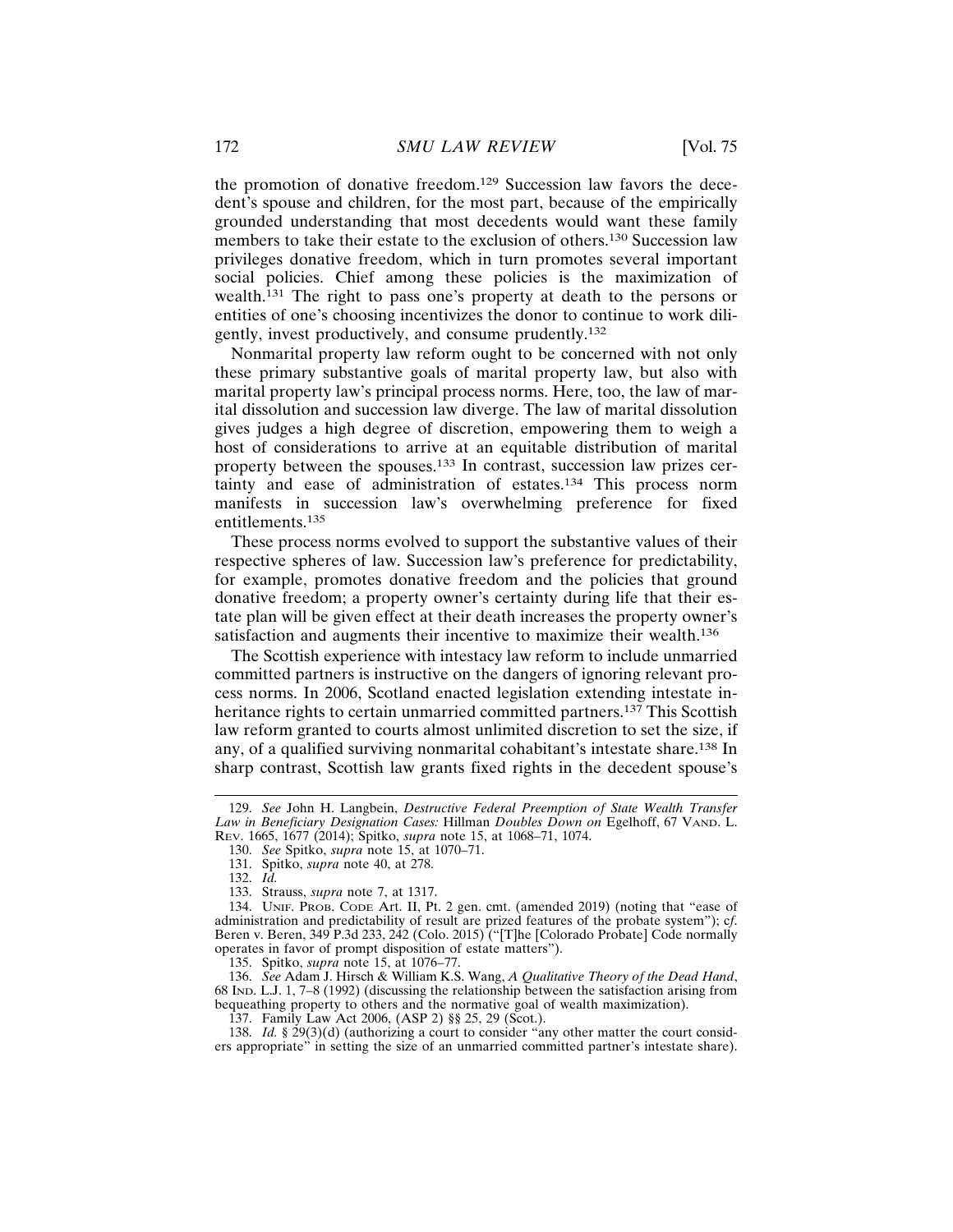the promotion of donative freedom.129 Succession law favors the decedent's spouse and children, for the most part, because of the empirically grounded understanding that most decedents would want these family members to take their estate to the exclusion of others.130 Succession law privileges donative freedom, which in turn promotes several important social policies. Chief among these policies is the maximization of wealth.131 The right to pass one's property at death to the persons or entities of one's choosing incentivizes the donor to continue to work diligently, invest productively, and consume prudently.<sup>132</sup>

Nonmarital property law reform ought to be concerned with not only these primary substantive goals of marital property law, but also with marital property law's principal process norms. Here, too, the law of marital dissolution and succession law diverge. The law of marital dissolution gives judges a high degree of discretion, empowering them to weigh a host of considerations to arrive at an equitable distribution of marital property between the spouses.133 In contrast, succession law prizes certainty and ease of administration of estates.134 This process norm manifests in succession law's overwhelming preference for fixed entitlements.135

These process norms evolved to support the substantive values of their respective spheres of law. Succession law's preference for predictability, for example, promotes donative freedom and the policies that ground donative freedom; a property owner's certainty during life that their estate plan will be given effect at their death increases the property owner's satisfaction and augments their incentive to maximize their wealth.<sup>136</sup>

The Scottish experience with intestacy law reform to include unmarried committed partners is instructive on the dangers of ignoring relevant process norms. In 2006, Scotland enacted legislation extending intestate inheritance rights to certain unmarried committed partners.<sup>137</sup> This Scottish law reform granted to courts almost unlimited discretion to set the size, if any, of a qualified surviving nonmarital cohabitant's intestate share.138 In sharp contrast, Scottish law grants fixed rights in the decedent spouse's

130. *See* Spitko, *supra* note 15, at 1070–71.

132. *Id.*

136. *See* Adam J. Hirsch & William K.S. Wang, *A Qualitative Theory of the Dead Hand*, 68 IND. L.J. 1, 7–8 (1992) (discussing the relationship between the satisfaction arising from bequeathing property to others and the normative goal of wealth maximization).

<sup>129.</sup> *See* John H. Langbein, *Destructive Federal Preemption of State Wealth Transfer Law in Beneficiary Designation Cases:* Hillman *Doubles Down on* Egelhoff, 67 VAND. L. REV. 1665, 1677 (2014); Spitko, *supra* note 15, at 1068–71, 1074.

<sup>131.</sup> Spitko, *supra* note 40, at 278.

<sup>133.</sup> Strauss, *supra* note 7, at 1317.

<sup>134.</sup> UNIF. PROB. CODE Art. II, Pt. 2 gen. cmt. (amended 2019) (noting that "ease of administration and predictability of result are prized features of the probate system"); c*f*. Beren v. Beren, 349 P.3d 233, 242 (Colo. 2015) ("The [Colorado Probate] Code normally operates in favor of prompt disposition of estate matters").

<sup>135.</sup> Spitko, *supra* note 15, at 1076–77.

<sup>137.</sup> Family Law Act 2006, (ASP 2) §§ 25, 29 (Scot.).

<sup>138.</sup> *Id.* § 29(3)(d) (authorizing a court to consider "any other matter the court considers appropriate" in setting the size of an unmarried committed partner's intestate share).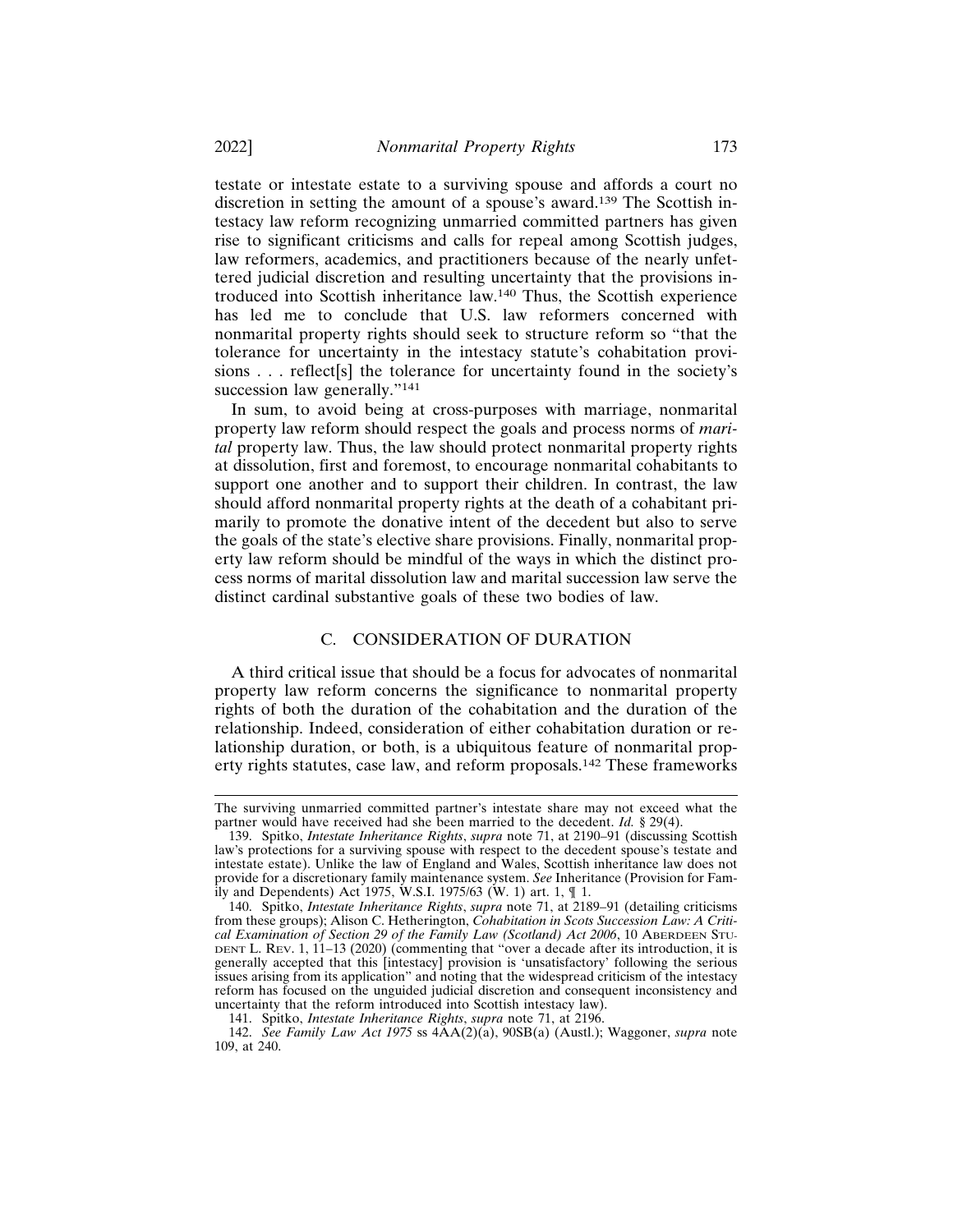testate or intestate estate to a surviving spouse and affords a court no discretion in setting the amount of a spouse's award.139 The Scottish intestacy law reform recognizing unmarried committed partners has given rise to significant criticisms and calls for repeal among Scottish judges, law reformers, academics, and practitioners because of the nearly unfettered judicial discretion and resulting uncertainty that the provisions introduced into Scottish inheritance law.140 Thus, the Scottish experience has led me to conclude that U.S. law reformers concerned with nonmarital property rights should seek to structure reform so "that the tolerance for uncertainty in the intestacy statute's cohabitation provisions . . . reflect[s] the tolerance for uncertainty found in the society's succession law generally."<sup>141</sup>

In sum, to avoid being at cross-purposes with marriage, nonmarital property law reform should respect the goals and process norms of *marital* property law. Thus, the law should protect nonmarital property rights at dissolution, first and foremost, to encourage nonmarital cohabitants to support one another and to support their children. In contrast, the law should afford nonmarital property rights at the death of a cohabitant primarily to promote the donative intent of the decedent but also to serve the goals of the state's elective share provisions. Finally, nonmarital property law reform should be mindful of the ways in which the distinct process norms of marital dissolution law and marital succession law serve the distinct cardinal substantive goals of these two bodies of law.

### C. CONSIDERATION OF DURATION

A third critical issue that should be a focus for advocates of nonmarital property law reform concerns the significance to nonmarital property rights of both the duration of the cohabitation and the duration of the relationship. Indeed, consideration of either cohabitation duration or relationship duration, or both, is a ubiquitous feature of nonmarital property rights statutes, case law, and reform proposals.142 These frameworks

The surviving unmarried committed partner's intestate share may not exceed what the partner would have received had she been married to the decedent. *Id.* § 29(4).

<sup>139.</sup> Spitko, *Intestate Inheritance Rights*, *supra* note 71, at 2190–91 (discussing Scottish law's protections for a surviving spouse with respect to the decedent spouse's testate and intestate estate). Unlike the law of England and Wales, Scottish inheritance law does not provide for a discretionary family maintenance system. *See* Inheritance (Provision for Family and Dependents) Act 1975, W.S.I. 1975/63 (W. 1) art. 1, ¶ 1.

<sup>140.</sup> Spitko, *Intestate Inheritance Rights*, *supra* note 71, at 2189–91 (detailing criticisms from these groups); Alison C. Hetherington, *Cohabitation in Scots Succession Law: A Critical Examination of Section 29 of the Family Law (Scotland) Act 2006*, 10 ABERDEEN STU-DENT L. REV. 1, 11-13 (2020) (commenting that "over a decade after its introduction, it is generally accepted that this [intestacy] provision is 'unsatisfactory' following the serious issues arising from its application" and noting that the widespread criticism of the intestacy reform has focused on the unguided judicial discretion and consequent inconsistency and uncertainty that the reform introduced into Scottish intestacy law).

<sup>141.</sup> Spitko, *Intestate Inheritance Rights*, *supra* note 71, at 2196.

<sup>142.</sup> *See Family Law Act 1975* ss 4AA(2)(a), 90SB(a) (Austl.); Waggoner, *supra* note 109, at 240.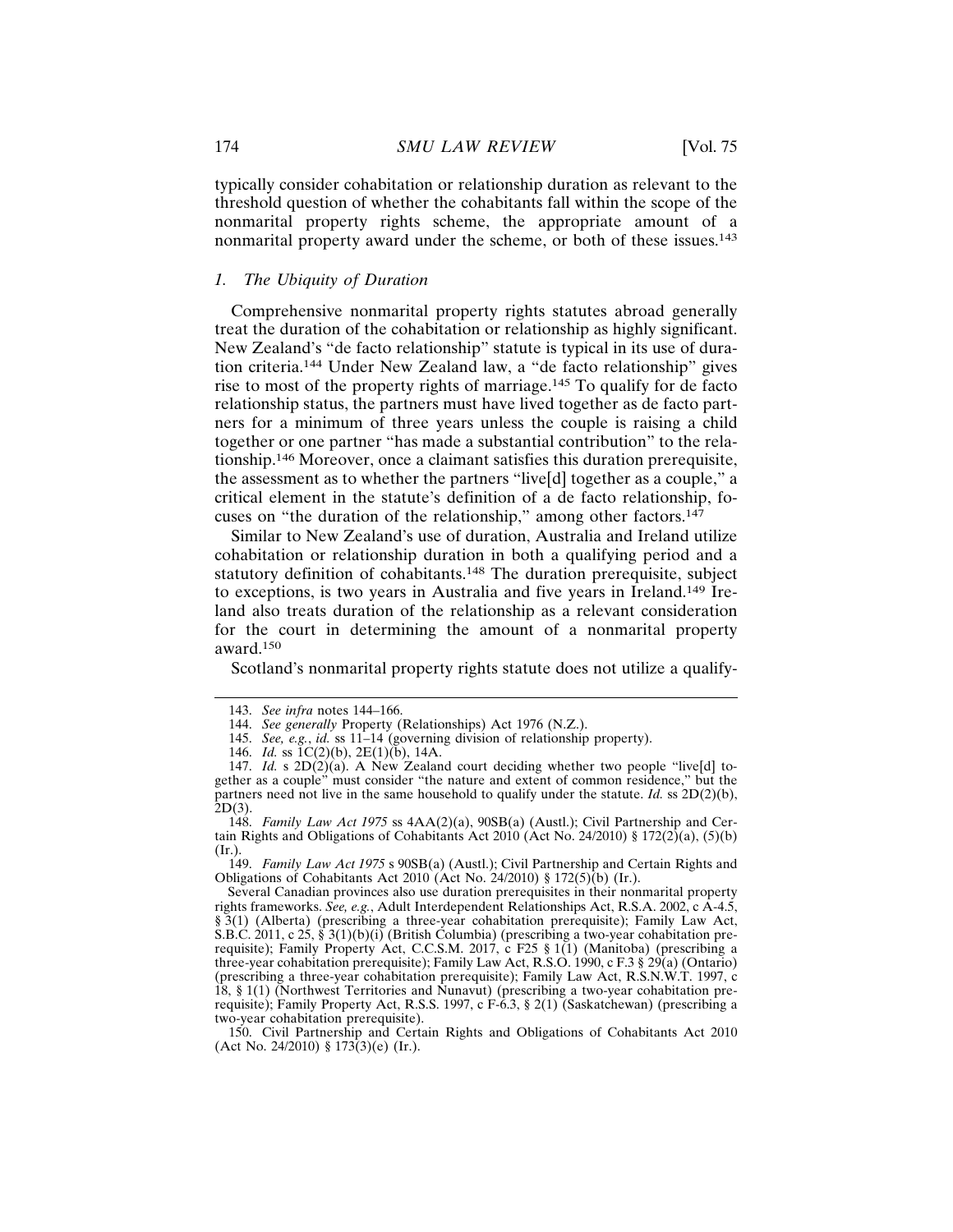typically consider cohabitation or relationship duration as relevant to the threshold question of whether the cohabitants fall within the scope of the nonmarital property rights scheme, the appropriate amount of a nonmarital property award under the scheme, or both of these issues.<sup>143</sup>

## *1. The Ubiquity of Duration*

Comprehensive nonmarital property rights statutes abroad generally treat the duration of the cohabitation or relationship as highly significant. New Zealand's "de facto relationship" statute is typical in its use of duration criteria.144 Under New Zealand law, a "de facto relationship" gives rise to most of the property rights of marriage.145 To qualify for de facto relationship status, the partners must have lived together as de facto partners for a minimum of three years unless the couple is raising a child together or one partner "has made a substantial contribution" to the relationship.146 Moreover, once a claimant satisfies this duration prerequisite, the assessment as to whether the partners "live[d] together as a couple," a critical element in the statute's definition of a de facto relationship, focuses on "the duration of the relationship," among other factors. $147$ 

Similar to New Zealand's use of duration, Australia and Ireland utilize cohabitation or relationship duration in both a qualifying period and a statutory definition of cohabitants.148 The duration prerequisite, subject to exceptions, is two years in Australia and five years in Ireland.149 Ireland also treats duration of the relationship as a relevant consideration for the court in determining the amount of a nonmarital property award.150

Scotland's nonmarital property rights statute does not utilize a qualify-

149. *Family Law Act 1975* s 90SB(a) (Austl.); Civil Partnership and Certain Rights and Obligations of Cohabitants Act 2010 (Act No. 24/2010) § 172(5)(b) (Ir.).

<sup>143.</sup> *See infra* notes 144–166.

<sup>144.</sup> *See generally* Property (Relationships) Act 1976 (N.Z.).

<sup>145.</sup> *See, e.g.*, *id.* ss 11–14 (governing division of relationship property).

<sup>146.</sup> *Id.* ss 1C(2)(b), 2E(1)(b), 14A.

<sup>147.</sup> *Id.* s  $2D(2)(a)$ . A New Zealand court deciding whether two people "live[d] together as a couple" must consider "the nature and extent of common residence," but the partners need not live in the same household to qualify under the statute. *Id.* ss 2D(2)(b), 2D(3).

<sup>148.</sup> *Family Law Act 1975* ss 4AA(2)(a), 90SB(a) (Austl.); Civil Partnership and Certain Rights and Obligations of Cohabitants Act 2010 (Act No. 24/2010) § 172(2)(a), (5)(b) (Ir.).

Several Canadian provinces also use duration prerequisites in their nonmarital property rights frameworks. *See, e.g.*, Adult Interdependent Relationships Act, R.S.A. 2002, c A-4.5, § 3(1) (Alberta) (prescribing a three-year cohabitation prerequisite); Family Law Act, S.B.C. 2011, c 25, § 3(1)(b)(i) (British Columbia) (prescribing a two-year cohabitation prerequisite); Family Property Act, C.C.S.M. 2017, c F25 § 1(1) (Manitoba) (prescribing a three-year cohabitation prerequisite); Family Law Act, R.S.O. 1990, c F.3 § 29(a) (Ontario) (prescribing a three-year cohabitation prerequisite); Family Law Act, R.S.N.W.T. 1997, c 18, § 1(1) (Northwest Territories and Nunavut) (prescribing a two-year cohabitation prerequisite); Family Property Act, R.S.S. 1997, c F-6.3, § 2(1) (Saskatchewan) (prescribing a two-year cohabitation prerequisite).

<sup>150.</sup> Civil Partnership and Certain Rights and Obligations of Cohabitants Act 2010 (Act No. 24/2010) § 173(3)(e) (Ir.).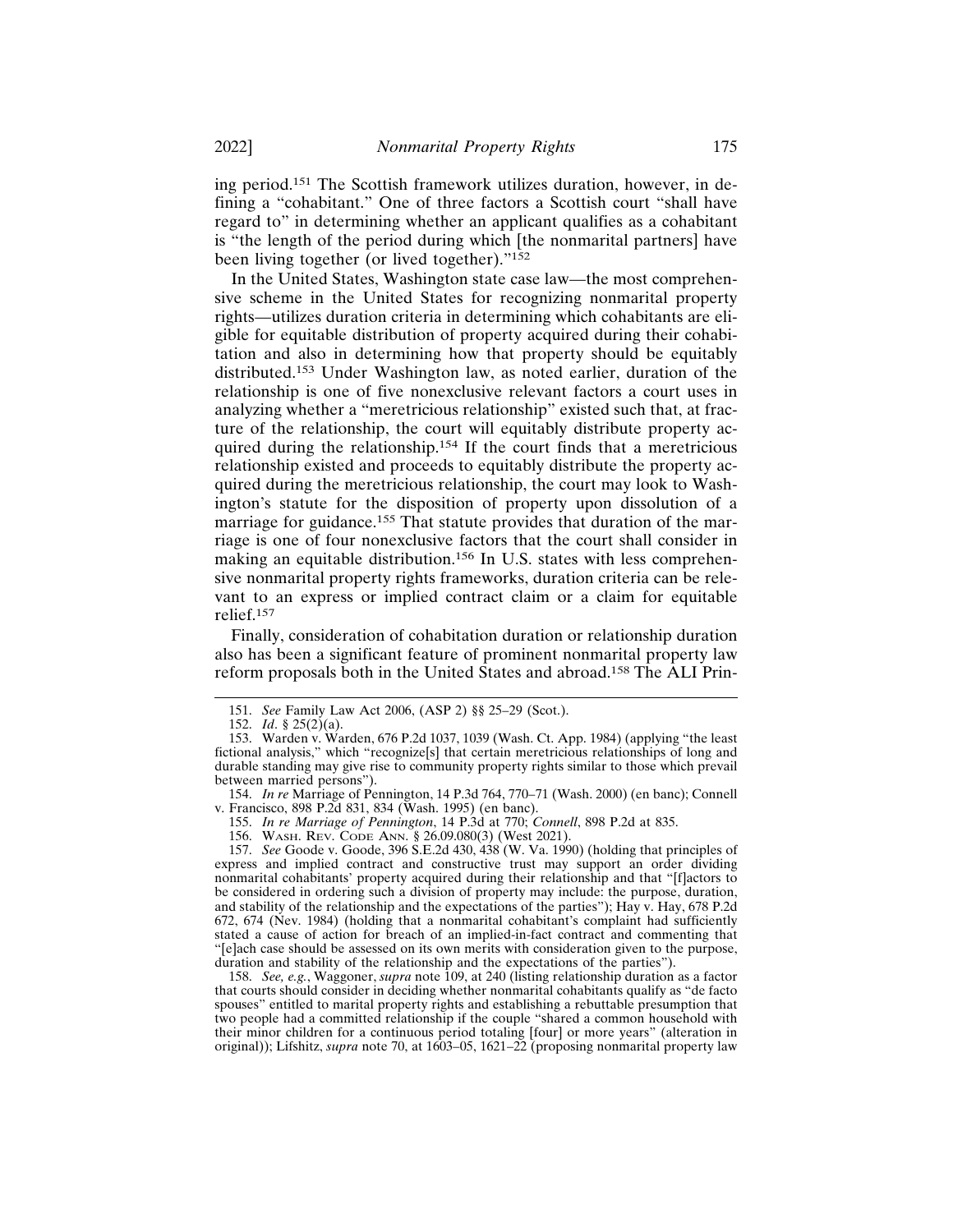ing period.151 The Scottish framework utilizes duration, however, in defining a "cohabitant." One of three factors a Scottish court "shall have regard to" in determining whether an applicant qualifies as a cohabitant is "the length of the period during which [the nonmarital partners] have been living together (or lived together)."<sup>152</sup>

In the United States, Washington state case law—the most comprehensive scheme in the United States for recognizing nonmarital property rights—utilizes duration criteria in determining which cohabitants are eligible for equitable distribution of property acquired during their cohabitation and also in determining how that property should be equitably distributed.153 Under Washington law, as noted earlier, duration of the relationship is one of five nonexclusive relevant factors a court uses in analyzing whether a "meretricious relationship" existed such that, at fracture of the relationship, the court will equitably distribute property acquired during the relationship.154 If the court finds that a meretricious relationship existed and proceeds to equitably distribute the property acquired during the meretricious relationship, the court may look to Washington's statute for the disposition of property upon dissolution of a marriage for guidance.<sup>155</sup> That statute provides that duration of the marriage is one of four nonexclusive factors that the court shall consider in making an equitable distribution.156 In U.S. states with less comprehensive nonmarital property rights frameworks, duration criteria can be relevant to an express or implied contract claim or a claim for equitable relief.<sup>157</sup>

Finally, consideration of cohabitation duration or relationship duration also has been a significant feature of prominent nonmarital property law reform proposals both in the United States and abroad.158 The ALI Prin-

- 155. *In re Marriage of Pennington*, 14 P.3d at 770; *Connell*, 898 P.2d at 835.
- 156. WASH. REV. CODE ANN. § 26.09.080(3) (West 2021).

157. *See* Goode v. Goode, 396 S.E.2d 430, 438 (W. Va. 1990) (holding that principles of express and implied contract and constructive trust may support an order dividing nonmarital cohabitants' property acquired during their relationship and that "[f]actors to be considered in ordering such a division of property may include: the purpose, duration, and stability of the relationship and the expectations of the parties"); Hay v. Hay, 678 P.2d 672, 674 (Nev. 1984) (holding that a nonmarital cohabitant's complaint had sufficiently stated a cause of action for breach of an implied-in-fact contract and commenting that "[e]ach case should be assessed on its own merits with consideration given to the purpose, duration and stability of the relationship and the expectations of the parties").

158. *See, e.g.*, Waggoner, *supra* note 109, at 240 (listing relationship duration as a factor that courts should consider in deciding whether nonmarital cohabitants qualify as "de facto spouses" entitled to marital property rights and establishing a rebuttable presumption that two people had a committed relationship if the couple "shared a common household with their minor children for a continuous period totaling [four] or more years" (alteration in original)); Lifshitz, *supra* note 70, at 1603–05, 1621–22 (proposing nonmarital property law

<sup>151.</sup> *See* Family Law Act 2006, (ASP 2) §§ 25–29 (Scot.).

<sup>152.</sup> *Id*. § 25(2)(a).

<sup>153.</sup> Warden v. Warden, 676 P.2d 1037, 1039 (Wash. Ct. App. 1984) (applying "the least fictional analysis," which "recognize[s] that certain meretricious relationships of long and durable standing may give rise to community property rights similar to those which prevail between married persons").

<sup>154.</sup> *In re* Marriage of Pennington, 14 P.3d 764, 770–71 (Wash. 2000) (en banc); Connell v. Francisco, 898 P.2d 831, 834 (Wash. 1995) (en banc).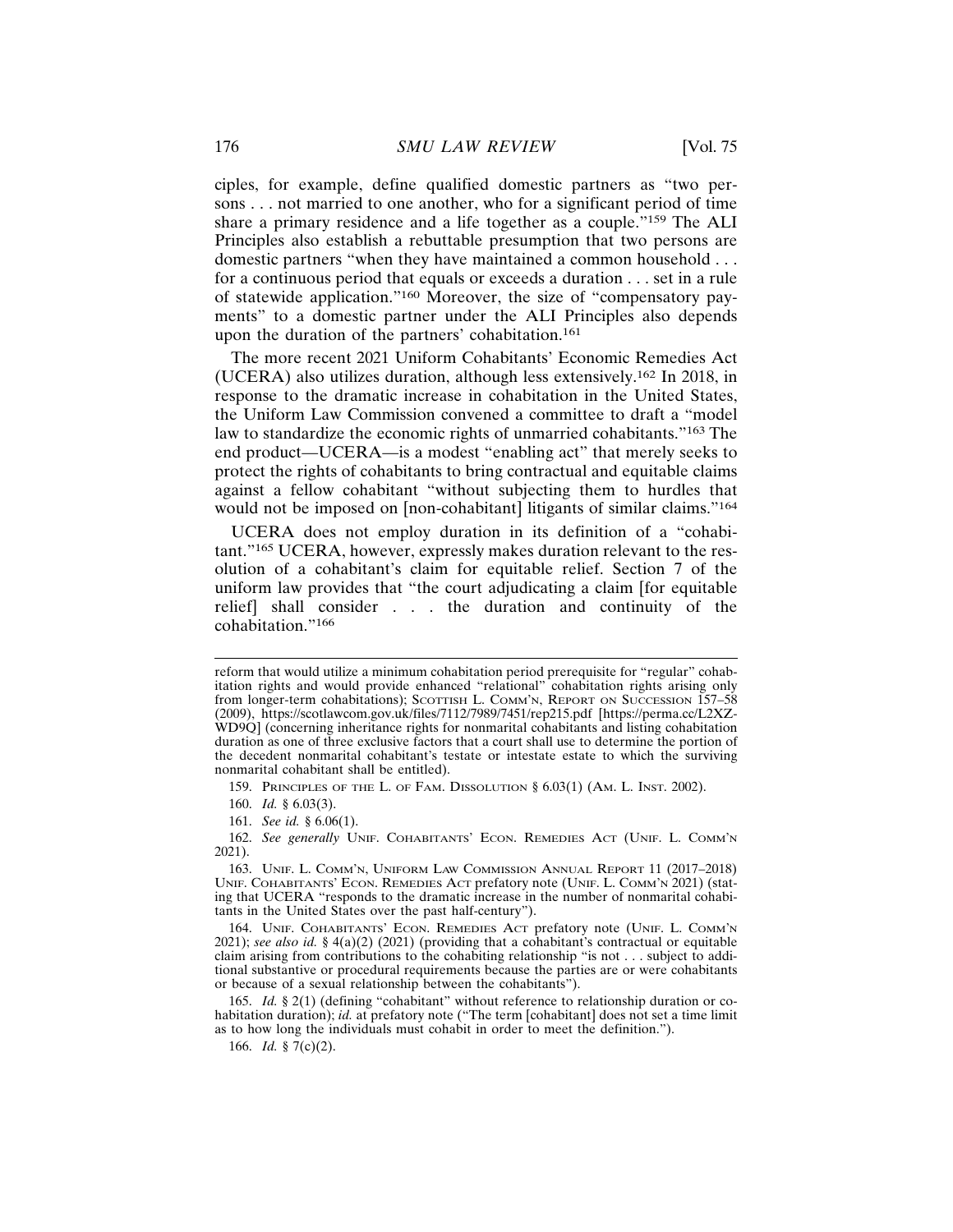ciples, for example, define qualified domestic partners as "two persons . . . not married to one another, who for a significant period of time share a primary residence and a life together as a couple."159 The ALI Principles also establish a rebuttable presumption that two persons are domestic partners "when they have maintained a common household . . . for a continuous period that equals or exceeds a duration . . . set in a rule of statewide application."160 Moreover, the size of "compensatory payments" to a domestic partner under the ALI Principles also depends upon the duration of the partners' cohabitation.<sup>161</sup>

The more recent 2021 Uniform Cohabitants' Economic Remedies Act (UCERA) also utilizes duration, although less extensively.162 In 2018, in response to the dramatic increase in cohabitation in the United States, the Uniform Law Commission convened a committee to draft a "model law to standardize the economic rights of unmarried cohabitants."163 The end product—UCERA—is a modest "enabling act" that merely seeks to protect the rights of cohabitants to bring contractual and equitable claims against a fellow cohabitant "without subjecting them to hurdles that would not be imposed on [non-cohabitant] litigants of similar claims."<sup>164</sup>

UCERA does not employ duration in its definition of a "cohabitant."165 UCERA, however, expressly makes duration relevant to the resolution of a cohabitant's claim for equitable relief. Section 7 of the uniform law provides that "the court adjudicating a claim [for equitable relief] shall consider . . . the duration and continuity of the cohabitation."<sup>166</sup>

159. PRINCIPLES OF THE L. OF FAM. DISSOLUTION § 6.03(1) (AM. L. INST. 2002).

reform that would utilize a minimum cohabitation period prerequisite for "regular" cohabitation rights and would provide enhanced "relational" cohabitation rights arising only from longer-term cohabitations); SCOTTISH L. COMM'N, REPORT ON SUCCESSION 157-58 (2009), https://scotlawcom.gov.uk/files/7112/7989/7451/rep215.pdf [https://perma.cc/L2XZ-WD9Q] (concerning inheritance rights for nonmarital cohabitants and listing cohabitation duration as one of three exclusive factors that a court shall use to determine the portion of the decedent nonmarital cohabitant's testate or intestate estate to which the surviving nonmarital cohabitant shall be entitled).

<sup>160.</sup> *Id.* § 6.03(3).

<sup>161.</sup> *See id.* § 6.06(1).

<sup>162.</sup> *See generally* UNIF. COHABITANTS' ECON. REMEDIES ACT (UNIF. L. COMM'N 2021).

<sup>163.</sup> UNIF. L. COMM'N, UNIFORM LAW COMMISSION ANNUAL REPORT 11 (2017–2018) UNIF. COHABITANTS' ECON. REMEDIES ACT prefatory note (UNIF. L. COMM'N 2021) (stating that UCERA "responds to the dramatic increase in the number of nonmarital cohabitants in the United States over the past half-century").

<sup>164.</sup> UNIF. COHABITANTS' ECON. REMEDIES ACT prefatory note (UNIF. L. COMM'N 2021); *see also id.* § 4(a)(2) (2021) (providing that a cohabitant's contractual or equitable claim arising from contributions to the cohabiting relationship "is not . . . subject to additional substantive or procedural requirements because the parties are or were cohabitants or because of a sexual relationship between the cohabitants").

<sup>165.</sup> *Id.* § 2(1) (defining "cohabitant" without reference to relationship duration or cohabitation duration); *id.* at prefatory note ("The term [cohabitant] does not set a time limit as to how long the individuals must cohabit in order to meet the definition.").

<sup>166.</sup> *Id.* § 7(c)(2).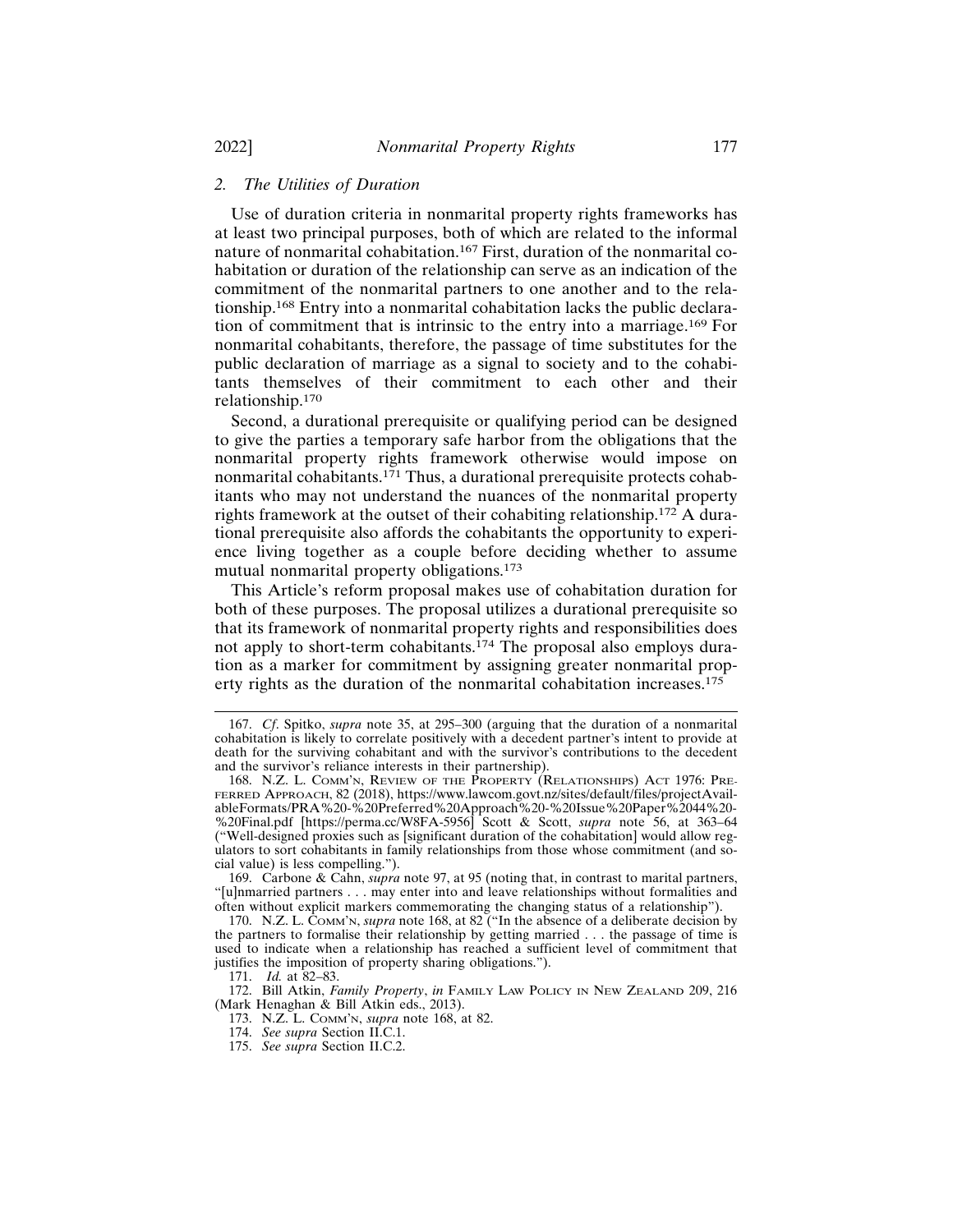#### *2. The Utilities of Duration*

Use of duration criteria in nonmarital property rights frameworks has at least two principal purposes, both of which are related to the informal nature of nonmarital cohabitation.167 First, duration of the nonmarital cohabitation or duration of the relationship can serve as an indication of the commitment of the nonmarital partners to one another and to the relationship.168 Entry into a nonmarital cohabitation lacks the public declaration of commitment that is intrinsic to the entry into a marriage.169 For nonmarital cohabitants, therefore, the passage of time substitutes for the public declaration of marriage as a signal to society and to the cohabitants themselves of their commitment to each other and their relationship.170

Second, a durational prerequisite or qualifying period can be designed to give the parties a temporary safe harbor from the obligations that the nonmarital property rights framework otherwise would impose on nonmarital cohabitants.<sup>171</sup> Thus, a durational prerequisite protects cohabitants who may not understand the nuances of the nonmarital property rights framework at the outset of their cohabiting relationship.172 A durational prerequisite also affords the cohabitants the opportunity to experience living together as a couple before deciding whether to assume mutual nonmarital property obligations.<sup>173</sup>

This Article's reform proposal makes use of cohabitation duration for both of these purposes. The proposal utilizes a durational prerequisite so that its framework of nonmarital property rights and responsibilities does not apply to short-term cohabitants.174 The proposal also employs duration as a marker for commitment by assigning greater nonmarital property rights as the duration of the nonmarital cohabitation increases.<sup>175</sup>

<sup>167.</sup> *Cf*. Spitko, *supra* note 35, at 295–300 (arguing that the duration of a nonmarital cohabitation is likely to correlate positively with a decedent partner's intent to provide at death for the surviving cohabitant and with the survivor's contributions to the decedent and the survivor's reliance interests in their partnership).

<sup>168.</sup> N.Z. L. COMM'N, REVIEW OF THE PROPERTY (RELATIONSHIPS) ACT 1976: PRE-FERRED APPROACH, 82 (2018), https://www.lawcom.govt.nz/sites/default/files/projectAvailableFormats/PRA%20-%20Preferred%20Approach%20-%20Issue%20Paper%2044%20- %20Final.pdf [https://perma.cc/W8FA-5956] Scott & Scott, *supra* note 56, at 363–64 ("Well-designed proxies such as [significant duration of the cohabitation] would allow regulators to sort cohabitants in family relationships from those whose commitment (and social value) is less compelling.").

<sup>169.</sup> Carbone & Cahn, *supra* note 97, at 95 (noting that, in contrast to marital partners, "[u]nmarried partners . . . may enter into and leave relationships without formalities and often without explicit markers commemorating the changing status of a relationship").

<sup>170.</sup> N.Z. L. COMM'N, *supra* note 168, at 82 ("In the absence of a deliberate decision by the partners to formalise their relationship by getting married . . . the passage of time is used to indicate when a relationship has reached a sufficient level of commitment that justifies the imposition of property sharing obligations.").

<sup>171.</sup> *Id.* at 82–83.

<sup>172.</sup> Bill Atkin, *Family Property*, *in* FAMILY LAW POLICY IN NEW ZEALAND 209, 216 (Mark Henaghan & Bill Atkin eds., 2013).

<sup>173.</sup> N.Z. L. COMM'N, *supra* note 168, at 82.

<sup>174.</sup> *See supra* Section II.C.1.

<sup>175.</sup> *See supra* Section II.C.2.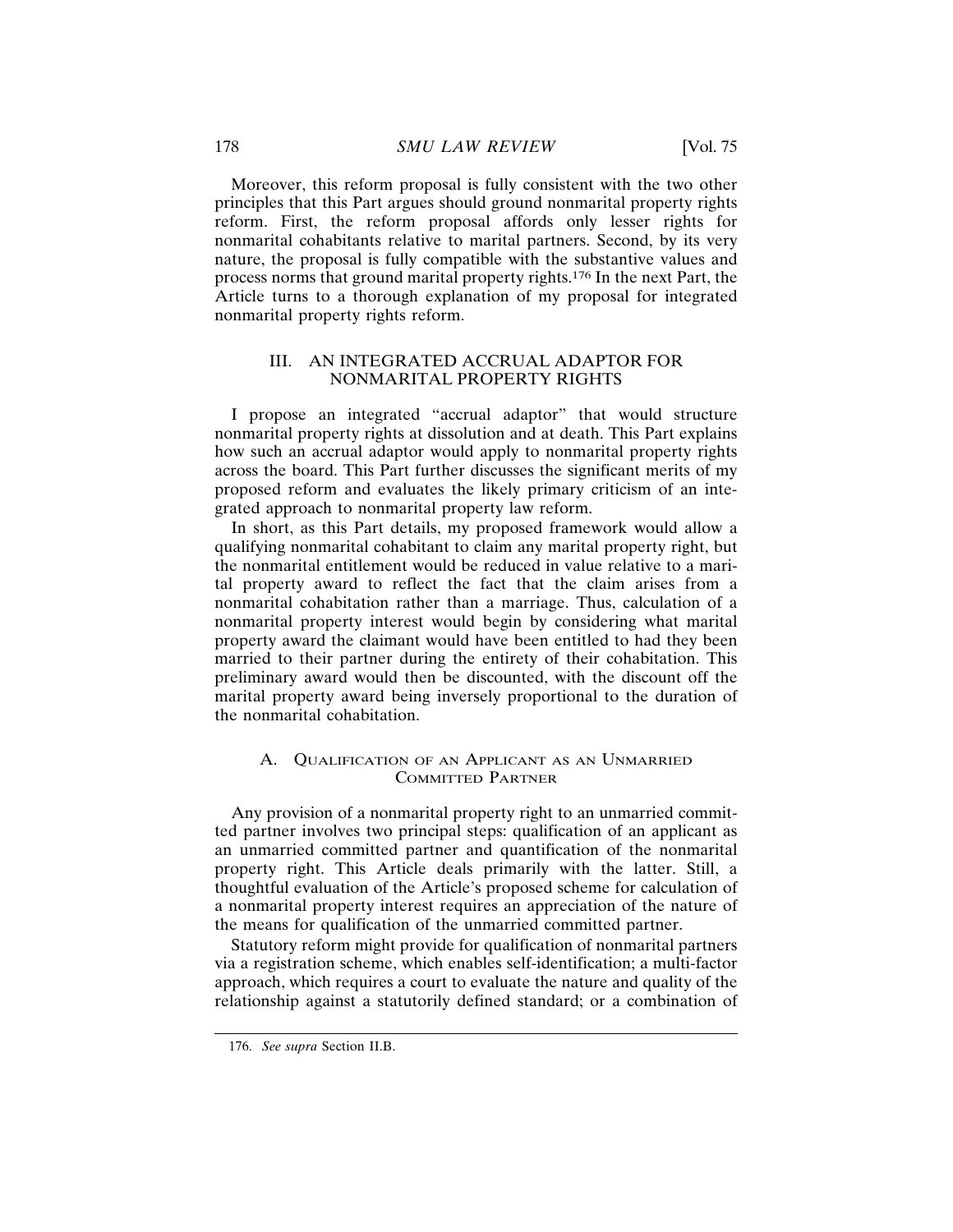Moreover, this reform proposal is fully consistent with the two other principles that this Part argues should ground nonmarital property rights reform. First, the reform proposal affords only lesser rights for nonmarital cohabitants relative to marital partners. Second, by its very nature, the proposal is fully compatible with the substantive values and process norms that ground marital property rights.176 In the next Part, the Article turns to a thorough explanation of my proposal for integrated nonmarital property rights reform.

## III. AN INTEGRATED ACCRUAL ADAPTOR FOR NONMARITAL PROPERTY RIGHTS

I propose an integrated "accrual adaptor" that would structure nonmarital property rights at dissolution and at death. This Part explains how such an accrual adaptor would apply to nonmarital property rights across the board. This Part further discusses the significant merits of my proposed reform and evaluates the likely primary criticism of an integrated approach to nonmarital property law reform.

In short, as this Part details, my proposed framework would allow a qualifying nonmarital cohabitant to claim any marital property right, but the nonmarital entitlement would be reduced in value relative to a marital property award to reflect the fact that the claim arises from a nonmarital cohabitation rather than a marriage. Thus, calculation of a nonmarital property interest would begin by considering what marital property award the claimant would have been entitled to had they been married to their partner during the entirety of their cohabitation. This preliminary award would then be discounted, with the discount off the marital property award being inversely proportional to the duration of the nonmarital cohabitation.

### A. QUALIFICATION OF AN APPLICANT AS AN UNMARRIED COMMITTED PARTNER

Any provision of a nonmarital property right to an unmarried committed partner involves two principal steps: qualification of an applicant as an unmarried committed partner and quantification of the nonmarital property right. This Article deals primarily with the latter. Still, a thoughtful evaluation of the Article's proposed scheme for calculation of a nonmarital property interest requires an appreciation of the nature of the means for qualification of the unmarried committed partner.

Statutory reform might provide for qualification of nonmarital partners via a registration scheme, which enables self-identification; a multi-factor approach, which requires a court to evaluate the nature and quality of the relationship against a statutorily defined standard; or a combination of

<sup>176.</sup> *See supra* Section II.B.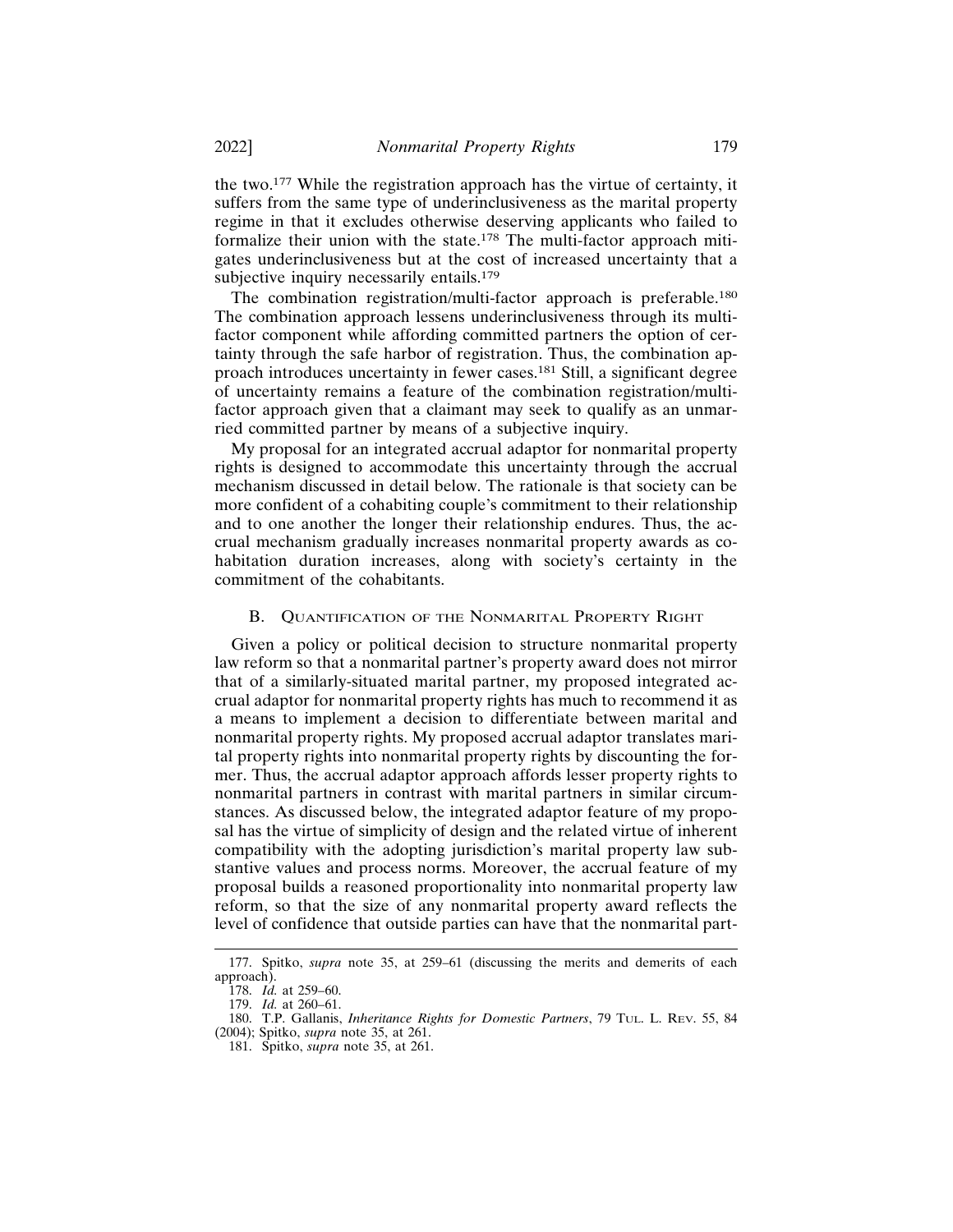the two.177 While the registration approach has the virtue of certainty, it suffers from the same type of underinclusiveness as the marital property regime in that it excludes otherwise deserving applicants who failed to formalize their union with the state.178 The multi-factor approach mitigates underinclusiveness but at the cost of increased uncertainty that a subjective inquiry necessarily entails.<sup>179</sup>

The combination registration/multi-factor approach is preferable.<sup>180</sup> The combination approach lessens underinclusiveness through its multifactor component while affording committed partners the option of certainty through the safe harbor of registration. Thus, the combination approach introduces uncertainty in fewer cases.181 Still, a significant degree of uncertainty remains a feature of the combination registration/multifactor approach given that a claimant may seek to qualify as an unmarried committed partner by means of a subjective inquiry.

My proposal for an integrated accrual adaptor for nonmarital property rights is designed to accommodate this uncertainty through the accrual mechanism discussed in detail below. The rationale is that society can be more confident of a cohabiting couple's commitment to their relationship and to one another the longer their relationship endures. Thus, the accrual mechanism gradually increases nonmarital property awards as cohabitation duration increases, along with society's certainty in the commitment of the cohabitants.

#### B. QUANTIFICATION OF THE NONMARITAL PROPERTY RIGHT

Given a policy or political decision to structure nonmarital property law reform so that a nonmarital partner's property award does not mirror that of a similarly-situated marital partner, my proposed integrated accrual adaptor for nonmarital property rights has much to recommend it as a means to implement a decision to differentiate between marital and nonmarital property rights. My proposed accrual adaptor translates marital property rights into nonmarital property rights by discounting the former. Thus, the accrual adaptor approach affords lesser property rights to nonmarital partners in contrast with marital partners in similar circumstances. As discussed below, the integrated adaptor feature of my proposal has the virtue of simplicity of design and the related virtue of inherent compatibility with the adopting jurisdiction's marital property law substantive values and process norms. Moreover, the accrual feature of my proposal builds a reasoned proportionality into nonmarital property law reform, so that the size of any nonmarital property award reflects the level of confidence that outside parties can have that the nonmarital part-

<sup>177.</sup> Spitko, *supra* note 35, at 259–61 (discussing the merits and demerits of each approach).

<sup>178.</sup> *Id.* at 259–60.

<sup>179.</sup> *Id.* at 260–61.

<sup>180.</sup> T.P. Gallanis, *Inheritance Rights for Domestic Partners*, 79 TUL. L. REV. 55, 84

<sup>(2004);</sup> Spitko, *supra* note 35, at 261.

<sup>181.</sup> Spitko, *supra* note 35, at 261.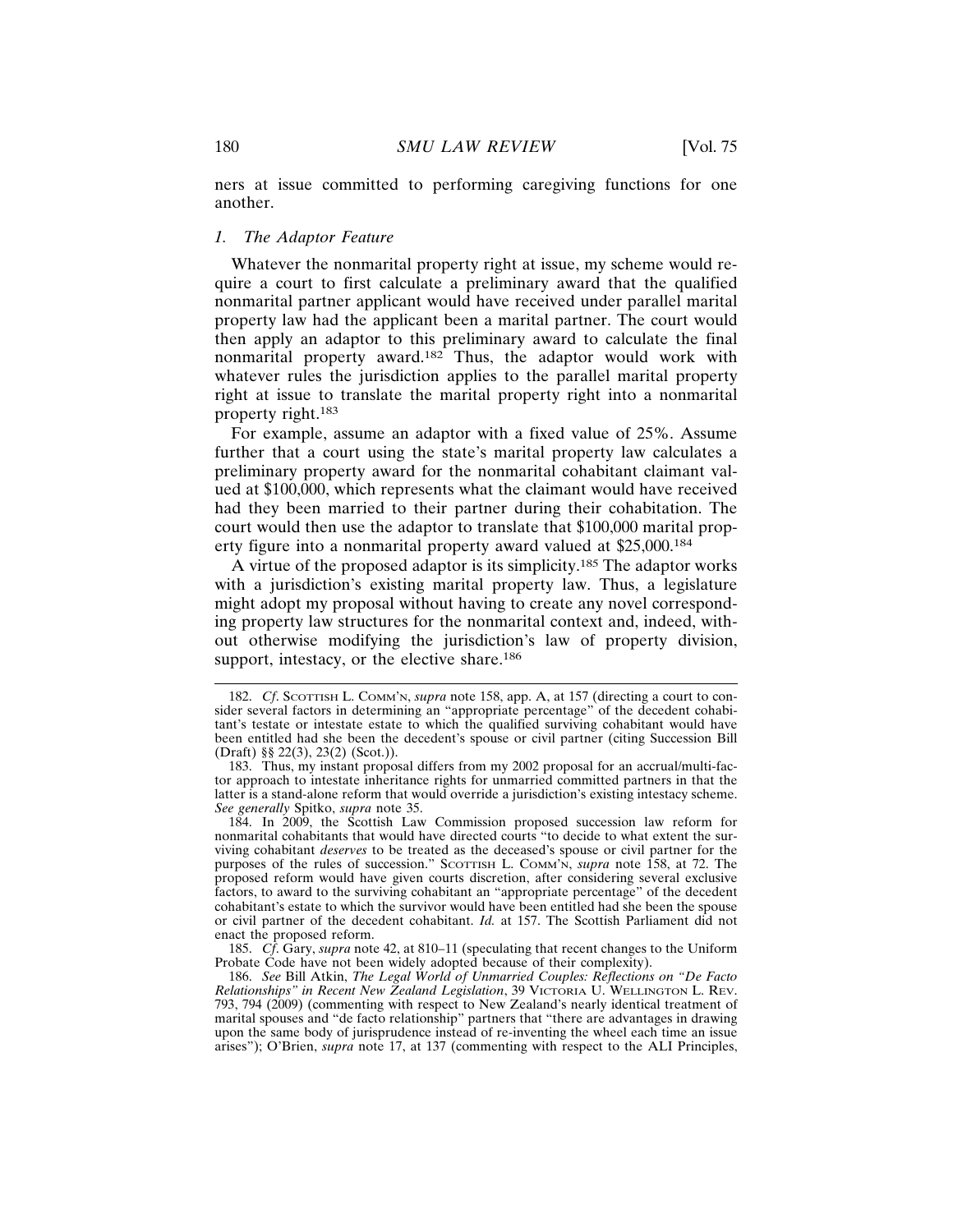ners at issue committed to performing caregiving functions for one another.

#### *1. The Adaptor Feature*

Whatever the nonmarital property right at issue, my scheme would require a court to first calculate a preliminary award that the qualified nonmarital partner applicant would have received under parallel marital property law had the applicant been a marital partner. The court would then apply an adaptor to this preliminary award to calculate the final nonmarital property award.182 Thus, the adaptor would work with whatever rules the jurisdiction applies to the parallel marital property right at issue to translate the marital property right into a nonmarital property right.<sup>183</sup>

For example, assume an adaptor with a fixed value of 25%. Assume further that a court using the state's marital property law calculates a preliminary property award for the nonmarital cohabitant claimant valued at \$100,000, which represents what the claimant would have received had they been married to their partner during their cohabitation. The court would then use the adaptor to translate that \$100,000 marital property figure into a nonmarital property award valued at \$25,000.<sup>184</sup>

A virtue of the proposed adaptor is its simplicity.185 The adaptor works with a jurisdiction's existing marital property law. Thus, a legislature might adopt my proposal without having to create any novel corresponding property law structures for the nonmarital context and, indeed, without otherwise modifying the jurisdiction's law of property division, support, intestacy, or the elective share.<sup>186</sup>

<sup>182.</sup> *Cf*. SCOTTISH L. COMM'N, *supra* note 158, app. A, at 157 (directing a court to consider several factors in determining an "appropriate percentage" of the decedent cohabitant's testate or intestate estate to which the qualified surviving cohabitant would have been entitled had she been the decedent's spouse or civil partner (citing Succession Bill (Draft) §§ 22(3), 23(2) (Scot.)).

<sup>183.</sup> Thus, my instant proposal differs from my 2002 proposal for an accrual/multi-factor approach to intestate inheritance rights for unmarried committed partners in that the latter is a stand-alone reform that would override a jurisdiction's existing intestacy scheme. *See generally* Spitko, *supra* note 35.

<sup>184.</sup> In 2009, the Scottish Law Commission proposed succession law reform for nonmarital cohabitants that would have directed courts "to decide to what extent the surviving cohabitant *deserves* to be treated as the deceased's spouse or civil partner for the purposes of the rules of succession." SCOTTISH L. COMM'N, *supra* note 158, at 72. The proposed reform would have given courts discretion, after considering several exclusive factors, to award to the surviving cohabitant an "appropriate percentage" of the decedent cohabitant's estate to which the survivor would have been entitled had she been the spouse or civil partner of the decedent cohabitant. *Id.* at 157. The Scottish Parliament did not enact the proposed reform.

<sup>185.</sup> *Cf*. Gary, *supra* note 42, at 810–11 (speculating that recent changes to the Uniform Probate Code have not been widely adopted because of their complexity).

<sup>186.</sup> *See* Bill Atkin, *The Legal World of Unmarried Couples: Reflections on "De Facto Relationships" in Recent New Zealand Legislation*, 39 VICTORIA U. WELLINGTON L. REV. 793, 794 (2009) (commenting with respect to New Zealand's nearly identical treatment of marital spouses and "de facto relationship" partners that "there are advantages in drawing upon the same body of jurisprudence instead of re-inventing the wheel each time an issue arises"); O'Brien, *supra* note 17, at 137 (commenting with respect to the ALI Principles,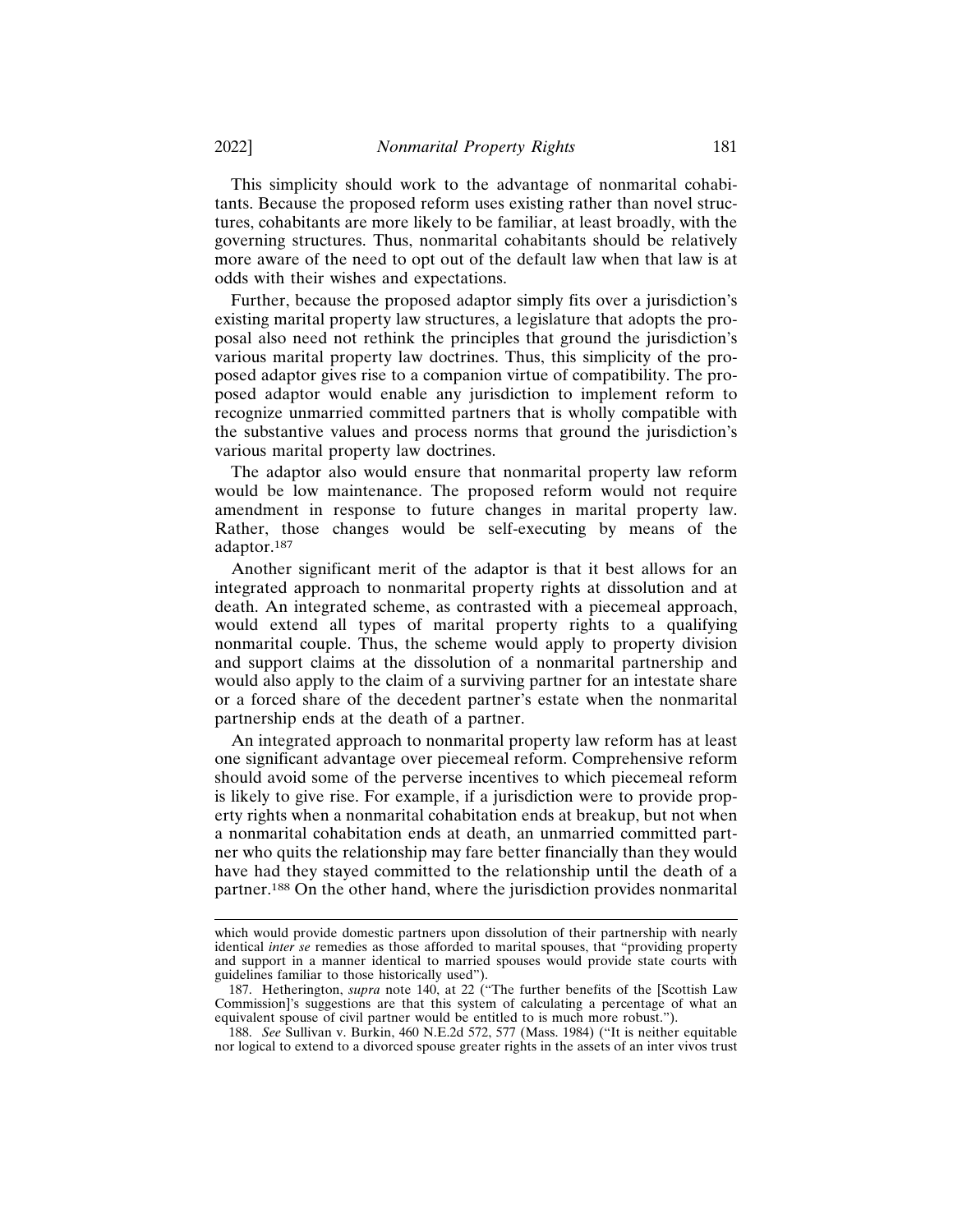This simplicity should work to the advantage of nonmarital cohabitants. Because the proposed reform uses existing rather than novel structures, cohabitants are more likely to be familiar, at least broadly, with the governing structures. Thus, nonmarital cohabitants should be relatively more aware of the need to opt out of the default law when that law is at odds with their wishes and expectations.

Further, because the proposed adaptor simply fits over a jurisdiction's existing marital property law structures, a legislature that adopts the proposal also need not rethink the principles that ground the jurisdiction's various marital property law doctrines. Thus, this simplicity of the proposed adaptor gives rise to a companion virtue of compatibility. The proposed adaptor would enable any jurisdiction to implement reform to recognize unmarried committed partners that is wholly compatible with the substantive values and process norms that ground the jurisdiction's various marital property law doctrines.

The adaptor also would ensure that nonmarital property law reform would be low maintenance. The proposed reform would not require amendment in response to future changes in marital property law. Rather, those changes would be self-executing by means of the adaptor.<sup>187</sup>

Another significant merit of the adaptor is that it best allows for an integrated approach to nonmarital property rights at dissolution and at death. An integrated scheme, as contrasted with a piecemeal approach, would extend all types of marital property rights to a qualifying nonmarital couple. Thus, the scheme would apply to property division and support claims at the dissolution of a nonmarital partnership and would also apply to the claim of a surviving partner for an intestate share or a forced share of the decedent partner's estate when the nonmarital partnership ends at the death of a partner.

An integrated approach to nonmarital property law reform has at least one significant advantage over piecemeal reform. Comprehensive reform should avoid some of the perverse incentives to which piecemeal reform is likely to give rise. For example, if a jurisdiction were to provide property rights when a nonmarital cohabitation ends at breakup, but not when a nonmarital cohabitation ends at death, an unmarried committed partner who quits the relationship may fare better financially than they would have had they stayed committed to the relationship until the death of a partner.188 On the other hand, where the jurisdiction provides nonmarital

which would provide domestic partners upon dissolution of their partnership with nearly identical *inter se* remedies as those afforded to marital spouses, that "providing property and support in a manner identical to married spouses would provide state courts with guidelines familiar to those historically used").

<sup>187.</sup> Hetherington, *supra* note 140, at 22 ("The further benefits of the [Scottish Law Commission]'s suggestions are that this system of calculating a percentage of what an equivalent spouse of civil partner would be entitled to is much more robust.").

<sup>188.</sup> *See* Sullivan v. Burkin, 460 N.E.2d 572, 577 (Mass. 1984) ("It is neither equitable nor logical to extend to a divorced spouse greater rights in the assets of an inter vivos trust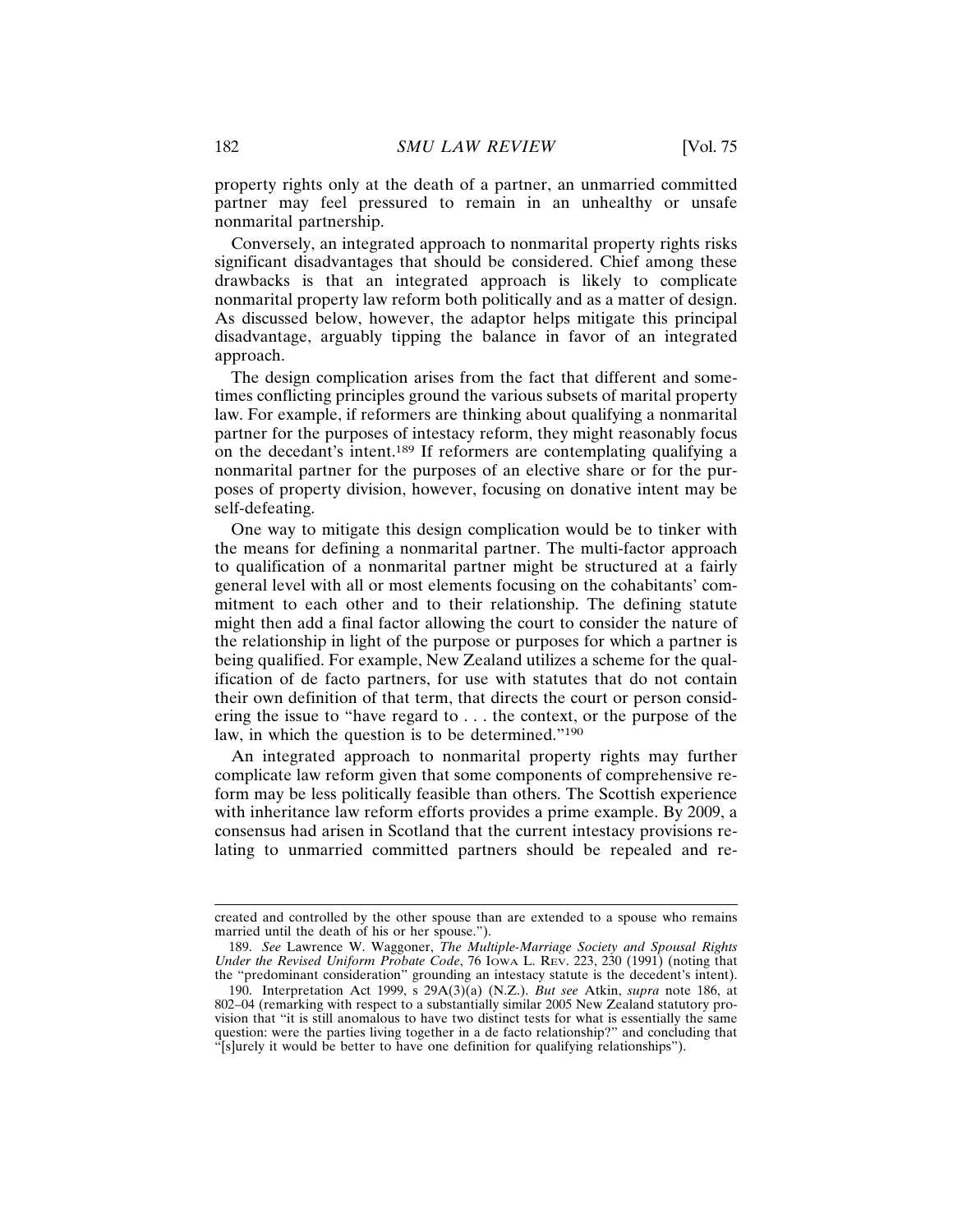property rights only at the death of a partner, an unmarried committed partner may feel pressured to remain in an unhealthy or unsafe nonmarital partnership.

Conversely, an integrated approach to nonmarital property rights risks significant disadvantages that should be considered. Chief among these drawbacks is that an integrated approach is likely to complicate nonmarital property law reform both politically and as a matter of design. As discussed below, however, the adaptor helps mitigate this principal disadvantage, arguably tipping the balance in favor of an integrated approach.

The design complication arises from the fact that different and sometimes conflicting principles ground the various subsets of marital property law. For example, if reformers are thinking about qualifying a nonmarital partner for the purposes of intestacy reform, they might reasonably focus on the decedant's intent.189 If reformers are contemplating qualifying a nonmarital partner for the purposes of an elective share or for the purposes of property division, however, focusing on donative intent may be self-defeating.

One way to mitigate this design complication would be to tinker with the means for defining a nonmarital partner. The multi-factor approach to qualification of a nonmarital partner might be structured at a fairly general level with all or most elements focusing on the cohabitants' commitment to each other and to their relationship. The defining statute might then add a final factor allowing the court to consider the nature of the relationship in light of the purpose or purposes for which a partner is being qualified. For example, New Zealand utilizes a scheme for the qualification of de facto partners, for use with statutes that do not contain their own definition of that term, that directs the court or person considering the issue to "have regard to . . . the context, or the purpose of the law, in which the question is to be determined."<sup>190</sup>

An integrated approach to nonmarital property rights may further complicate law reform given that some components of comprehensive reform may be less politically feasible than others. The Scottish experience with inheritance law reform efforts provides a prime example. By 2009, a consensus had arisen in Scotland that the current intestacy provisions relating to unmarried committed partners should be repealed and re-

created and controlled by the other spouse than are extended to a spouse who remains married until the death of his or her spouse.").

<sup>189.</sup> *See* Lawrence W. Waggoner, *The Multiple-Marriage Society and Spousal Rights Under the Revised Uniform Probate Code*, 76 IOWA L. REV. 223, 230 (1991) (noting that the "predominant consideration" grounding an intestacy statute is the decedent's intent).

<sup>190.</sup> Interpretation Act 1999, s 29A(3)(a) (N.Z.). *But see* Atkin, *supra* note 186, at 802–04 (remarking with respect to a substantially similar 2005 New Zealand statutory provision that "it is still anomalous to have two distinct tests for what is essentially the same question: were the parties living together in a de facto relationship?" and concluding that "[s]urely it would be better to have one definition for qualifying relationships").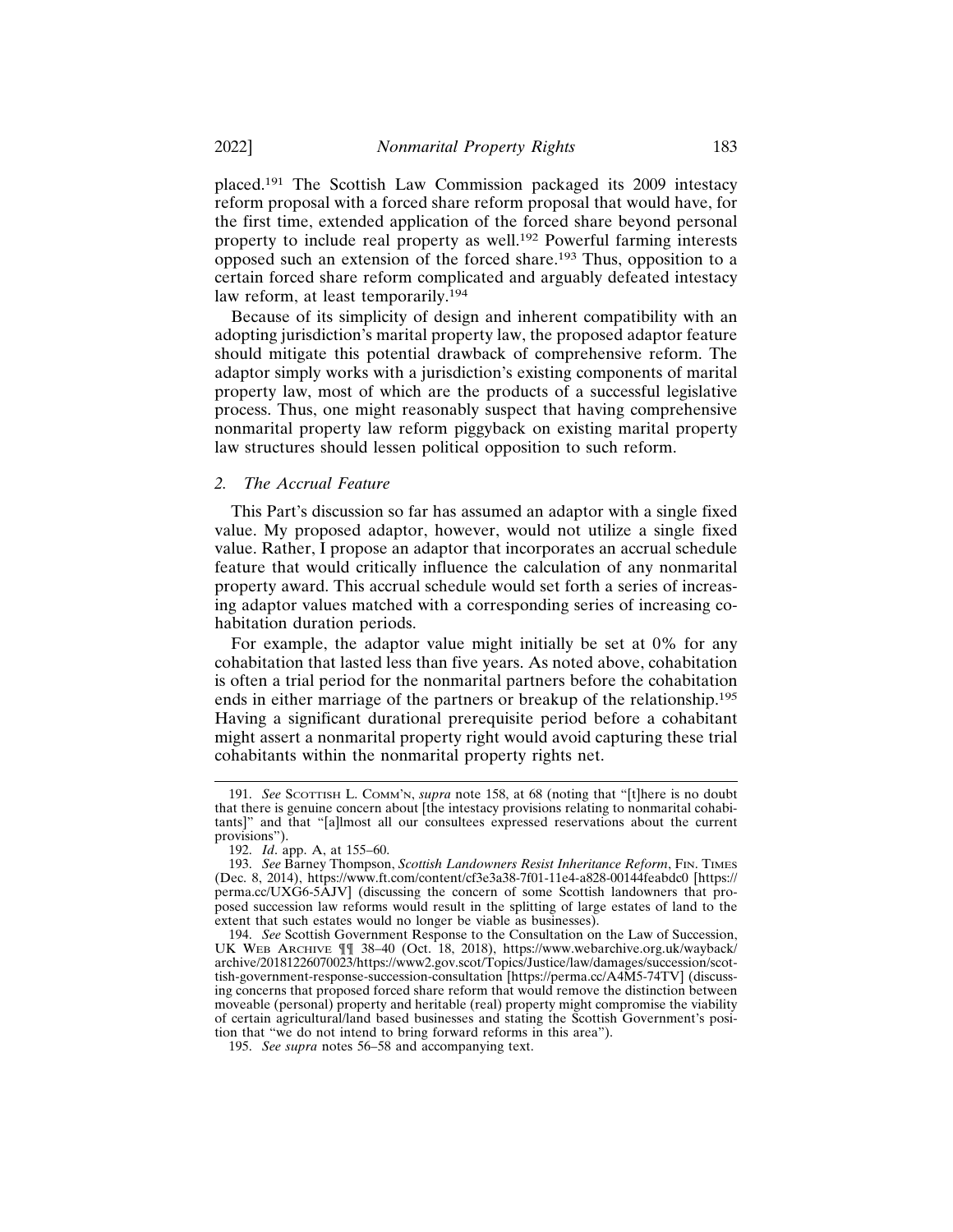placed.191 The Scottish Law Commission packaged its 2009 intestacy reform proposal with a forced share reform proposal that would have, for the first time, extended application of the forced share beyond personal property to include real property as well.192 Powerful farming interests opposed such an extension of the forced share.193 Thus, opposition to a certain forced share reform complicated and arguably defeated intestacy law reform, at least temporarily.<sup>194</sup>

Because of its simplicity of design and inherent compatibility with an adopting jurisdiction's marital property law, the proposed adaptor feature should mitigate this potential drawback of comprehensive reform. The adaptor simply works with a jurisdiction's existing components of marital property law, most of which are the products of a successful legislative process. Thus, one might reasonably suspect that having comprehensive nonmarital property law reform piggyback on existing marital property law structures should lessen political opposition to such reform.

#### *2. The Accrual Feature*

This Part's discussion so far has assumed an adaptor with a single fixed value. My proposed adaptor, however, would not utilize a single fixed value. Rather, I propose an adaptor that incorporates an accrual schedule feature that would critically influence the calculation of any nonmarital property award. This accrual schedule would set forth a series of increasing adaptor values matched with a corresponding series of increasing cohabitation duration periods.

For example, the adaptor value might initially be set at 0% for any cohabitation that lasted less than five years. As noted above, cohabitation is often a trial period for the nonmarital partners before the cohabitation ends in either marriage of the partners or breakup of the relationship.<sup>195</sup> Having a significant durational prerequisite period before a cohabitant might assert a nonmarital property right would avoid capturing these trial cohabitants within the nonmarital property rights net.

<sup>191.</sup> *See* SCOTTISH L. COMM'N, *supra* note 158, at 68 (noting that "[t]here is no doubt that there is genuine concern about [the intestacy provisions relating to nonmarital cohabitants]" and that "[a]lmost all our consultees expressed reservations about the current provisions").

<sup>192.</sup> *Id*. app. A, at 155–60.

<sup>193.</sup> *See* Barney Thompson, *Scottish Landowners Resist Inheritance Reform*, FIN. TIMES (Dec. 8, 2014), https://www.ft.com/content/cf3e3a38-7f01-11e4-a828-00144feabdc0 [https:// perma.cc/UXG6-5AJV] (discussing the concern of some Scottish landowners that proposed succession law reforms would result in the splitting of large estates of land to the extent that such estates would no longer be viable as businesses).

<sup>194.</sup> *See* Scottish Government Response to the Consultation on the Law of Succession, UK WEB ARCHIVE ¶¶ 38–40 (Oct. 18, 2018), https://www.webarchive.org.uk/wayback/ archive/20181226070023/https://www2.gov.scot/Topics/Justice/law/damages/succession/scottish-government-response-succession-consultation [https://perma.cc/A4M5-74TV] (discussing concerns that proposed forced share reform that would remove the distinction between moveable (personal) property and heritable (real) property might compromise the viability of certain agricultural/land based businesses and stating the Scottish Government's position that "we do not intend to bring forward reforms in this area").

<sup>195.</sup> *See supra* notes 56–58 and accompanying text.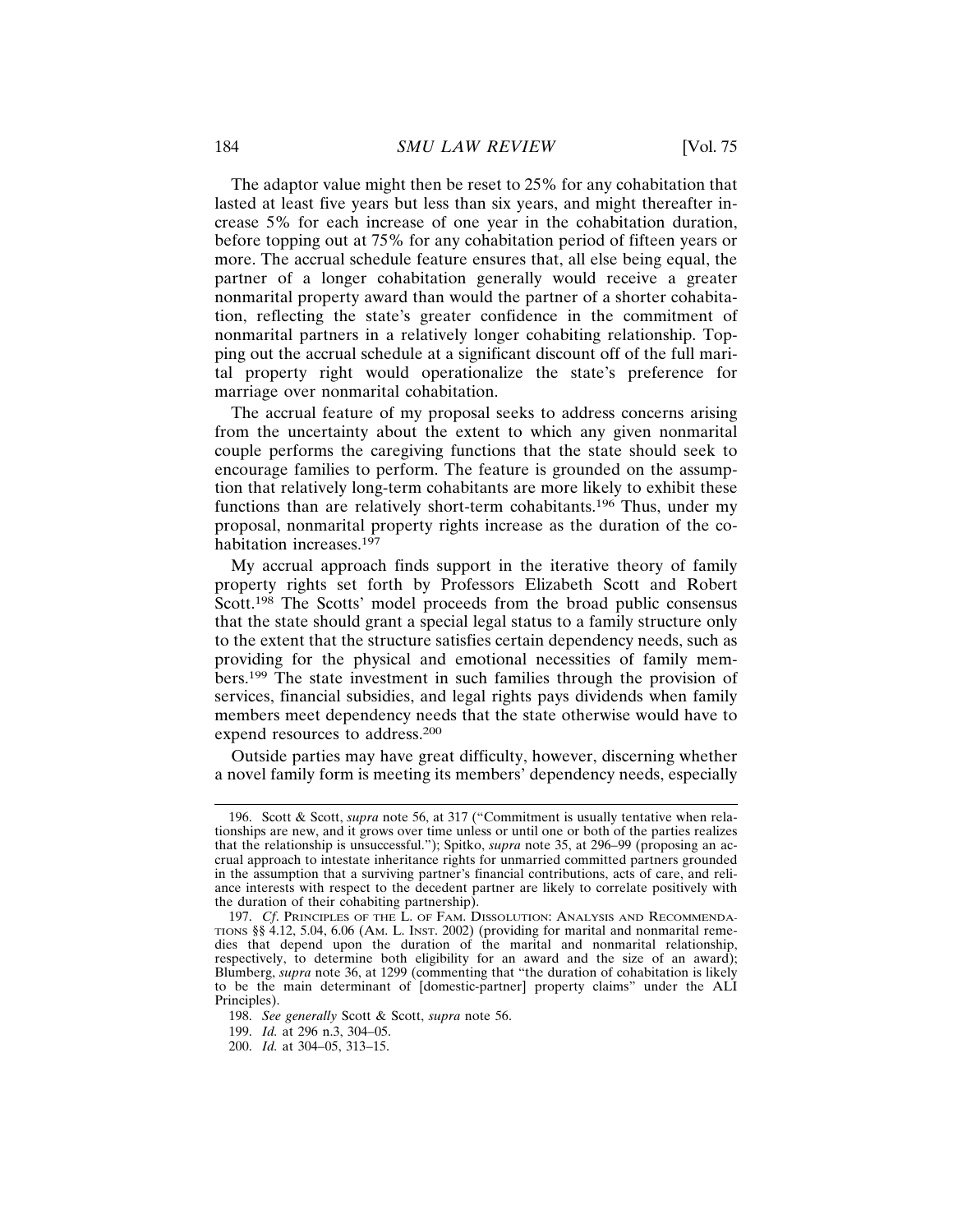The adaptor value might then be reset to 25% for any cohabitation that lasted at least five years but less than six years, and might thereafter increase 5% for each increase of one year in the cohabitation duration, before topping out at 75% for any cohabitation period of fifteen years or more. The accrual schedule feature ensures that, all else being equal, the partner of a longer cohabitation generally would receive a greater nonmarital property award than would the partner of a shorter cohabitation, reflecting the state's greater confidence in the commitment of nonmarital partners in a relatively longer cohabiting relationship. Topping out the accrual schedule at a significant discount off of the full marital property right would operationalize the state's preference for marriage over nonmarital cohabitation.

The accrual feature of my proposal seeks to address concerns arising from the uncertainty about the extent to which any given nonmarital couple performs the caregiving functions that the state should seek to encourage families to perform. The feature is grounded on the assumption that relatively long-term cohabitants are more likely to exhibit these functions than are relatively short-term cohabitants.196 Thus, under my proposal, nonmarital property rights increase as the duration of the cohabitation increases.<sup>197</sup>

My accrual approach finds support in the iterative theory of family property rights set forth by Professors Elizabeth Scott and Robert Scott.<sup>198</sup> The Scotts' model proceeds from the broad public consensus that the state should grant a special legal status to a family structure only to the extent that the structure satisfies certain dependency needs, such as providing for the physical and emotional necessities of family members.199 The state investment in such families through the provision of services, financial subsidies, and legal rights pays dividends when family members meet dependency needs that the state otherwise would have to expend resources to address.<sup>200</sup>

Outside parties may have great difficulty, however, discerning whether a novel family form is meeting its members' dependency needs, especially

<sup>196.</sup> Scott & Scott, *supra* note 56, at 317 ("Commitment is usually tentative when relationships are new, and it grows over time unless or until one or both of the parties realizes that the relationship is unsuccessful."); Spitko, *supra* note 35, at 296–99 (proposing an accrual approach to intestate inheritance rights for unmarried committed partners grounded in the assumption that a surviving partner's financial contributions, acts of care, and reliance interests with respect to the decedent partner are likely to correlate positively with the duration of their cohabiting partnership).

<sup>197.</sup> *Cf*. PRINCIPLES OF THE L. OF FAM. DISSOLUTION: ANALYSIS AND RECOMMENDA-TIONS §§ 4.12, 5.04, 6.06 (AM. L. INST. 2002) (providing for marital and nonmarital remedies that depend upon the duration of the marital and nonmarital relationship, respectively, to determine both eligibility for an award and the size of an award); Blumberg, *supra* note 36, at 1299 (commenting that "the duration of cohabitation is likely to be the main determinant of [domestic-partner] property claims" under the ALI Principles).

<sup>198.</sup> *See generally* Scott & Scott, *supra* note 56.

<sup>199.</sup> *Id.* at 296 n.3, 304–05.

<sup>200.</sup> *Id.* at 304–05, 313–15.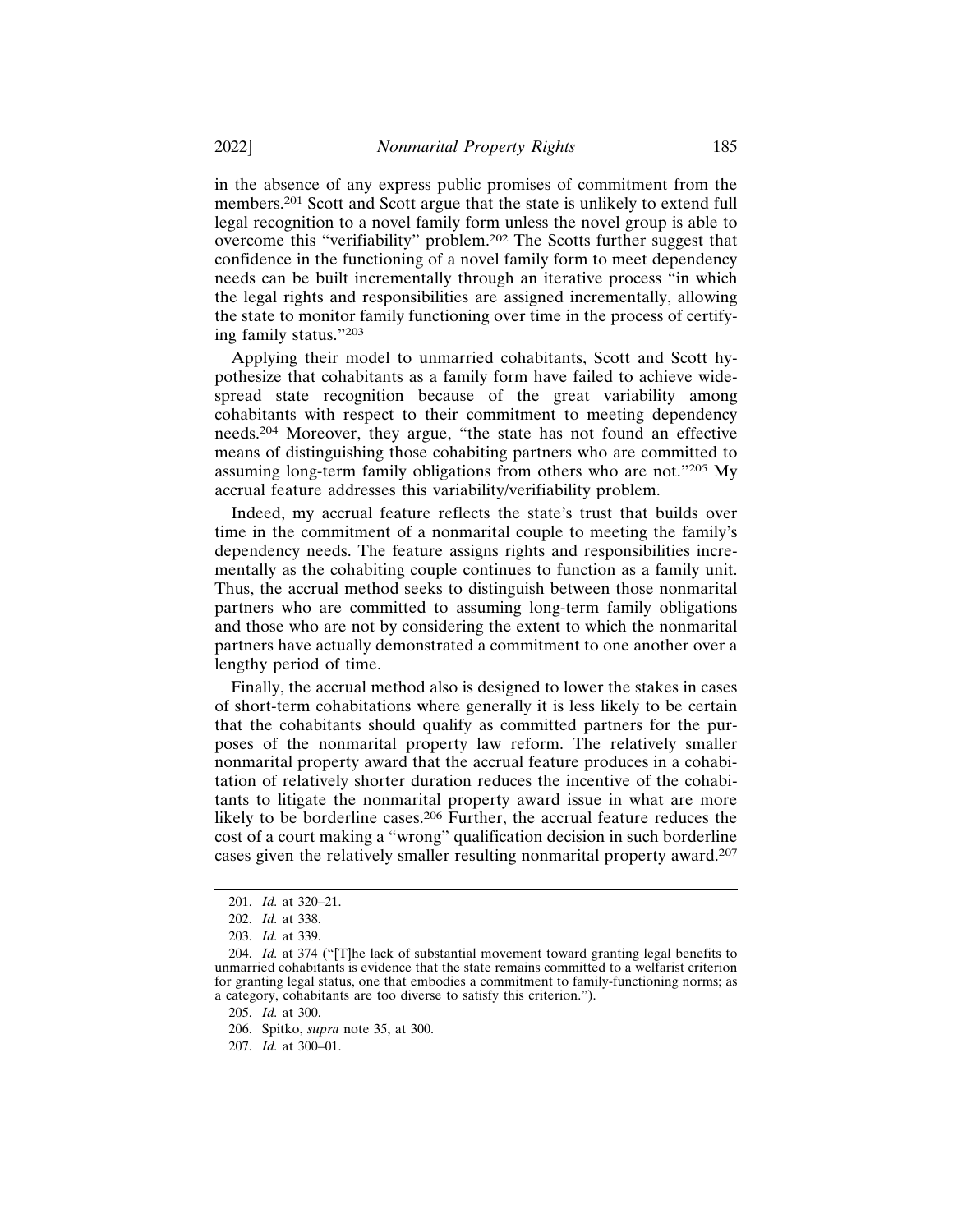in the absence of any express public promises of commitment from the members.201 Scott and Scott argue that the state is unlikely to extend full legal recognition to a novel family form unless the novel group is able to overcome this "verifiability" problem.202 The Scotts further suggest that confidence in the functioning of a novel family form to meet dependency needs can be built incrementally through an iterative process "in which the legal rights and responsibilities are assigned incrementally, allowing the state to monitor family functioning over time in the process of certifying family status."<sup>203</sup>

Applying their model to unmarried cohabitants, Scott and Scott hypothesize that cohabitants as a family form have failed to achieve widespread state recognition because of the great variability among cohabitants with respect to their commitment to meeting dependency needs.204 Moreover, they argue, "the state has not found an effective means of distinguishing those cohabiting partners who are committed to assuming long-term family obligations from others who are not."205 My accrual feature addresses this variability/verifiability problem.

Indeed, my accrual feature reflects the state's trust that builds over time in the commitment of a nonmarital couple to meeting the family's dependency needs. The feature assigns rights and responsibilities incrementally as the cohabiting couple continues to function as a family unit. Thus, the accrual method seeks to distinguish between those nonmarital partners who are committed to assuming long-term family obligations and those who are not by considering the extent to which the nonmarital partners have actually demonstrated a commitment to one another over a lengthy period of time.

Finally, the accrual method also is designed to lower the stakes in cases of short-term cohabitations where generally it is less likely to be certain that the cohabitants should qualify as committed partners for the purposes of the nonmarital property law reform. The relatively smaller nonmarital property award that the accrual feature produces in a cohabitation of relatively shorter duration reduces the incentive of the cohabitants to litigate the nonmarital property award issue in what are more likely to be borderline cases.206 Further, the accrual feature reduces the cost of a court making a "wrong" qualification decision in such borderline cases given the relatively smaller resulting nonmarital property award.<sup>207</sup>

205. *Id.* at 300.

207. *Id.* at 300–01.

<sup>201.</sup> *Id.* at 320–21.

<sup>202.</sup> *Id.* at 338.

<sup>203.</sup> *Id.* at 339.

<sup>204.</sup> *Id.* at 374 ("[T]he lack of substantial movement toward granting legal benefits to unmarried cohabitants is evidence that the state remains committed to a welfarist criterion for granting legal status, one that embodies a commitment to family-functioning norms; as a category, cohabitants are too diverse to satisfy this criterion.").

<sup>206.</sup> Spitko, *supra* note 35, at 300.